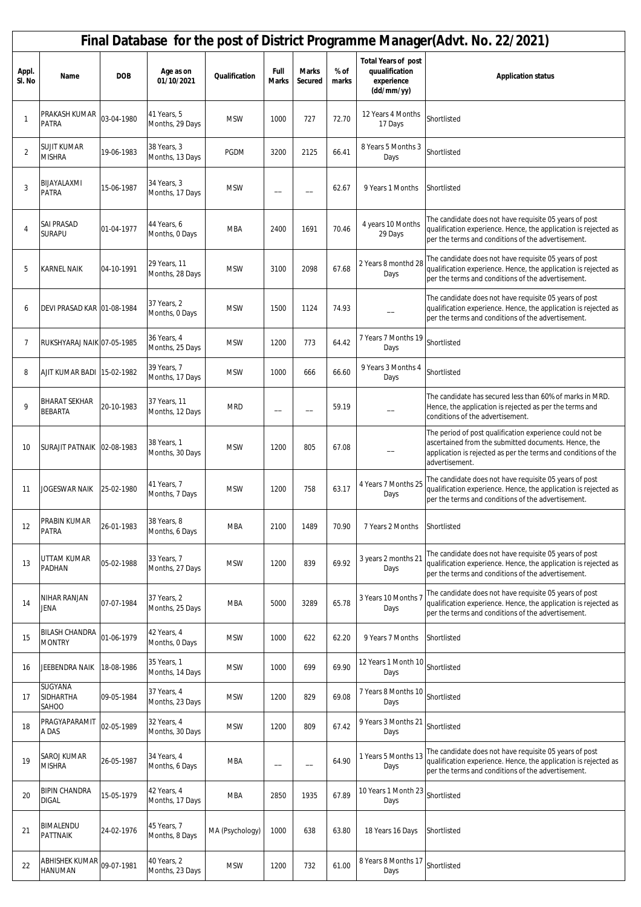|                 | Final Database for the post of District Programme Manager(Advt. No. 22/2021) |            |                                 |                 |                          |                         |               |                                                                          |                                                                                                                                                                                                      |  |  |  |  |
|-----------------|------------------------------------------------------------------------------|------------|---------------------------------|-----------------|--------------------------|-------------------------|---------------|--------------------------------------------------------------------------|------------------------------------------------------------------------------------------------------------------------------------------------------------------------------------------------------|--|--|--|--|
| Appl.<br>SI. No | Name                                                                         | <b>DOB</b> | Age as on<br>01/10/2021         | Qualification   | Full<br><b>Marks</b>     | <b>Marks</b><br>Secured | % of<br>marks | <b>Total Years of post</b><br>quualification<br>experience<br>(dd/mm/yy) | <b>Application status</b>                                                                                                                                                                            |  |  |  |  |
| $\mathbf{1}$    | PRAKASH KUMAR<br><b>PATRA</b>                                                | 03-04-1980 | 41 Years, 5<br>Months, 29 Days  | <b>MSW</b>      | 1000                     | 727                     | 72.70         | 12 Years 4 Months<br>17 Days                                             | Shortlisted                                                                                                                                                                                          |  |  |  |  |
| $\overline{2}$  | <b>SUJIT KUMAR</b><br><b>MISHRA</b>                                          | 19-06-1983 | 38 Years, 3<br>Months, 13 Days  | <b>PGDM</b>     | 3200                     | 2125                    | 66.41         | 8 Years 5 Months 3<br>Days                                               | Shortlisted                                                                                                                                                                                          |  |  |  |  |
| 3               | BIJAYALAXMI<br>PATRA                                                         | 15-06-1987 | 34 Years, 3<br>Months, 17 Days  | <b>MSW</b>      |                          |                         | 62.67         | 9 Years 1 Months                                                         | Shortlisted                                                                                                                                                                                          |  |  |  |  |
| 4               | <b>SAI PRASAD</b><br><b>SURAPU</b>                                           | 01-04-1977 | 44 Years, 6<br>Months, 0 Days   | <b>MBA</b>      | 2400                     | 1691                    | 70.46         | 4 years 10 Months<br>29 Days                                             | The candidate does not have requisite 05 years of post<br>qualification experience. Hence, the application is rejected as<br>per the terms and conditions of the advertisement.                      |  |  |  |  |
| 5               | <b>KARNEL NAIK</b>                                                           | 04-10-1991 | 29 Years, 11<br>Months, 28 Days | <b>MSW</b>      | 3100                     | 2098                    | 67.68         | 2 Years 8 monthd 28<br>Days                                              | The candidate does not have requisite 05 years of post<br>qualification experience. Hence, the application is rejected as<br>per the terms and conditions of the advertisement.                      |  |  |  |  |
| 6               | DEVI PRASAD KAR 01-08-1984                                                   |            | 37 Years, 2<br>Months, 0 Days   | <b>MSW</b>      | 1500                     | 1124                    | 74.93         |                                                                          | The candidate does not have requisite 05 years of post<br>qualification experience. Hence, the application is rejected as<br>per the terms and conditions of the advertisement.                      |  |  |  |  |
| $\overline{7}$  | RUKSHYARAJ NAIK 07-05-1985                                                   |            | 36 Years, 4<br>Months, 25 Days  | <b>MSW</b>      | 1200                     | 773                     | 64.42         | 7 Years 7 Months 19<br>Days                                              | Shortlisted                                                                                                                                                                                          |  |  |  |  |
| 8               | AJIT KUMAR BADI 15-02-1982                                                   |            | 39 Years, 7<br>Months, 17 Days  | <b>MSW</b>      | 1000                     | 666                     | 66.60         | 9 Years 3 Months 4<br>Days                                               | Shortlisted                                                                                                                                                                                          |  |  |  |  |
| 9               | <b>BHARAT SEKHAR</b><br><b>BEBARTA</b>                                       | 20-10-1983 | 37 Years, 11<br>Months, 12 Days | <b>MRD</b>      | $\overline{\phantom{0}}$ |                         | 59.19         |                                                                          | The candidate has secured less than 60% of marks in MRD.<br>Hence, the application is rejected as per the terms and<br>conditions of the advertisement.                                              |  |  |  |  |
| 10              | SURAJIT PATNAIK 02-08-1983                                                   |            | 38 Years, 1<br>Months, 30 Days  | <b>MSW</b>      | 1200                     | 805                     | 67.08         |                                                                          | The period of post qualification experience could not be<br>ascertained from the submitted documents. Hence, the<br>application is rejected as per the terms and conditions of the<br>advertisement. |  |  |  |  |
| 11              | JOGESWAR NAIK                                                                | 25-02-1980 | 41 Years, 7<br>Months, 7 Days   | <b>MSW</b>      | 1200                     | 758                     | 63.17         | 4 Years 7 Months 25<br>Days                                              | The candidate does not have requisite 05 years of post<br>qualification experience. Hence, the application is rejected as<br>per the terms and conditions of the advertisement.                      |  |  |  |  |
| 12              | PRABIN KUMAR<br><b>PATRA</b>                                                 | 26-01-1983 | 38 Years, 8<br>Months, 6 Days   | <b>MBA</b>      | 2100                     | 1489                    | 70.90         | 7 Years 2 Months                                                         | Shortlisted                                                                                                                                                                                          |  |  |  |  |
| 13              | UTTAM KUMAR<br>PADHAN                                                        | 05-02-1988 | 33 Years, 7<br>Months, 27 Days  | <b>MSW</b>      | 1200                     | 839                     | 69.92         | 3 years 2 months 21<br>Days                                              | The candidate does not have requisite 05 years of post<br>qualification experience. Hence, the application is rejected as<br>per the terms and conditions of the advertisement.                      |  |  |  |  |
| 14              | NIHAR RANJAN<br>Jena                                                         | 07-07-1984 | 37 Years, 2<br>Months, 25 Days  | <b>MBA</b>      | 5000                     | 3289                    | 65.78         | 3 Years 10 Months 7<br>Days                                              | The candidate does not have requisite 05 years of post<br>qualification experience. Hence, the application is rejected as<br>per the terms and conditions of the advertisement.                      |  |  |  |  |
| 15              | <b>BILASH CHANDRA</b><br><b>MONTRY</b>                                       | 01-06-1979 | 42 Years, 4<br>Months, 0 Days   | <b>MSW</b>      | 1000                     | 622                     | 62.20         | 9 Years 7 Months                                                         | Shortlisted                                                                                                                                                                                          |  |  |  |  |
| 16              | JEEBENDRA NAIK                                                               | 18-08-1986 | 35 Years, 1<br>Months, 14 Days  | <b>MSW</b>      | 1000                     | 699                     | 69.90         | 12 Years 1 Month 10<br>Days                                              | Shortlisted                                                                                                                                                                                          |  |  |  |  |
| 17              | SUGYANA<br>SIDHARTHA<br>SAHOO                                                | 09-05-1984 | 37 Years, 4<br>Months, 23 Days  | <b>MSW</b>      | 1200                     | 829                     | 69.08         | 7 Years 8 Months 10<br>Days                                              | Shortlisted                                                                                                                                                                                          |  |  |  |  |
| 18              | PRAGYAPARAMIT<br>A DAS                                                       | 02-05-1989 | 32 Years, 4<br>Months, 30 Days  | <b>MSW</b>      | 1200                     | 809                     | 67.42         | 9 Years 3 Months 21<br>Days                                              | Shortlisted                                                                                                                                                                                          |  |  |  |  |
| 19              | SAROJ KUMAR<br><b>MISHRA</b>                                                 | 26-05-1987 | 34 Years, 4<br>Months, 6 Days   | <b>MBA</b>      | —                        | --                      | 64.90         | 1 Years 5 Months 13<br>Days                                              | The candidate does not have requisite 05 years of post<br>qualification experience. Hence, the application is rejected as<br>per the terms and conditions of the advertisement.                      |  |  |  |  |
| 20              | <b>BIPIN CHANDRA</b><br><b>DIGAL</b>                                         | 15-05-1979 | 42 Years, 4<br>Months, 17 Days  | <b>MBA</b>      | 2850                     | 1935                    | 67.89         | 10 Years 1 Month 23<br>Days                                              | Shortlisted                                                                                                                                                                                          |  |  |  |  |
| 21              | BIMALENDU<br>PATTNAIK                                                        | 24-02-1976 | 45 Years, 7<br>Months, 8 Days   | MA (Psychology) | 1000                     | 638                     | 63.80         | 18 Years 16 Days                                                         | Shortlisted                                                                                                                                                                                          |  |  |  |  |
| 22              | ABHISHEK KUMAR<br>HANUMAN                                                    | 09-07-1981 | 40 Years, 2<br>Months, 23 Days  | <b>MSW</b>      | 1200                     | 732                     | 61.00         | 8 Years 8 Months 17<br>Days                                              | Shortlisted                                                                                                                                                                                          |  |  |  |  |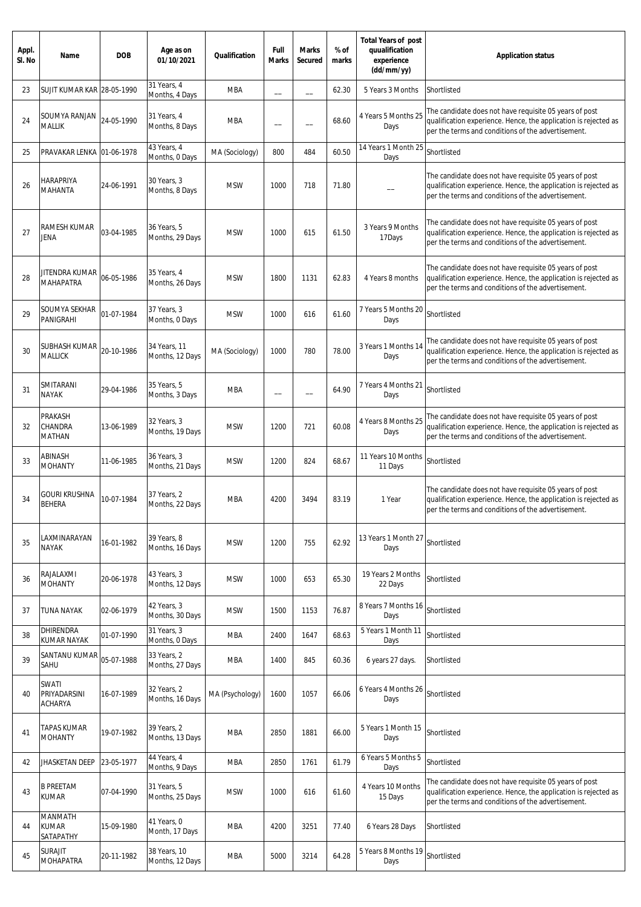| Appl.<br>SI. No | Name                                    | <b>DOB</b> | Age as on<br>01/10/2021         | Qualification   | Full<br><b>Marks</b> | <b>Marks</b><br>Secured | % of<br>marks | <b>Total Years of post</b><br>quualification<br>experience<br>(dd/mm/yy) | <b>Application status</b>                                                                                                                                                       |
|-----------------|-----------------------------------------|------------|---------------------------------|-----------------|----------------------|-------------------------|---------------|--------------------------------------------------------------------------|---------------------------------------------------------------------------------------------------------------------------------------------------------------------------------|
| 23              | SUJIT KUMAR KAR 28-05-1990              |            | 31 Years, 4<br>Months, 4 Days   | <b>MBA</b>      |                      |                         | 62.30         | 5 Years 3 Months                                                         | Shortlisted                                                                                                                                                                     |
| 24              | SOUMYA RANJAN<br><b>MALLIK</b>          | 24-05-1990 | 31 Years, 4<br>Months, 8 Days   | <b>MBA</b>      | --                   |                         | 68.60         | 4 Years 5 Months 25<br>Days                                              | The candidate does not have requisite 05 years of post<br>qualification experience. Hence, the application is rejected as<br>per the terms and conditions of the advertisement. |
| 25              | PRAVAKAR LENKA                          | 01-06-1978 | 43 Years, 4<br>Months, 0 Days   | MA (Sociology)  | 800                  | 484                     | 60.50         | 14 Years 1 Month 25<br>Days                                              | Shortlisted                                                                                                                                                                     |
| 26              | HARAPRIYA<br>MAHANTA                    | 24-06-1991 | 30 Years, 3<br>Months, 8 Days   | <b>MSW</b>      | 1000                 | 718                     | 71.80         |                                                                          | The candidate does not have requisite 05 years of post<br>qualification experience. Hence, the application is rejected as<br>per the terms and conditions of the advertisement. |
| 27              | RAMESH KUMAR<br>JENA                    | 03-04-1985 | 36 Years, 5<br>Months, 29 Days  | <b>MSW</b>      | 1000                 | 615                     | 61.50         | 3 Years 9 Months<br>17Days                                               | The candidate does not have requisite 05 years of post<br>qualification experience. Hence, the application is rejected as<br>per the terms and conditions of the advertisement. |
| 28              | JITENDRA KUMAR<br><b>MAHAPATRA</b>      | 06-05-1986 | 35 Years, 4<br>Months, 26 Days  | <b>MSW</b>      | 1800                 | 1131                    | 62.83         | 4 Years 8 months                                                         | The candidate does not have requisite 05 years of post<br>qualification experience. Hence, the application is rejected as<br>per the terms and conditions of the advertisement. |
| 29              | SOUMYA SEKHAR<br>PANIGRAHI              | 01-07-1984 | 37 Years, 3<br>Months, 0 Days   | <b>MSW</b>      | 1000                 | 616                     | 61.60         | 7 Years 5 Months 20<br>Days                                              | Shortlisted                                                                                                                                                                     |
| 30              | SUBHASH KUMAR<br>MALLICK                | 20-10-1986 | 34 Years, 11<br>Months, 12 Days | MA (Sociology)  | 1000                 | 780                     | 78.00         | 3 Years 1 Months 14<br>Days                                              | The candidate does not have requisite 05 years of post<br>qualification experience. Hence, the application is rejected as<br>per the terms and conditions of the advertisement. |
| 31              | SMITARANI<br><b>NAYAK</b>               | 29-04-1986 | 35 Years, 5<br>Months, 3 Days   | <b>MBA</b>      | --                   | --                      | 64.90         | 7 Years 4 Months 21<br>Days                                              | Shortlisted                                                                                                                                                                     |
| 32              | PRAKASH<br>CHANDRA<br><b>MATHAN</b>     | 13-06-1989 | 32 Years, 3<br>Months, 19 Days  | <b>MSW</b>      | 1200                 | 721                     | 60.08         | 4 Years 8 Months 25<br>Days                                              | The candidate does not have requisite 05 years of post<br>qualification experience. Hence, the application is rejected as<br>per the terms and conditions of the advertisement. |
| 33              | ABINASH<br><b>MOHANTY</b>               | 11-06-1985 | 36 Years, 3<br>Months, 21 Days  | <b>MSW</b>      | 1200                 | 824                     | 68.67         | 11 Years 10 Months<br>11 Days                                            | Shortlisted                                                                                                                                                                     |
| 34              | <b>GOURI KRUSHNA</b><br><b>BEHERA</b>   | 10-07-1984 | 37 Years, 2<br>Months, 22 Days  | <b>MBA</b>      | 4200                 | 3494                    | 83.19         | 1 Year                                                                   | The candidate does not have requisite 05 years of post<br>qualification experience. Hence, the application is rejected as<br>per the terms and conditions of the advertisement. |
| 35              | LAXMINARAYAN<br><b>NAYAK</b>            | 16-01-1982 | 39 Years, 8<br>Months, 16 Days  | <b>MSW</b>      | 1200                 | 755                     | 62.92         | 13 Years 1 Month 27<br>Days                                              | Shortlisted                                                                                                                                                                     |
| 36              | RAJALAXMI<br><b>MOHANTY</b>             | 20-06-1978 | 43 Years, 3<br>Months, 12 Days  | <b>MSW</b>      | 1000                 | 653                     | 65.30         | 19 Years 2 Months<br>22 Days                                             | Shortlisted                                                                                                                                                                     |
| 37              | <b>TUNA NAYAK</b>                       | 02-06-1979 | 42 Years, 3<br>Months, 30 Days  | <b>MSW</b>      | 1500                 | 1153                    | 76.87         | 8 Years 7 Months 16<br>Days                                              | Shortlisted                                                                                                                                                                     |
| 38              | <b>DHIRENDRA</b><br>KUMAR NAYAK         | 01-07-1990 | 31 Years, 3<br>Months, 0 Days   | <b>MBA</b>      | 2400                 | 1647                    | 68.63         | 5 Years 1 Month 11<br>Days                                               | Shortlisted                                                                                                                                                                     |
| 39              | SANTANU KUMAR<br>SAHU                   | 05-07-1988 | 33 Years, 2<br>Months, 27 Days  | <b>MBA</b>      | 1400                 | 845                     | 60.36         | 6 years 27 days.                                                         | Shortlisted                                                                                                                                                                     |
| 40              | SWATI<br>PRIYADARSINI<br><b>ACHARYA</b> | 16-07-1989 | 32 Years, 2<br>Months, 16 Days  | MA (Psychology) | 1600                 | 1057                    | 66.06         | 6 Years 4 Months 26<br>Days                                              | Shortlisted                                                                                                                                                                     |
| 41              | TAPAS KUMAR<br><b>MOHANTY</b>           | 19-07-1982 | 39 Years, 2<br>Months, 13 Days  | <b>MBA</b>      | 2850                 | 1881                    | 66.00         | 5 Years 1 Month 15<br>Days                                               | Shortlisted                                                                                                                                                                     |
| 42              | <b>JHASKETAN DEEP</b>                   | 23-05-1977 | 44 Years, 4<br>Months, 9 Days   | <b>MBA</b>      | 2850                 | 1761                    | 61.79         | 6 Years 5 Months 5<br>Days                                               | Shortlisted                                                                                                                                                                     |
| 43              | <b>B PREETAM</b><br><b>KUMAR</b>        | 07-04-1990 | 31 Years, 5<br>Months, 25 Days  | <b>MSW</b>      | 1000                 | 616                     | 61.60         | 4 Years 10 Months<br>15 Days                                             | The candidate does not have requisite 05 years of post<br>qualification experience. Hence, the application is rejected as<br>per the terms and conditions of the advertisement. |
| 44              | MANMATH<br><b>KUMAR</b><br>SATAPATHY    | 15-09-1980 | 41 Years, 0<br>Month, 17 Days   | <b>MBA</b>      | 4200                 | 3251                    | 77.40         | 6 Years 28 Days                                                          | Shortlisted                                                                                                                                                                     |
| 45              | <b>SURAJIT</b><br><b>MOHAPATRA</b>      | 20-11-1982 | 38 Years, 10<br>Months, 12 Days | <b>MBA</b>      | 5000                 | 3214                    | 64.28         | 5 Years 8 Months 19<br>Days                                              | Shortlisted                                                                                                                                                                     |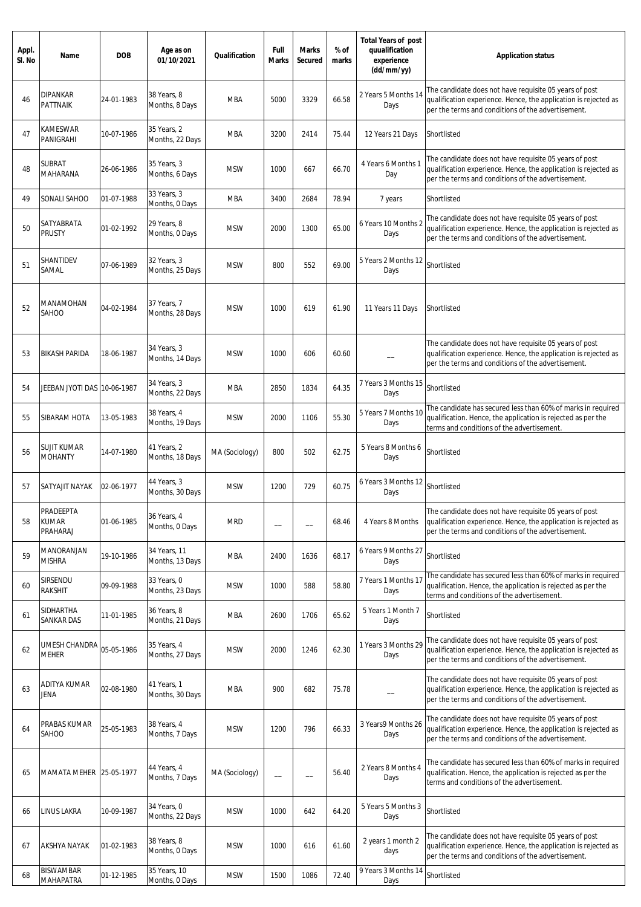| Appl.<br>SI. No | Name                                  | <b>DOB</b> | Age as on<br>01/10/2021         | Qualification  | Full<br><b>Marks</b>     | <b>Marks</b><br>Secured | % of<br>marks | <b>Total Years of post</b><br>quualification<br>experience<br>(dd/mm/yy) | <b>Application status</b>                                                                                                                                                       |
|-----------------|---------------------------------------|------------|---------------------------------|----------------|--------------------------|-------------------------|---------------|--------------------------------------------------------------------------|---------------------------------------------------------------------------------------------------------------------------------------------------------------------------------|
| 46              | <b>DIPANKAR</b><br><b>PATTNAIK</b>    | 24-01-1983 | 38 Years, 8<br>Months, 8 Days   | <b>MBA</b>     | 5000                     | 3329                    | 66.58         | 2 Years 5 Months 14<br>Days                                              | The candidate does not have requisite 05 years of post<br>qualification experience. Hence, the application is rejected as<br>per the terms and conditions of the advertisement. |
| 47              | KAMESWAR<br>PANIGRAHI                 | 10-07-1986 | 35 Years, 2<br>Months, 22 Days  | MBA            | 3200                     | 2414                    | 75.44         | 12 Years 21 Days                                                         | Shortlisted                                                                                                                                                                     |
| 48              | <b>SUBRAT</b><br>MAHARANA             | 26-06-1986 | 35 Years, 3<br>Months, 6 Days   | <b>MSW</b>     | 1000                     | 667                     | 66.70         | 4 Years 6 Months 1<br>Day                                                | The candidate does not have requisite 05 years of post<br>qualification experience. Hence, the application is rejected as<br>per the terms and conditions of the advertisement. |
| 49              | SONALI SAHOO                          | 01-07-1988 | 33 Years, 3<br>Months, 0 Days   | <b>MBA</b>     | 3400                     | 2684                    | 78.94         | 7 years                                                                  | Shortlisted                                                                                                                                                                     |
| 50              | SATYABRATA<br><b>PRUSTY</b>           | 01-02-1992 | 29 Years, 8<br>Months, 0 Days   | <b>MSW</b>     | 2000                     | 1300                    | 65.00         | 6 Years 10 Months 2<br>Days                                              | The candidate does not have requisite 05 years of post<br>qualification experience. Hence, the application is rejected as<br>per the terms and conditions of the advertisement. |
| 51              | <b>SHANTIDEV</b><br>SAMAL             | 07-06-1989 | 32 Years, 3<br>Months, 25 Days  | <b>MSW</b>     | 800                      | 552                     | 69.00         | 5 Years 2 Months 12<br>Days                                              | Shortlisted                                                                                                                                                                     |
| 52              | MANAMOHAN<br>SAHOO                    | 04-02-1984 | 37 Years, 7<br>Months, 28 Days  | <b>MSW</b>     | 1000                     | 619                     | 61.90         | 11 Years 11 Days                                                         | Shortlisted                                                                                                                                                                     |
| 53              | <b>BIKASH PARIDA</b>                  | 18-06-1987 | 34 Years, 3<br>Months, 14 Days  | <b>MSW</b>     | 1000                     | 606                     | 60.60         |                                                                          | The candidate does not have requisite 05 years of post<br>qualification experience. Hence, the application is rejected as<br>per the terms and conditions of the advertisement. |
| 54              | JEEBAN JYOTI DAS 10-06-1987           |            | 34 Years, 3<br>Months, 22 Days  | <b>MBA</b>     | 2850                     | 1834                    | 64.35         | 7 Years 3 Months 15<br>Days                                              | Shortlisted                                                                                                                                                                     |
| 55              | SIBARAM HOTA                          | 13-05-1983 | 38 Years, 4<br>Months, 19 Days  | <b>MSW</b>     | 2000                     | 1106                    | 55.30         | 5 Years 7 Months 10<br>Days                                              | The candidate has secured less than 60% of marks in required<br>qualification. Hence, the application is rejected as per the<br>terms and conditions of the advertisement.      |
| 56              | <b>SUJIT KUMAR</b><br><b>MOHANTY</b>  | 14-07-1980 | 41 Years, 2<br>Months, 18 Days  | MA (Sociology) | 800                      | 502                     | 62.75         | 5 Years 8 Months 6<br>Days                                               | Shortlisted                                                                                                                                                                     |
| 57              | SATYAJIT NAYAK                        | 02-06-1977 | 44 Years, 3<br>Months, 30 Days  | <b>MSW</b>     | 1200                     | 729                     | 60.75         | 6 Years 3 Months 12<br>Days                                              | Shortlisted                                                                                                                                                                     |
| 58              | PRADEEPTA<br><b>KUMAR</b><br>PRAHARAJ | 01-06-1985 | 36 Years, 4<br>Months, 0 Days   | <b>MRD</b>     |                          |                         | 68.46         | 4 Years 8 Months                                                         | The candidate does not have requisite 05 years of post<br>qualification experience. Hence, the application is rejected as<br>per the terms and conditions of the advertisement. |
| 59              | MANORANJAN<br><b>MISHRA</b>           | 19-10-1986 | 34 Years, 11<br>Months, 13 Days | MBA            | 2400                     | 1636                    | 68.17         | 6 Years 9 Months 27<br>Days                                              | Shortlisted                                                                                                                                                                     |
| 60              | Sirsendu<br>RAKSHIT                   | 09-09-1988 | 33 Years, O<br>Months, 23 Days  | <b>MSW</b>     | 1000                     | 588                     | 58.80         | 7 Years 1 Months 17<br>Days                                              | The candidate has secured less than 60% of marks in required<br>qualification. Hence, the application is rejected as per the<br>terms and conditions of the advertisement.      |
| 61              | SIDHARTHA<br><b>SANKAR DAS</b>        | 11-01-1985 | 36 Years, 8<br>Months, 21 Days  | MBA            | 2600                     | 1706                    | 65.62         | 5 Years 1 Month 7<br>Days                                                | Shortlisted                                                                                                                                                                     |
| 62              | UMESH CHANDRA<br><b>MEHER</b>         | 05-05-1986 | 35 Years, 4<br>Months, 27 Days  | <b>MSW</b>     | 2000                     | 1246                    | 62.30         | 1 Years 3 Months 29<br>Days                                              | The candidate does not have requisite 05 years of post<br>qualification experience. Hence, the application is rejected as<br>per the terms and conditions of the advertisement. |
| 63              | ADITYA KUMAR<br>Jena                  | 02-08-1980 | 41 Years, 1<br>Months, 30 Days  | <b>MBA</b>     | 900                      | 682                     | 75.78         |                                                                          | The candidate does not have requisite 05 years of post<br>qualification experience. Hence, the application is rejected as<br>per the terms and conditions of the advertisement. |
| 64              | PRABAS KUMAR<br>SAHOO                 | 25-05-1983 | 38 Years, 4<br>Months, 7 Days   | <b>MSW</b>     | 1200                     | 796                     | 66.33         | 3 Years9 Months 26<br>Days                                               | The candidate does not have requisite 05 years of post<br>qualification experience. Hence, the application is rejected as<br>per the terms and conditions of the advertisement. |
| 65              | MAMATA MEHER 25-05-1977               |            | 44 Years, 4<br>Months, 7 Days   | MA (Sociology) | $\overline{\phantom{0}}$ |                         | 56.40         | 2 Years 8 Months 4<br>Days                                               | The candidate has secured less than 60% of marks in required<br>qualification. Hence, the application is rejected as per the<br>terms and conditions of the advertisement.      |
| 66              | LINUS LAKRA                           | 10-09-1987 | 34 Years, 0<br>Months, 22 Days  | <b>MSW</b>     | 1000                     | 642                     | 64.20         | 5 Years 5 Months 3<br>Days                                               | Shortlisted                                                                                                                                                                     |
| 67              | AKSHYA NAYAK                          | 01-02-1983 | 38 Years, 8<br>Months, 0 Days   | <b>MSW</b>     | 1000                     | 616                     | 61.60         | 2 years 1 month 2<br>days                                                | The candidate does not have requisite 05 years of post<br>qualification experience. Hence, the application is rejected as<br>per the terms and conditions of the advertisement. |
| 68              | <b>BISWAMBAR</b><br><b>MAHAPATRA</b>  | 01-12-1985 | 35 Years, 10<br>Months, 0 Days  | <b>MSW</b>     | 1500                     | 1086                    | 72.40         | 9 Years 3 Months 14<br>Days                                              | Shortlisted                                                                                                                                                                     |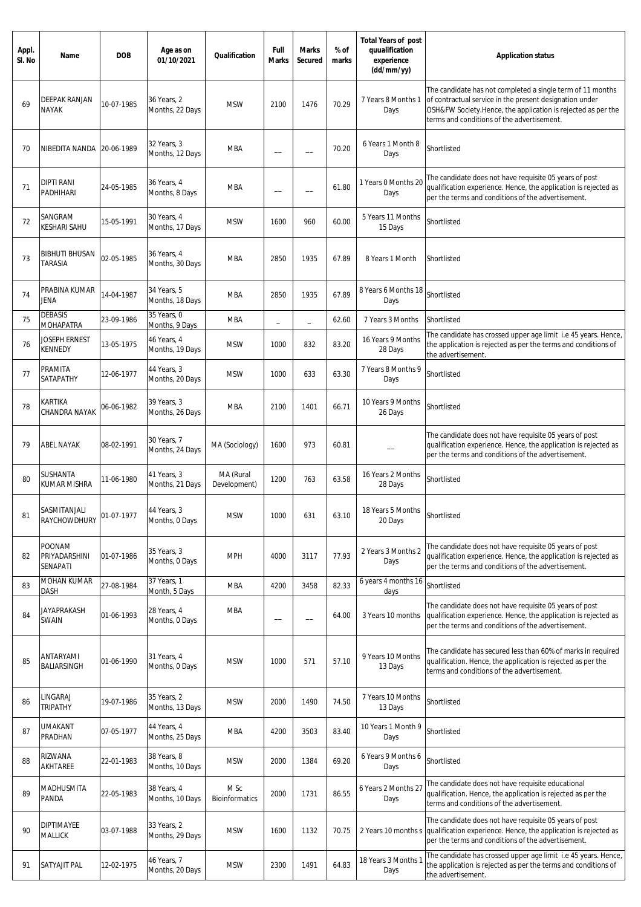| Appl.<br>SI. No | Name                                       | <b>DOB</b> | Age as on<br>01/10/2021                          | Qualification                 | Full<br><b>Marks</b>     | <b>Marks</b><br>Secured  | % of<br>marks | <b>Total Years of post</b><br>quualification<br>experience<br>(dd/mm/yy) | <b>Application status</b>                                                                                                                                                                                                           |
|-----------------|--------------------------------------------|------------|--------------------------------------------------|-------------------------------|--------------------------|--------------------------|---------------|--------------------------------------------------------------------------|-------------------------------------------------------------------------------------------------------------------------------------------------------------------------------------------------------------------------------------|
| 69              | DEEPAK RANJAN<br><b>NAYAK</b>              | 10-07-1985 | 36 Years, 2<br>Months, 22 Days                   | <b>MSW</b>                    | 2100                     | 1476                     | 70.29         | 7 Years 8 Months 1<br>Days                                               | The candidate has not completed a single term of 11 months<br>of contractual service in the present designation under<br>OSH&FW Society.Hence, the application is rejected as per the<br>terms and conditions of the advertisement. |
| 70              | NIBEDITA NANDA   20-06-1989                |            | 32 Years, 3<br>Months, 12 Days                   | MBA                           | $\overline{\phantom{0}}$ |                          | 70.20         | 6 Years 1 Month 8<br>Days                                                | Shortlisted                                                                                                                                                                                                                         |
| 71              | <b>DIPTI RANI</b><br>PADHIHARI             | 24-05-1985 | 36 Years, 4<br>Months, 8 Days                    | MBA                           | $\overline{\phantom{0}}$ |                          | 61.80         | 1 Years 0 Months 20<br>Days                                              | The candidate does not have requisite 05 years of post<br>qualification experience. Hence, the application is rejected as<br>per the terms and conditions of the advertisement.                                                     |
| 72              | SANGRAM<br>KESHARI SAHU                    | 15-05-1991 | 30 Years, 4<br>Months, 17 Days                   | <b>MSW</b>                    | 1600                     | 960                      | 60.00         | 5 Years 11 Months<br>15 Days                                             | Shortlisted                                                                                                                                                                                                                         |
| 73              | <b>BIBHUTI BHUSAN</b><br>TARASIA           | 02-05-1985 | 36 Years, 4<br>Months, 30 Days                   | MBA                           | 2850                     | 1935                     | 67.89         | 8 Years 1 Month                                                          | Shortlisted                                                                                                                                                                                                                         |
| 74              | PRABINA KUMAR<br>JENA                      | 14-04-1987 | 34 Years, 5<br>Months, 18 Days                   | <b>MBA</b>                    | 2850                     | 1935                     | 67.89         | 8 Years 6 Months 18<br>Days                                              | Shortlisted                                                                                                                                                                                                                         |
| 75              | <b>DEBASIS</b>                             | 23-09-1986 | 35 Years, 0                                      | <b>MBA</b>                    | ÷,                       | $\overline{\phantom{0}}$ | 62.60         | 7 Years 3 Months                                                         | Shortlisted                                                                                                                                                                                                                         |
| 76              | MOHAPATRA<br>JOSEPH ERNEST<br>KENNEDY      | 13-05-1975 | Months, 9 Days<br>46 Years, 4<br>Months, 19 Days | <b>MSW</b>                    | 1000                     | 832                      | 83.20         | 16 Years 9 Months<br>28 Days                                             | The candidate has crossed upper age limit i.e 45 years. Hence,<br>the application is rejected as per the terms and conditions of<br>the advertisement.                                                                              |
| 77              | PRAMITA<br>SATAPATHY                       | 12-06-1977 | 44 Years, 3<br>Months, 20 Days                   | <b>MSW</b>                    | 1000                     | 633                      | 63.30         | 7 Years 8 Months 9<br>Days                                               | Shortlisted                                                                                                                                                                                                                         |
| 78              | KARTIKA<br>CHANDRA NAYAK                   | 06-06-1982 | 39 Years, 3<br>Months, 26 Days                   | MBA                           | 2100                     | 1401                     | 66.71         | 10 Years 9 Months<br>26 Days                                             | Shortlisted                                                                                                                                                                                                                         |
| 79              | ABEL NAYAK                                 | 08-02-1991 | 30 Years, 7<br>Months, 24 Days                   | MA (Sociology)                | 1600                     | 973                      | 60.81         |                                                                          | The candidate does not have requisite 05 years of post<br>qualification experience. Hence, the application is rejected as<br>per the terms and conditions of the advertisement.                                                     |
| 80              | SUSHANTA<br>KUMAR MISHRA                   | 11-06-1980 | 41 Years, 3<br>Months, 21 Days                   | MA (Rural<br>Development)     | 1200                     | 763                      | 63.58         | 16 Years 2 Months<br>28 Days                                             | Shortlisted                                                                                                                                                                                                                         |
| 81              | SASMITANJALI<br><b>RAYCHOWDHURY</b>        | 01-07-1977 | 44 Years, 3<br>Months, 0 Days                    | <b>MSW</b>                    | 1000                     | 631                      | 63.10         | 18 Years 5 Months<br>20 Days                                             | Shortlisted                                                                                                                                                                                                                         |
| 82              | <b>POONAM</b><br>PRIYADARSHINI<br>SENAPATI | 01-07-1986 | 35 Years, 3<br>Months, 0 Days                    | <b>MPH</b>                    | 4000                     | 3117                     | 77.93         | 2 Years 3 Months 2<br>Days                                               | The candidate does not have requisite 05 years of post<br>qualification experience. Hence, the application is rejected as<br>per the terms and conditions of the advertisement.                                                     |
| 83              | MOHAN KUMAR<br>DASH                        | 27-08-1984 | 37 Years, 1<br>Month, 5 Days                     | <b>MBA</b>                    | 4200                     | 3458                     | 82.33         | 6 years 4 months 16<br>days                                              | Shortlisted                                                                                                                                                                                                                         |
| 84              | JAYAPRAKASH<br><b>SWAIN</b>                | 01-06-1993 | 28 Years, 4<br>Months, 0 Days                    | MBA                           |                          |                          | 64.00         | 3 Years 10 months                                                        | The candidate does not have requisite 05 years of post<br>qualification experience. Hence, the application is rejected as<br>per the terms and conditions of the advertisement.                                                     |
| 85              | ANTARYAMI<br><b>BALIARSINGH</b>            | 01-06-1990 | 31 Years, 4<br>Months, 0 Days                    | <b>MSW</b>                    | 1000                     | 571                      | 57.10         | 9 Years 10 Months<br>13 Days                                             | The candidate has secured less than 60% of marks in required<br>qualification. Hence, the application is rejected as per the<br>terms and conditions of the advertisement.                                                          |
| 86              | LINGARAJ<br><b>TRIPATHY</b>                | 19-07-1986 | 35 Years, 2<br>Months, 13 Days                   | <b>MSW</b>                    | 2000                     | 1490                     | 74.50         | 7 Years 10 Months<br>13 Days                                             | Shortlisted                                                                                                                                                                                                                         |
| 87              | UMAKANT<br>PRADHAN                         | 07-05-1977 | 44 Years, 4<br>Months, 25 Days                   | <b>MBA</b>                    | 4200                     | 3503                     | 83.40         | 10 Years 1 Month 9<br>Days                                               | Shortlisted                                                                                                                                                                                                                         |
| 88              | RIZWANA<br>AKHTAREE                        | 22-01-1983 | 38 Years, 8<br>Months, 10 Days                   | <b>MSW</b>                    | 2000                     | 1384                     | 69.20         | 6 Years 9 Months 6<br>Days                                               | Shortlisted                                                                                                                                                                                                                         |
| 89              | MADHUSMITA<br>PANDA                        | 22-05-1983 | 38 Years, 4<br>Months, 10 Days                   | M Sc<br><b>Bioinformatics</b> | 2000                     | 1731                     | 86.55         | 6 Years 2 Months 27<br>Days                                              | The candidate does not have requisite educational<br>qualification. Hence, the application is rejected as per the<br>terms and conditions of the advertisement.                                                                     |
| 90              | DIPTIMAYEE<br>MALLICK                      | 03-07-1988 | 33 Years, 2<br>Months, 29 Days                   | <b>MSW</b>                    | 1600                     | 1132                     | 70.75         | 2 Years 10 months s                                                      | The candidate does not have requisite 05 years of post<br>qualification experience. Hence, the application is rejected as<br>per the terms and conditions of the advertisement.                                                     |
| 91              | SATYAJIT PAL                               | 12-02-1975 | 46 Years, 7<br>Months, 20 Days                   | <b>MSW</b>                    | 2300                     | 1491                     | 64.83         | 18 Years 3 Months 1<br>Days                                              | The candidate has crossed upper age limit i.e 45 years. Hence,<br>the application is rejected as per the terms and conditions of<br>the advertisement.                                                                              |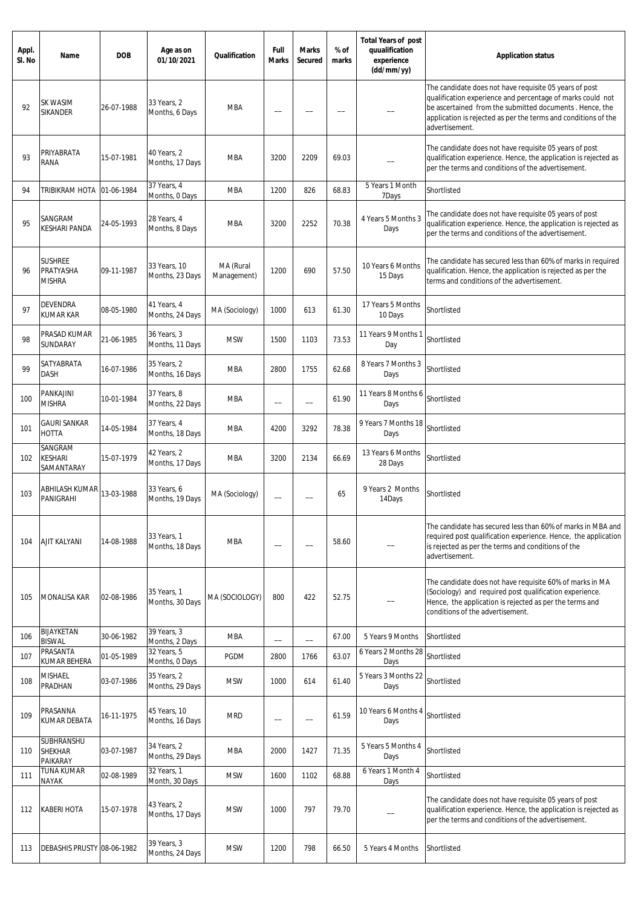| Appl.<br>SI. No | Name                                         | <b>DOB</b> | Age as on<br>01/10/2021         | Qualification            | Full<br><b>Marks</b>     | <b>Marks</b><br>Secured  | % of<br>marks | <b>Total Years of post</b><br>quualification<br>experience<br>(dd/mm/yy) | <b>Application status</b>                                                                                                                                                                                                                                           |
|-----------------|----------------------------------------------|------------|---------------------------------|--------------------------|--------------------------|--------------------------|---------------|--------------------------------------------------------------------------|---------------------------------------------------------------------------------------------------------------------------------------------------------------------------------------------------------------------------------------------------------------------|
| 92              | SK WASIM<br><b>SIKANDER</b>                  | 26-07-1988 | 33 Years, 2<br>Months, 6 Days   | MBA                      |                          |                          |               |                                                                          | The candidate does not have requisite 05 years of post<br>qualification experience and percentage of marks could not<br>be ascertained from the submitted documents. Hence, the<br>application is rejected as per the terms and conditions of the<br>advertisement. |
| 93              | PRIYABRATA<br>RANA                           | 15-07-1981 | 40 Years, 2<br>Months, 17 Days  | <b>MBA</b>               | 3200                     | 2209                     | 69.03         |                                                                          | The candidate does not have requisite 05 years of post<br>qualification experience. Hence, the application is rejected as<br>per the terms and conditions of the advertisement.                                                                                     |
| 94              | TRIBIKRAM HOTA                               | 01-06-1984 | 37 Years, 4<br>Months, 0 Days   | <b>MBA</b>               | 1200                     | 826                      | 68.83         | 5 Years 1 Month<br>7Days                                                 | Shortlisted                                                                                                                                                                                                                                                         |
| 95              | SANGRAM<br>KESHARI PANDA                     | 24-05-1993 | 28 Years, 4<br>Months, 8 Days   | MBA                      | 3200                     | 2252                     | 70.38         | 4 Years 5 Months 3<br>Days                                               | The candidate does not have requisite 05 years of post<br>qualification experience. Hence, the application is rejected as<br>per the terms and conditions of the advertisement.                                                                                     |
| 96              | <b>SUSHREE</b><br>PRATYASHA<br><b>MISHRA</b> | 09-11-1987 | 33 Years, 10<br>Months, 23 Days | MA (Rural<br>Management) | 1200                     | 690                      | 57.50         | 10 Years 6 Months<br>15 Days                                             | The candidate has secured less than 60% of marks in required<br>qualification. Hence, the application is rejected as per the<br>terms and conditions of the advertisement.                                                                                          |
| 97              | DEVENDRA<br><b>KUMAR KAR</b>                 | 08-05-1980 | 41 Years, 4<br>Months, 24 Days  | MA (Sociology)           | 1000                     | 613                      | 61.30         | 17 Years 5 Months<br>10 Days                                             | Shortlisted                                                                                                                                                                                                                                                         |
| 98              | PRASAD KUMAR<br>SUNDARAY                     | 21-06-1985 | 36 Years, 3<br>Months, 11 Days  | <b>MSW</b>               | 1500                     | 1103                     | 73.53         | 11 Years 9 Months 1<br>Day                                               | Shortlisted                                                                                                                                                                                                                                                         |
| 99              | SATYABRATA<br>DASH                           | 16-07-1986 | 35 Years, 2<br>Months, 16 Days  | MBA                      | 2800                     | 1755                     | 62.68         | 8 Years 7 Months 3<br>Days                                               | Shortlisted                                                                                                                                                                                                                                                         |
| 100             | PANKAJINI<br><b>MISHRA</b>                   | 10-01-1984 | 37 Years, 8<br>Months, 22 Days  | <b>MBA</b>               | $\overline{\phantom{m}}$ | $\overline{\phantom{0}}$ | 61.90         | 11 Years 8 Months 6<br>Days                                              | Shortlisted                                                                                                                                                                                                                                                         |
| 101             | <b>GAURI SANKAR</b><br>HOTTA                 | 14-05-1984 | 37 Years, 4<br>Months, 18 Days  | MBA                      | 4200                     | 3292                     | 78.38         | 9 Years 7 Months 18<br>Days                                              | Shortlisted                                                                                                                                                                                                                                                         |
| 102             | SANGRAM<br><b>KESHARI</b><br>SAMANTARAY      | 15-07-1979 | 42 Years, 2<br>Months, 17 Days  | MBA                      | 3200                     | 2134                     | 66.69         | 13 Years 6 Months<br>28 Days                                             | Shortlisted                                                                                                                                                                                                                                                         |
| 103             | ABHILASH KUMAR<br>PANIGRAHI                  | 13-03-1988 | 33 Years, 6<br>Months, 19 Days  | MA (Sociology)           |                          |                          | 65            | 9 Years 2 Months<br>14Days                                               | Shortlisted                                                                                                                                                                                                                                                         |
| 104             | AJIT KALYANI                                 | 14-08-1988 | 33 Years, 1<br>Months, 18 Days  | <b>MBA</b>               |                          |                          | 58.60         |                                                                          | The candidate has secured less than 60% of marks in MBA and<br>required post qualification experience. Hence, the application<br>is rejected as per the terms and conditions of the<br>advertisement.                                                               |
| 105             | <b>MONALISA KAR</b>                          | 02-08-1986 | 35 Years, 1<br>Months, 30 Days  | MA (SOCIOLOGY)           | 800                      | 422                      | 52.75         |                                                                          | The candidate does not have requisite 60% of marks in MA<br>(Sociology) and required post qualification experience.<br>Hence, the application is rejected as per the terms and<br>conditions of the advertisement.                                                  |
| 106             | <b>BIJAYKETAN</b><br><b>BISWAL</b>           | 30-06-1982 | 39 Years, 3<br>Months, 2 Days   | <b>MBA</b>               | —<br>——                  | $\overline{\phantom{0}}$ | 67.00         | 5 Years 9 Months                                                         | Shortlisted                                                                                                                                                                                                                                                         |
| 107             | PRASANTA<br>KUMAR BEHERA                     | 01-05-1989 | 32 Years, 5<br>Months, 0 Days   | PGDM                     | 2800                     | 1766                     | 63.07         | 6 Years 2 Months 28<br>Days                                              | Shortlisted                                                                                                                                                                                                                                                         |
| 108             | <b>MISHAEL</b><br>PRADHAN                    | 03-07-1986 | 35 Years, 2<br>Months, 29 Days  | <b>MSW</b>               | 1000                     | 614                      | 61.40         | 5 Years 3 Months 22<br>Days                                              | Shortlisted                                                                                                                                                                                                                                                         |
| 109             | PRASANNA<br><b>KUMAR DEBATA</b>              | 16-11-1975 | 45 Years, 10<br>Months, 16 Days | <b>MRD</b>               | --                       | --                       | 61.59         | 10 Years 6 Months 4<br>Days                                              | Shortlisted                                                                                                                                                                                                                                                         |
| 110             | <b>SUBHRANSHU</b><br>SHEKHAR<br>PAIKARAY     | 03-07-1987 | 34 Years, 2<br>Months, 29 Days  | <b>MBA</b>               | 2000                     | 1427                     | 71.35         | 5 Years 5 Months 4<br>Days                                               | Shortlisted                                                                                                                                                                                                                                                         |
| 111             | TUNA KUMAR<br><b>NAYAK</b>                   | 02-08-1989 | 32 Years, 1<br>Month, 30 Days   | <b>MSW</b>               | 1600                     | 1102                     | 68.88         | 6 Years 1 Month 4<br>Days                                                | Shortlisted                                                                                                                                                                                                                                                         |
| 112             | KABERI HOTA                                  | 15-07-1978 | 43 Years, 2<br>Months, 17 Days  | <b>MSW</b>               | 1000                     | 797                      | 79.70         |                                                                          | The candidate does not have requisite 05 years of post<br>qualification experience. Hence, the application is rejected as<br>per the terms and conditions of the advertisement.                                                                                     |
| 113             | DEBASHIS PRUSTY 08-06-1982                   |            | 39 Years, 3<br>Months, 24 Days  | <b>MSW</b>               | 1200                     | 798                      | 66.50         | 5 Years 4 Months                                                         | Shortlisted                                                                                                                                                                                                                                                         |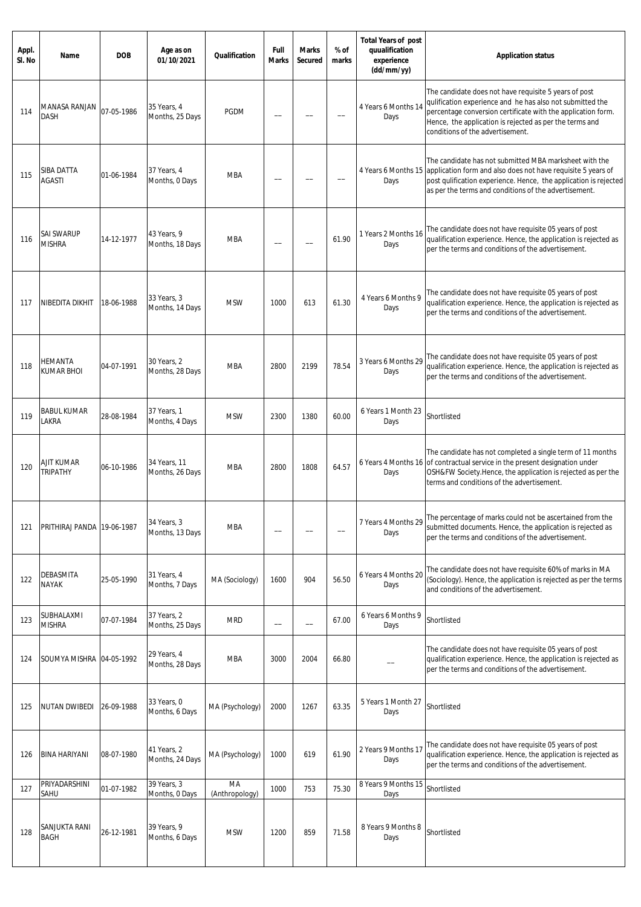| Appl.<br>SI. No | Name                                 | <b>DOB</b> | Age as on<br>01/10/2021         | Qualification        | Full<br><b>Marks</b>     | <b>Marks</b><br>Secured | % of<br>marks | <b>Total Years of post</b><br>quualification<br>experience<br>(dd/mm/yy) | <b>Application status</b>                                                                                                                                                                                                                                                         |
|-----------------|--------------------------------------|------------|---------------------------------|----------------------|--------------------------|-------------------------|---------------|--------------------------------------------------------------------------|-----------------------------------------------------------------------------------------------------------------------------------------------------------------------------------------------------------------------------------------------------------------------------------|
| 114             | MANASA RANJAN<br><b>DASH</b>         | 07-05-1986 | 35 Years, 4<br>Months, 25 Days  | <b>PGDM</b>          |                          |                         |               | 4 Years 6 Months 14<br>Days                                              | The candidate does not have requisite 5 years of post<br>qulification experience and he has also not submitted the<br>percentage conversion certificate with the application form.<br>Hence, the application is rejected as per the terms and<br>conditions of the advertisement. |
| 115             | <b>SIBA DATTA</b><br><b>AGASTI</b>   | 01-06-1984 | 37 Years, 4<br>Months, 0 Days   | <b>MBA</b>           |                          |                         |               | 4 Years 6 Months 15<br>Days                                              | The candidate has not submitted MBA marksheet with the<br>application form and also does not have requisite 5 years of<br>post qulification experience. Hence, the application is rejected<br>as per the terms and conditions of the advertisement.                               |
| 116             | <b>SAI SWARUP</b><br><b>MISHRA</b>   | 14-12-1977 | 43 Years, 9<br>Months, 18 Days  | MBA                  |                          |                         | 61.90         | 1 Years 2 Months 16<br>Days                                              | The candidate does not have requisite 05 years of post<br>qualification experience. Hence, the application is rejected as<br>per the terms and conditions of the advertisement.                                                                                                   |
| 117             | <b>NIBEDITA DIKHIT</b>               | 18-06-1988 | 33 Years, 3<br>Months, 14 Days  | <b>MSW</b>           | 1000                     | 613                     | 61.30         | 4 Years 6 Months 9<br>Days                                               | The candidate does not have requisite 05 years of post<br>qualification experience. Hence, the application is rejected as<br>per the terms and conditions of the advertisement.                                                                                                   |
| 118             | <b>HEMANTA</b><br><b>KUMAR BHOI</b>  | 04-07-1991 | 30 Years, 2<br>Months, 28 Days  | <b>MBA</b>           | 2800                     | 2199                    | 78.54         | 3 Years 6 Months 29<br>Days                                              | The candidate does not have requisite 05 years of post<br>qualification experience. Hence, the application is rejected as<br>per the terms and conditions of the advertisement.                                                                                                   |
| 119             | <b>BABUL KUMAR</b><br>LAKRA          | 28-08-1984 | 37 Years, 1<br>Months, 4 Days   | <b>MSW</b>           | 2300                     | 1380                    | 60.00         | 6 Years 1 Month 23<br>Days                                               | Shortlisted                                                                                                                                                                                                                                                                       |
| 120             | <b>AJIT KUMAR</b><br><b>TRIPATHY</b> | 06-10-1986 | 34 Years, 11<br>Months, 26 Days | <b>MBA</b>           | 2800                     | 1808                    | 64.57         | Days                                                                     | The candidate has not completed a single term of 11 months<br>6 Years 4 Months 16 of contractual service in the present designation under<br>OSH&FW Society.Hence, the application is rejected as per the<br>terms and conditions of the advertisement.                           |
| 121             | PRITHIRAJ PANDA 19-06-1987           |            | 34 Years, 3<br>Months, 13 Days  | <b>MBA</b>           |                          |                         |               | 7 Years 4 Months 29<br>Days                                              | The percentage of marks could not be ascertained from the<br>submitted documents. Hence, the application is rejected as<br>per the terms and conditions of the advertisement.                                                                                                     |
| 122             | <b>DEBASMITA</b><br><b>NAYAK</b>     | 25-05-1990 | 31 Years, 4<br>Months, 7 Days   | MA (Sociology)       | 1600                     | 904                     | 56.50         | 6 Years 4 Months 20<br>Days                                              | The candidate does not have requisite 60% of marks in MA<br>(Sociology). Hence, the application is rejected as per the terms<br>and conditions of the advertisement.                                                                                                              |
| 123             | SUBHALAXMI<br><b>MISHRA</b>          | 07-07-1984 | 37 Years, 2<br>Months, 25 Days  | <b>MRD</b>           | $\overline{\phantom{0}}$ |                         | 67.00         | 6 Years 6 Months 9<br>Days                                               | Shortlisted                                                                                                                                                                                                                                                                       |
| 124             | SOUMYA MISHRA 04-05-1992             |            | 29 Years, 4<br>Months, 28 Days  | <b>MBA</b>           | 3000                     | 2004                    | 66.80         |                                                                          | The candidate does not have requisite 05 years of post<br>qualification experience. Hence, the application is rejected as<br>per the terms and conditions of the advertisement.                                                                                                   |
| 125             | <b>NUTAN DWIBEDI</b>                 | 26-09-1988 | 33 Years, 0<br>Months, 6 Days   | MA (Psychology)      | 2000                     | 1267                    | 63.35         | 5 Years 1 Month 27<br>Days                                               | Shortlisted                                                                                                                                                                                                                                                                       |
| 126             | <b>BINA HARIYANI</b>                 | 08-07-1980 | 41 Years, 2<br>Months, 24 Days  | MA (Psychology)      | 1000                     | 619                     | 61.90         | 2 Years 9 Months 17<br>Days                                              | The candidate does not have requisite 05 years of post<br>qualification experience. Hence, the application is rejected as<br>per the terms and conditions of the advertisement.                                                                                                   |
| 127             | PRIYADARSHINI<br>SAHU                | 01-07-1982 | 39 Years, 3<br>Months, 0 Days   | MA<br>(Anthropology) | 1000                     | 753                     | 75.30         | 8 Years 9 Months 15<br>Days                                              | Shortlisted                                                                                                                                                                                                                                                                       |
| 128             | SANJUKTA RANI<br><b>BAGH</b>         | 26-12-1981 | 39 Years, 9<br>Months, 6 Days   | <b>MSW</b>           | 1200                     | 859                     | 71.58         | 8 Years 9 Months 8<br>Days                                               | Shortlisted                                                                                                                                                                                                                                                                       |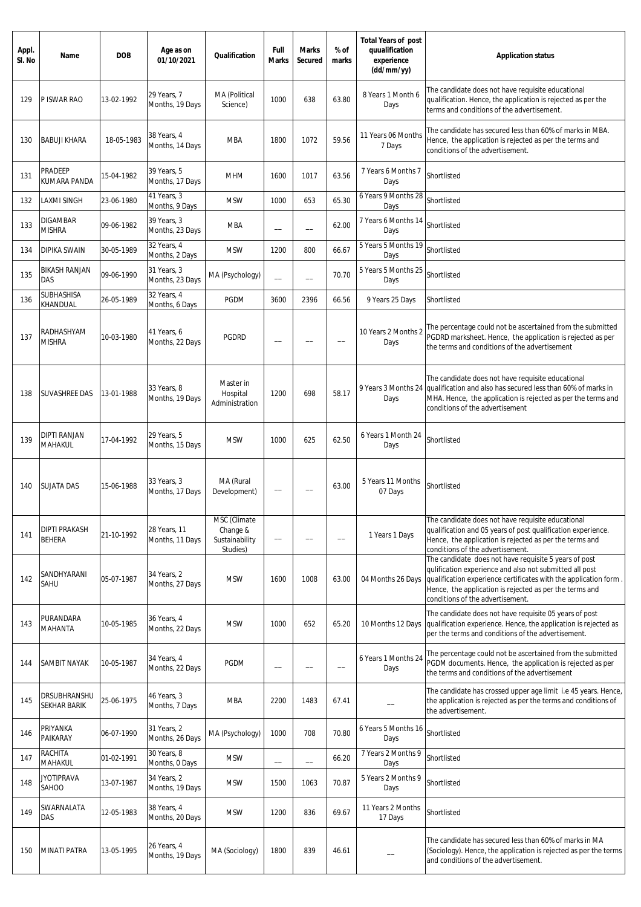| Appl.<br>SI. No | Name                                | <b>DOB</b> | Age as on<br>01/10/2021         | Qualification                                          | Full<br><b>Marks</b> | <b>Marks</b><br><b>Secured</b> | % of<br>marks | <b>Total Years of post</b><br>quualification<br>experience<br>(dd/mm/yy) | <b>Application status</b>                                                                                                                                                                                                                                                           |
|-----------------|-------------------------------------|------------|---------------------------------|--------------------------------------------------------|----------------------|--------------------------------|---------------|--------------------------------------------------------------------------|-------------------------------------------------------------------------------------------------------------------------------------------------------------------------------------------------------------------------------------------------------------------------------------|
| 129             | P ISWAR RAO                         | 13-02-1992 | 29 Years, 7<br>Months, 19 Days  | MA (Political<br>Science)                              | 1000                 | 638                            | 63.80         | 8 Years 1 Month 6<br>Days                                                | The candidate does not have requisite educational<br>qualification. Hence, the application is rejected as per the<br>terms and conditions of the advertisement.                                                                                                                     |
| 130             | <b>BABUJI KHARA</b>                 | 18-05-1983 | 38 Years, 4<br>Months, 14 Days  | <b>MBA</b>                                             | 1800                 | 1072                           | 59.56         | 11 Years 06 Months<br>7 Days                                             | The candidate has secured less than 60% of marks in MBA.<br>Hence, the application is rejected as per the terms and<br>conditions of the advertisement.                                                                                                                             |
| 131             | PRADEEP<br>KUMARA PANDA             | 15-04-1982 | 39 Years, 5<br>Months, 17 Days  | <b>MHM</b>                                             | 1600                 | 1017                           | 63.56         | 7 Years 6 Months 7<br>Days                                               | Shortlisted                                                                                                                                                                                                                                                                         |
| 132             | <b>LAXMI SINGH</b>                  | 23-06-1980 | 41 Years, 3<br>Months, 9 Days   | <b>MSW</b>                                             | 1000                 | 653                            | 65.30         | 6 Years 9 Months 28<br>Days                                              | Shortlisted                                                                                                                                                                                                                                                                         |
| 133             | <b>DIGAMBAR</b><br><b>MISHRA</b>    | 09-06-1982 | 39 Years, 3<br>Months, 23 Days  | <b>MBA</b>                                             |                      | $\overline{\phantom{0}}$       | 62.00         | 7 Years 6 Months 14<br>Days                                              | Shortlisted                                                                                                                                                                                                                                                                         |
| 134             | DIPIKA SWAIN                        | 30-05-1989 | 32 Years, 4<br>Months, 2 Days   | <b>MSW</b>                                             | 1200                 | 800                            | 66.67         | 5 Years 5 Months 19<br>Days                                              | Shortlisted                                                                                                                                                                                                                                                                         |
| 135             | <b>BIKASH RANJAN</b><br>DAS         | 09-06-1990 | 31 Years, 3<br>Months, 23 Days  | MA (Psychology)                                        |                      |                                | 70.70         | 5 Years 5 Months 25<br>Days                                              | Shortlisted                                                                                                                                                                                                                                                                         |
| 136             | SUBHASHISA<br>KHANDUAL              | 26-05-1989 | 32 Years, 4<br>Months, 6 Days   | PGDM                                                   | 3600                 | 2396                           | 66.56         | 9 Years 25 Days                                                          | Shortlisted                                                                                                                                                                                                                                                                         |
| 137             | RADHASHYAM<br><b>MISHRA</b>         | 10-03-1980 | 41 Years, 6<br>Months, 22 Days  | <b>PGDRD</b>                                           |                      |                                |               | 10 Years 2 Months 2<br>Days                                              | The percentage could not be ascertained from the submitted<br>PGDRD marksheet. Hence, the application is rejected as per<br>the terms and conditions of the advertisement                                                                                                           |
| 138             | SUVASHREE DAS                       | 13-01-1988 | 33 Years, 8<br>Months, 19 Days  | Master in<br>Hospital<br>Administration                | 1200                 | 698                            | 58.17         | 9 Years 3 Months 24<br>Days                                              | The candidate does not have requisite educational<br>qualification and also has secured less than 60% of marks in<br>MHA. Hence, the application is rejected as per the terms and<br>conditions of the advertisement                                                                |
| 139             | <b>DIPTI RANJAN</b><br>MAHAKUL      | 17-04-1992 | 29 Years, 5<br>Months, 15 Days  | <b>MSW</b>                                             | 1000                 | 625                            | 62.50         | 6 Years 1 Month 24<br>Days                                               | Shortlisted                                                                                                                                                                                                                                                                         |
| 140             | <b>SUJATA DAS</b>                   | 15-06-1988 | 33 Years, 3<br>Months, 17 Days  | MA (Rural<br>Development)                              |                      |                                | 63.00         | 5 Years 11 Months<br>07 Days                                             | Shortlisted                                                                                                                                                                                                                                                                         |
| 141             | DIPTI PRAKASH<br><b>BEHERA</b>      | 21-10-1992 | 28 Years, 11<br>Months, 11 Days | MSC (Climate<br>Change &<br>Sustainability<br>Studies) | $\qquad \qquad -$    |                                | —             | 1 Years 1 Days                                                           | The candidate does not have requisite educational<br>qualification and 05 years of post qualification experience.<br>Hence, the application is rejected as per the terms and<br>conditions of the advertisement.                                                                    |
| 142             | SANDHYARANI<br>SAHU                 | 05-07-1987 | 34 Years, 2<br>Months, 27 Days  | <b>MSW</b>                                             | 1600                 | 1008                           | 63.00         | 04 Months 26 Days                                                        | The candidate does not have requisite 5 years of post<br>qulification experience and also not submitted all post<br>qualification experience certificates with the application form.<br>Hence, the application is rejected as per the terms and<br>conditions of the advertisement. |
| 143             | PURANDARA<br>MAHANTA                | 10-05-1985 | 36 Years, 4<br>Months, 22 Days  | <b>MSW</b>                                             | 1000                 | 652                            | 65.20         | 10 Months 12 Days                                                        | The candidate does not have requisite 05 years of post<br>qualification experience. Hence, the application is rejected as<br>per the terms and conditions of the advertisement.                                                                                                     |
| 144             | SAMBIT NAYAK                        | 10-05-1987 | 34 Years, 4<br>Months, 22 Days  | PGDM                                                   | $\qquad \qquad -$    |                                | --            | 6 Years 1 Months 24<br>Days                                              | The percentage could not be ascertained from the submitted<br>PGDM documents. Hence, the application is rejected as per<br>the terms and conditions of the advertisement                                                                                                            |
| 145             | DRSUBHRANSHU<br><b>SEKHAR BARIK</b> | 25-06-1975 | 46 Years, 3<br>Months, 7 Days   | <b>MBA</b>                                             | 2200                 | 1483                           | 67.41         |                                                                          | The candidate has crossed upper age limit i.e 45 years. Hence,<br>the application is rejected as per the terms and conditions of<br>the advertisement.                                                                                                                              |
| 146             | PRIYANKA<br>PAIKARAY                | 06-07-1990 | 31 Years, 2<br>Months, 26 Days  | MA (Psychology)                                        | 1000                 | 708                            | 70.80         | 6 Years 5 Months 16<br>Days                                              | Shortlisted                                                                                                                                                                                                                                                                         |
| 147             | RACHITA<br>MAHAKUL                  | 01-02-1991 | 30 Years, 8<br>Months, 0 Days   | <b>MSW</b>                                             | $\qquad \qquad -$    | $\overline{\phantom{0}}$       | 66.20         | 7 Years 2 Months 9<br>Days                                               | Shortlisted                                                                                                                                                                                                                                                                         |
| 148             | <b>JYOTIPRAVA</b><br>SAHOO          | 13-07-1987 | 34 Years, 2<br>Months, 19 Days  | <b>MSW</b>                                             | 1500                 | 1063                           | 70.87         | 5 Years 2 Months 9<br>Days                                               | Shortlisted                                                                                                                                                                                                                                                                         |
| 149             | SWARNALATA<br>DAS                   | 12-05-1983 | 38 Years, 4<br>Months, 20 Days  | <b>MSW</b>                                             | 1200                 | 836                            | 69.67         | 11 Years 2 Months<br>17 Days                                             | Shortlisted                                                                                                                                                                                                                                                                         |
| 150             | MINATI PATRA                        | 13-05-1995 | 26 Years, 4<br>Months, 19 Days  | MA (Sociology)                                         | 1800                 | 839                            | 46.61         |                                                                          | The candidate has secured less than 60% of marks in MA<br>(Sociology). Hence, the application is rejected as per the terms<br>and conditions of the advertisement.                                                                                                                  |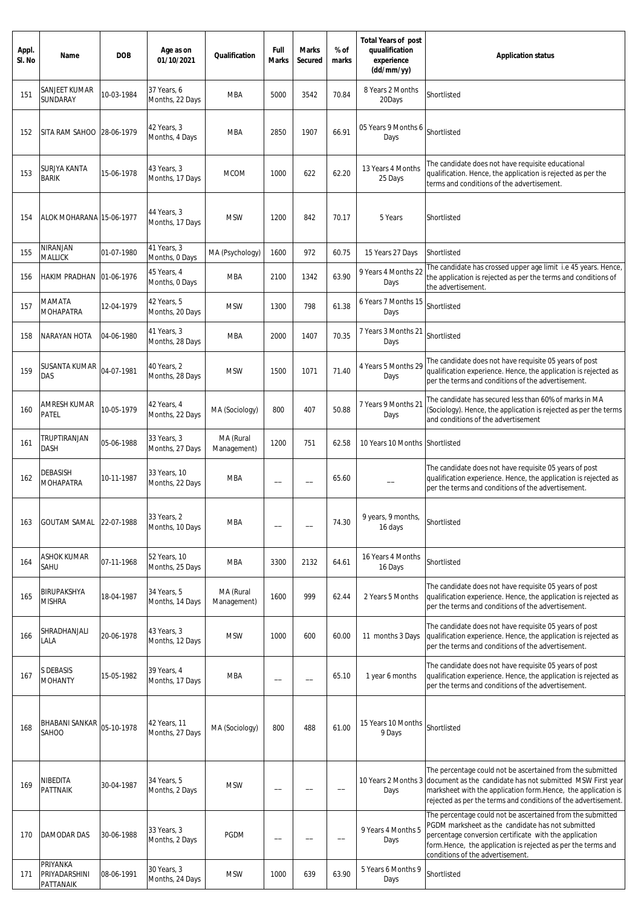| Appl.<br>SI. No | Name                                   | <b>DOB</b> | Age as on<br>01/10/2021         | Qualification            | Full<br><b>Marks</b>     | <b>Marks</b><br>Secured  | % of<br>marks | <b>Total Years of post</b><br>quualification<br>experience<br>(dd/mm/yy) | <b>Application status</b>                                                                                                                                                                                                                                                     |
|-----------------|----------------------------------------|------------|---------------------------------|--------------------------|--------------------------|--------------------------|---------------|--------------------------------------------------------------------------|-------------------------------------------------------------------------------------------------------------------------------------------------------------------------------------------------------------------------------------------------------------------------------|
| 151             | SANJEET KUMAR<br>SUNDARAY              | 10-03-1984 | 37 Years, 6<br>Months, 22 Days  | MBA                      | 5000                     | 3542                     | 70.84         | 8 Years 2 Months<br>20Days                                               | Shortlisted                                                                                                                                                                                                                                                                   |
| 152             | SITA RAM SAHOO 28-06-1979              |            | 42 Years, 3<br>Months, 4 Days   | <b>MBA</b>               | 2850                     | 1907                     | 66.91         | 05 Years 9 Months 6<br>Days                                              | Shortlisted                                                                                                                                                                                                                                                                   |
| 153             | SURJYA KANTA<br><b>BARIK</b>           | 15-06-1978 | 43 Years, 3<br>Months, 17 Days  | <b>MCOM</b>              | 1000                     | 622                      | 62.20         | 13 Years 4 Months<br>25 Days                                             | The candidate does not have requisite educational<br>qualification. Hence, the application is rejected as per the<br>terms and conditions of the advertisement.                                                                                                               |
| 154             | ALOK MOHARANA 15-06-1977               |            | 44 Years, 3<br>Months, 17 Days  | <b>MSW</b>               | 1200                     | 842                      | 70.17         | 5 Years                                                                  | Shortlisted                                                                                                                                                                                                                                                                   |
| 155             | NIRANJAN<br><b>MALLICK</b>             | 01-07-1980 | 41 Years, 3<br>Months, 0 Days   | MA (Psychology)          | 1600                     | 972                      | 60.75         | 15 Years 27 Days                                                         | Shortlisted                                                                                                                                                                                                                                                                   |
| 156             | HAKIM PRADHAN 01-06-1976               |            | 45 Years, 4<br>Months, 0 Days   | <b>MBA</b>               | 2100                     | 1342                     | 63.90         | 9 Years 4 Months 22<br>Days                                              | The candidate has crossed upper age limit i.e 45 years. Hence,<br>the application is rejected as per the terms and conditions of<br>the advertisement.                                                                                                                        |
| 157             | <b>MAMATA</b><br><b>MOHAPATRA</b>      | 12-04-1979 | 42 Years, 5<br>Months, 20 Days  | <b>MSW</b>               | 1300                     | 798                      | 61.38         | 6 Years 7 Months 15<br>Days                                              | Shortlisted                                                                                                                                                                                                                                                                   |
| 158             | NARAYAN HOTA                           | 04-06-1980 | 41 Years, 3<br>Months, 28 Days  | <b>MBA</b>               | 2000                     | 1407                     | 70.35         | 7 Years 3 Months 21<br>Days                                              | Shortlisted                                                                                                                                                                                                                                                                   |
| 159             | SUSANTA KUMAR<br>DAS                   | 04-07-1981 | 40 Years, 2<br>Months, 28 Days  | <b>MSW</b>               | 1500                     | 1071                     | 71.40         | 4 Years 5 Months 29<br>Days                                              | The candidate does not have requisite 05 years of post<br>qualification experience. Hence, the application is rejected as<br>per the terms and conditions of the advertisement.                                                                                               |
| 160             | <b>AMRESH KUMAR</b><br>PATEL           | 10-05-1979 | 42 Years, 4<br>Months, 22 Days  | MA (Sociology)           | 800                      | 407                      | 50.88         | 7 Years 9 Months 21<br>Days                                              | The candidate has secured less than 60% of marks in MA<br>(Sociology). Hence, the application is rejected as per the terms<br>and conditions of the advertisement                                                                                                             |
| 161             | TRUPTIRANJAN<br>DASH                   | 05-06-1988 | 33 Years, 3<br>Months, 27 Days  | MA (Rural<br>Management) | 1200                     | 751                      | 62.58         | 10 Years 10 Months Shortlisted                                           |                                                                                                                                                                                                                                                                               |
| 162             | DEBASISH<br><b>MOHAPATRA</b>           | 10-11-1987 | 33 Years, 10<br>Months, 22 Days | <b>MBA</b>               | $\overline{\phantom{0}}$ |                          | 65.60         |                                                                          | The candidate does not have requisite 05 years of post<br>qualification experience. Hence, the application is rejected as<br>per the terms and conditions of the advertisement.                                                                                               |
| 163             | <b>GOUTAM SAMAL</b>                    | 22-07-1988 | 33 Years, 2<br>Months, 10 Days  | <b>MBA</b>               |                          |                          | 74.30         | 9 years, 9 months,<br>16 days                                            | Shortlisted                                                                                                                                                                                                                                                                   |
| 164             | <b>ASHOK KUMAR</b><br>SAHU             | 07-11-1968 | 52 Years, 10<br>Months, 25 Days | <b>MBA</b>               | 3300                     | 2132                     | 64.61         | 16 Years 4 Months<br>16 Days                                             | Shortlisted                                                                                                                                                                                                                                                                   |
| 165             | BIRUPAKSHYA<br><b>MISHRA</b>           | 18-04-1987 | 34 Years, 5<br>Months, 14 Days  | MA (Rural<br>Management) | 1600                     | 999                      | 62.44         | 2 Years 5 Months                                                         | The candidate does not have requisite 05 years of post<br>qualification experience. Hence, the application is rejected as<br>per the terms and conditions of the advertisement.                                                                                               |
| 166             | SHRADHANJALI<br>LALA                   | 20-06-1978 | 43 Years, 3<br>Months, 12 Days  | <b>MSW</b>               | 1000                     | 600                      | 60.00         | 11 months 3 Days                                                         | The candidate does not have requisite 05 years of post<br>qualification experience. Hence, the application is rejected as<br>per the terms and conditions of the advertisement.                                                                                               |
| 167             | S DEBASIS<br><b>MOHANTY</b>            | 15-05-1982 | 39 Years, 4<br>Months, 17 Days  | <b>MBA</b>               | --                       | $\overline{\phantom{a}}$ | 65.10         | 1 year 6 months                                                          | The candidate does not have requisite 05 years of post<br>qualification experience. Hence, the application is rejected as<br>per the terms and conditions of the advertisement.                                                                                               |
| 168             | BHABANI SANKAR<br>SAHOO                | 05-10-1978 | 42 Years, 11<br>Months, 27 Days | MA (Sociology)           | 800                      | 488                      | 61.00         | 15 Years 10 Months<br>9 Days                                             | Shortlisted                                                                                                                                                                                                                                                                   |
| 169             | NIBEDITA<br><b>PATTNAIK</b>            | 30-04-1987 | 34 Years, 5<br>Months, 2 Days   | <b>MSW</b>               |                          |                          |               | 10 Years 2 Months 3<br>Days                                              | The percentage could not be ascertained from the submitted<br>document as the candidate has not submitted MSW First year<br>marksheet with the application form. Hence, the application is<br>rejected as per the terms and conditions of the advertisement.                  |
| 170             | DAMODAR DAS                            | 30-06-1988 | 33 Years, 3<br>Months, 2 Days   | <b>PGDM</b>              | --                       |                          |               | 9 Years 4 Months 5<br>Days                                               | The percentage could not be ascertained from the submitted<br>PGDM marksheet as the candidate has not submitted<br>percentage conversion certificate with the application<br>form.Hence, the application is rejected as per the terms and<br>conditions of the advertisement. |
| 171             | PRIYANKA<br>PRIYADARSHINI<br>PATTANAIK | 08-06-1991 | 30 Years, 3<br>Months, 24 Days  | <b>MSW</b>               | 1000                     | 639                      | 63.90         | 5 Years 6 Months 9<br>Days                                               | Shortlisted                                                                                                                                                                                                                                                                   |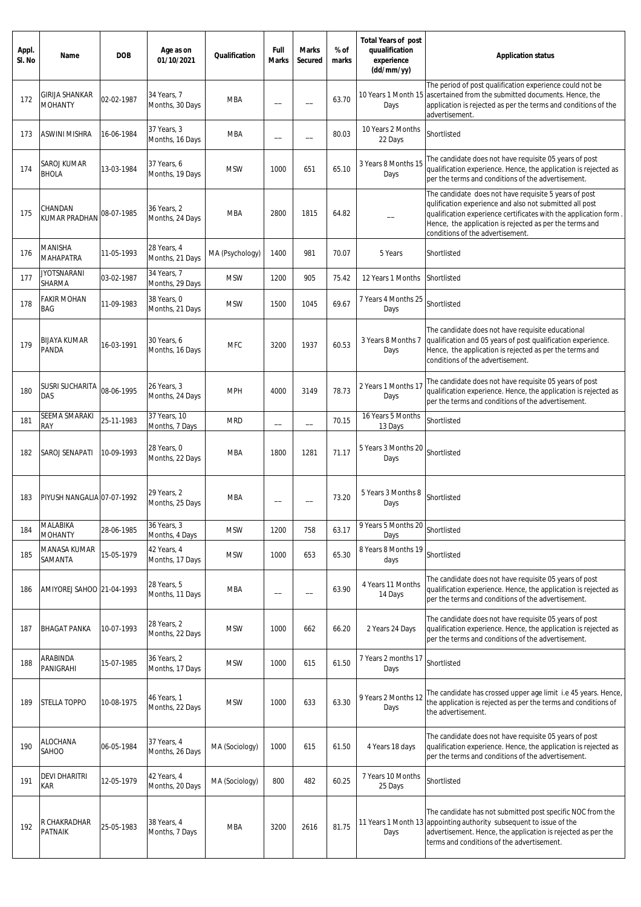| Appl.<br>SI. No | Name                             | <b>DOB</b> | Age as on<br>01/10/2021        | <b>Qualification</b> | Full<br><b>Marks</b>     | <b>Marks</b><br>Secured  | $%$ of<br>marks | <b>Total Years of post</b><br>quualification<br>experience<br>(dd/mm/yy) | <b>Application status</b>                                                                                                                                                                                                                                                           |
|-----------------|----------------------------------|------------|--------------------------------|----------------------|--------------------------|--------------------------|-----------------|--------------------------------------------------------------------------|-------------------------------------------------------------------------------------------------------------------------------------------------------------------------------------------------------------------------------------------------------------------------------------|
| 172             | GIRIJA SHANKAR<br><b>MOHANTY</b> | 02-02-1987 | 34 Years, 7<br>Months, 30 Days | <b>MBA</b>           |                          |                          | 63.70           | 10 Years 1 Month 15<br>Days                                              | The period of post qualification experience could not be<br>ascertained from the submitted documents. Hence, the<br>application is rejected as per the terms and conditions of the<br>advertisement.                                                                                |
| 173             | <b>ASWINI MISHRA</b>             | 16-06-1984 | 37 Years, 3<br>Months, 16 Days | <b>MBA</b>           | --                       |                          | 80.03           | 10 Years 2 Months<br>22 Days                                             | Shortlisted                                                                                                                                                                                                                                                                         |
| 174             | SAROJ KUMAR<br><b>BHOLA</b>      | 13-03-1984 | 37 Years, 6<br>Months, 19 Days | <b>MSW</b>           | 1000                     | 651                      | 65.10           | 3 Years 8 Months 15<br>Days                                              | The candidate does not have requisite 05 years of post<br>qualification experience. Hence, the application is rejected as<br>per the terms and conditions of the advertisement.                                                                                                     |
| 175             | CHANDAN<br><b>KUMAR PRADHAN</b>  | 08-07-1985 | 36 Years, 2<br>Months, 24 Days | <b>MBA</b>           | 2800                     | 1815                     | 64.82           |                                                                          | The candidate does not have requisite 5 years of post<br>qulification experience and also not submitted all post<br>qualification experience certificates with the application form.<br>Hence, the application is rejected as per the terms and<br>conditions of the advertisement. |
| 176             | MANISHA<br>MAHAPATRA             | 11-05-1993 | 28 Years, 4<br>Months, 21 Days | MA (Psychology)      | 1400                     | 981                      | 70.07           | 5 Years                                                                  | Shortlisted                                                                                                                                                                                                                                                                         |
| 177             | <b>JYOTSNARANI</b><br>SHARMA     | 03-02-1987 | 34 Years, 7<br>Months, 29 Days | <b>MSW</b>           | 1200                     | 905                      | 75.42           | 12 Years 1 Months                                                        | Shortlisted                                                                                                                                                                                                                                                                         |
| 178             | <b>FAKIR MOHAN</b><br>BAG        | 11-09-1983 | 38 Years, 0<br>Months, 21 Days | <b>MSW</b>           | 1500                     | 1045                     | 69.67           | 7 Years 4 Months 25<br>Days                                              | Shortlisted                                                                                                                                                                                                                                                                         |
| 179             | <b>BIJAYA KUMAR</b><br>PANDA     | 16-03-1991 | 30 Years, 6<br>Months, 16 Days | <b>MFC</b>           | 3200                     | 1937                     | 60.53           | 3 Years 8 Months 7<br>Days                                               | The candidate does not have requisite educational<br>qualification and 05 years of post qualification experience.<br>Hence, the application is rejected as per the terms and<br>conditions of the advertisement.                                                                    |
| 180             | <b>SUSRI SUCHARITA</b><br>DAS    | 08-06-1995 | 26 Years, 3<br>Months, 24 Days | <b>MPH</b>           | 4000                     | 3149                     | 78.73           | 2 Years 1 Months 17<br>Days                                              | The candidate does not have requisite 05 years of post<br>qualification experience. Hence, the application is rejected as<br>per the terms and conditions of the advertisement.                                                                                                     |
| 181             | SEEMA SMARAKI<br>RAY             | 25-11-1983 | 37 Years, 10<br>Months, 7 Days | <b>MRD</b>           | $\overline{\phantom{0}}$ | —<br>——                  | 70.15           | 16 Years 5 Months<br>13 Days                                             | Shortlisted                                                                                                                                                                                                                                                                         |
| 182             | SAROJ SENAPATI                   | 10-09-1993 | 28 Years, 0<br>Months, 22 Days | <b>MBA</b>           | 1800                     | 1281                     | 71.17           | 5 Years 3 Months 20<br>Days                                              | Shortlisted                                                                                                                                                                                                                                                                         |
| 183             | PIYUSH NANGALIA 07-07-1992       |            | 29 Years, 2<br>Months, 25 Days | <b>MBA</b>           |                          |                          | 73.20           | 5 Years 3 Months 8<br>Days                                               | Shortlisted                                                                                                                                                                                                                                                                         |
| 184             | MALABIKA<br><b>MOHANTY</b>       | 28-06-1985 | 36 Years, 3<br>Months, 4 Days  | <b>MSW</b>           | 1200                     | 758                      | 63.17           | 9 Years 5 Months 20<br>Days                                              | Shortlisted                                                                                                                                                                                                                                                                         |
| 185             | MANASA KUMAR<br>SAMANTA          | 15-05-1979 | 42 Years, 4<br>Months, 17 Days | <b>MSW</b>           | 1000                     | 653                      | 65.30           | 8 Years 8 Months 19<br>days                                              | Shortlisted                                                                                                                                                                                                                                                                         |
| 186             | AMIYOREJ SAHOO 21-04-1993        |            | 28 Years, 5<br>Months, 11 Days | <b>MBA</b>           | --                       | $\overline{\phantom{0}}$ | 63.90           | 4 Years 11 Months<br>14 Days                                             | The candidate does not have requisite 05 years of post<br>qualification experience. Hence, the application is rejected as<br>per the terms and conditions of the advertisement.                                                                                                     |
| 187             | <b>BHAGAT PANKA</b>              | 10-07-1993 | 28 Years, 2<br>Months, 22 Days | <b>MSW</b>           | 1000                     | 662                      | 66.20           | 2 Years 24 Days                                                          | The candidate does not have requisite 05 years of post<br>qualification experience. Hence, the application is rejected as<br>per the terms and conditions of the advertisement.                                                                                                     |
| 188             | ARABINDA<br>PANIGRAHI            | 15-07-1985 | 36 Years, 2<br>Months, 17 Days | <b>MSW</b>           | 1000                     | 615                      | 61.50           | 7 Years 2 months 17<br>Days                                              | Shortlisted                                                                                                                                                                                                                                                                         |
| 189             | <b>STELLA TOPPO</b>              | 10-08-1975 | 46 Years, 1<br>Months, 22 Days | <b>MSW</b>           | 1000                     | 633                      | 63.30           | 9 Years 2 Months 12<br>Days                                              | The candidate has crossed upper age limit i.e 45 years. Hence,<br>the application is rejected as per the terms and conditions of<br>the advertisement.                                                                                                                              |
| 190             | <b>ALOCHANA</b><br>SAHOO         | 06-05-1984 | 37 Years, 4<br>Months, 26 Days | MA (Sociology)       | 1000                     | 615                      | 61.50           | 4 Years 18 days                                                          | The candidate does not have requisite 05 years of post<br>qualification experience. Hence, the application is rejected as<br>per the terms and conditions of the advertisement.                                                                                                     |
| 191             | <b>DEVI DHARITRI</b><br>kar      | 12-05-1979 | 42 Years, 4<br>Months, 20 Days | MA (Sociology)       | 800                      | 482                      | 60.25           | 7 Years 10 Months<br>25 Days                                             | Shortlisted                                                                                                                                                                                                                                                                         |
| 192             | R CHAKRADHAR<br><b>PATNAIK</b>   | 25-05-1983 | 38 Years, 4<br>Months, 7 Days  | <b>MBA</b>           | 3200                     | 2616                     | 81.75           | 11 Years 1 Month 13<br>Days                                              | The candidate has not submitted post specific NOC from the<br>appointing authority subsequent to issue of the<br>advertisement. Hence, the application is rejected as per the<br>terms and conditions of the advertisement.                                                         |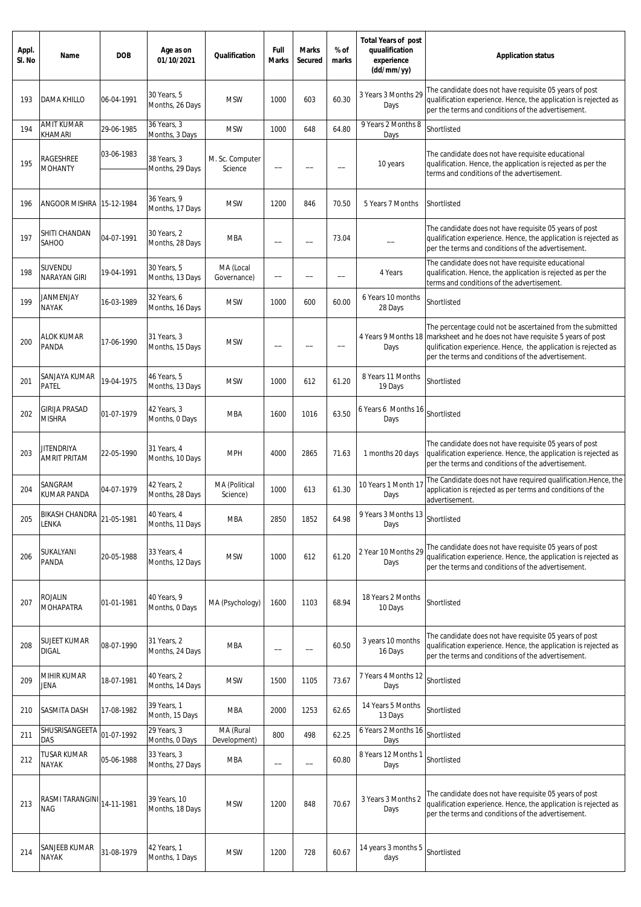| Appl.<br>SI. No | Name                                     | <b>DOB</b> | Age as on<br>01/10/2021         | Qualification              | Full<br><b>Marks</b>     | <b>Marks</b><br><b>Secured</b> | % of<br>marks            | <b>Total Years of post</b><br>quualification<br>experience<br>(dd/mm/yy) | <b>Application status</b>                                                                                                                                                                                                                      |
|-----------------|------------------------------------------|------------|---------------------------------|----------------------------|--------------------------|--------------------------------|--------------------------|--------------------------------------------------------------------------|------------------------------------------------------------------------------------------------------------------------------------------------------------------------------------------------------------------------------------------------|
| 193             | <b>DAMA KHILLO</b>                       | 06-04-1991 | 30 Years, 5<br>Months, 26 Days  | <b>MSW</b>                 | 1000                     | 603                            | 60.30                    | 3 Years 3 Months 29<br>Days                                              | The candidate does not have requisite 05 years of post<br>qualification experience. Hence, the application is rejected as<br>per the terms and conditions of the advertisement.                                                                |
| 194             | <b>AMIT KUMAR</b><br>KHAMARI             | 29-06-1985 | 36 Years, 3<br>Months, 3 Days   | <b>MSW</b>                 | 1000                     | 648                            | 64.80                    | 9 Years 2 Months 8<br>Days                                               | Shortlisted                                                                                                                                                                                                                                    |
| 195             | RAGESHREE<br><b>MOHANTY</b>              | 03-06-1983 | 38 Years, 3<br>Months, 29 Days  | M. Sc. Computer<br>Science |                          |                                |                          | 10 years                                                                 | The candidate does not have requisite educational<br>qualification. Hence, the application is rejected as per the<br>terms and conditions of the advertisement.                                                                                |
| 196             | ANGOOR MISHRA                            | 15-12-1984 | 36 Years, 9<br>Months, 17 Days  | <b>MSW</b>                 | 1200                     | 846                            | 70.50                    | 5 Years 7 Months                                                         | Shortlisted                                                                                                                                                                                                                                    |
| 197             | SHITI CHANDAN<br>SAHOO                   | 04-07-1991 | 30 Years, 2<br>Months, 28 Days  | <b>MBA</b>                 | $\overline{\phantom{m}}$ |                                | 73.04                    |                                                                          | The candidate does not have requisite 05 years of post<br>qualification experience. Hence, the application is rejected as<br>per the terms and conditions of the advertisement.                                                                |
| 198             | SUVENDU<br>NARAYAN GIRI                  | 19-04-1991 | 30 Years, 5<br>Months, 13 Days  | MA (Local<br>Governance)   | $\qquad \qquad -$        |                                | $\overline{\phantom{0}}$ | 4 Years                                                                  | The candidate does not have requisite educational<br>qualification. Hence, the application is rejected as per the<br>terms and conditions of the advertisement.                                                                                |
| 199             | JANMENJAY<br><b>NAYAK</b>                | 16-03-1989 | 32 Years, 6<br>Months, 16 Days  | <b>MSW</b>                 | 1000                     | 600                            | 60.00                    | 6 Years 10 months<br>28 Days                                             | Shortlisted                                                                                                                                                                                                                                    |
| 200             | ALOK KUMAR<br>PANDA                      | 17-06-1990 | 31 Years, 3<br>Months, 15 Days  | <b>MSW</b>                 | $\qquad \qquad -$        |                                |                          | 4 Years 9 Months 18<br>Days                                              | The percentage could not be ascertained from the submitted<br>marksheet and he does not have requisite 5 years of post<br>qulification experience. Hence, the application is rejected as<br>per the terms and conditions of the advertisement. |
| 201             | SANJAYA KUMAR<br>PATEL                   | 19-04-1975 | 46 Years, 5<br>Months, 13 Days  | <b>MSW</b>                 | 1000                     | 612                            | 61.20                    | 8 Years 11 Months<br>19 Days                                             | Shortlisted                                                                                                                                                                                                                                    |
| 202             | <b>GIRIJA PRASAD</b><br><b>MISHRA</b>    | 01-07-1979 | 42 Years, 3<br>Months, 0 Days   | <b>MBA</b>                 | 1600                     | 1016                           | 63.50                    | 6 Years 6 Months 16<br>Days                                              | Shortlisted                                                                                                                                                                                                                                    |
| 203             | <b>JITENDRIYA</b><br><b>AMRIT PRITAM</b> | 22-05-1990 | 31 Years, 4<br>Months, 10 Days  | <b>MPH</b>                 | 4000                     | 2865                           | 71.63                    | 1 months 20 days                                                         | The candidate does not have requisite 05 years of post<br>qualification experience. Hence, the application is rejected as<br>per the terms and conditions of the advertisement.                                                                |
| 204             | SANGRAM<br>KUMAR PANDA                   | 04-07-1979 | 42 Years, 2<br>Months, 28 Days  | MA (Political<br>Science)  | 1000                     | 613                            | 61.30                    | 10 Years 1 Month 17<br>Days                                              | The Candidate does not have required qualification. Hence, the<br>application is rejected as per terms and conditions of the<br>advertisement.                                                                                                 |
| 205             | <b>BIKASH CHANDRA</b><br>LENKA           | 21-05-1981 | 40 Years, 4<br>Months, 11 Days  | <b>MBA</b>                 | 2850                     | 1852                           | 64.98                    | 9 Years 3 Months 13<br>Days                                              | Shortlisted                                                                                                                                                                                                                                    |
| 206             | SUKALYANI<br>PANDA                       | 20-05-1988 | 33 Years, 4<br>Months, 12 Days  | <b>MSW</b>                 | 1000                     | 612                            | 61.20                    | 2 Year 10 Months 29<br>Days                                              | The candidate does not have requisite 05 years of post<br>qualification experience. Hence, the application is rejected as<br>per the terms and conditions of the advertisement.                                                                |
| 207             | <b>ROJALIN</b><br>MOHAPATRA              | 01-01-1981 | 40 Years, 9<br>Months, 0 Days   | MA (Psychology)            | 1600                     | 1103                           | 68.94                    | 18 Years 2 Months<br>10 Days                                             | Shortlisted                                                                                                                                                                                                                                    |
| 208             | SUJEET KUMAR<br><b>DIGAL</b>             | 08-07-1990 | 31 Years, 2<br>Months, 24 Days  | <b>MBA</b>                 | $\qquad \qquad -$        | $\overline{\phantom{0}}$       | 60.50                    | 3 years 10 months<br>16 Days                                             | The candidate does not have requisite 05 years of post<br>qualification experience. Hence, the application is rejected as<br>per the terms and conditions of the advertisement.                                                                |
| 209             | MIHIR KUMAR<br>JENA                      | 18-07-1981 | 40 Years, 2<br>Months, 14 Days  | <b>MSW</b>                 | 1500                     | 1105                           | 73.67                    | 7 Years 4 Months 12<br>Days                                              | Shortlisted                                                                                                                                                                                                                                    |
| 210             | SASMITA DASH                             | 17-08-1982 | 39 Years, 1<br>Month, 15 Days   | <b>MBA</b>                 | 2000                     | 1253                           | 62.65                    | 14 Years 5 Months<br>13 Days                                             | Shortlisted                                                                                                                                                                                                                                    |
| 211             | SHUSRISANGEETA<br>DAS                    | 01-07-1992 | 29 Years, 3<br>Months, 0 Days   | MA (Rural<br>Development)  | 800                      | 498                            | 62.25                    | 6 Years 2 Months 16<br>Days                                              | Shortlisted                                                                                                                                                                                                                                    |
| 212             | <b>TUSAR KUMAR</b><br>NAYAK              | 05-06-1988 | 33 Years, 3<br>Months, 27 Days  | MBA                        | $\qquad \qquad -$        | $\overline{\phantom{0}}$       | 60.80                    | 8 Years 12 Months 1<br>Days                                              | Shortlisted                                                                                                                                                                                                                                    |
| 213             | RASMI TARANGINI<br><b>NAG</b>            | 14-11-1981 | 39 Years, 10<br>Months, 18 Days | <b>MSW</b>                 | 1200                     | 848                            | 70.67                    | 3 Years 3 Months 2<br>Days                                               | The candidate does not have requisite 05 years of post<br>qualification experience. Hence, the application is rejected as<br>per the terms and conditions of the advertisement.                                                                |
| 214             | SANJEEB KUMAR<br><b>NAYAK</b>            | 31-08-1979 | 42 Years, 1<br>Months, 1 Days   | <b>MSW</b>                 | 1200                     | 728                            | 60.67                    | 14 years 3 months 5<br>days                                              | Shortlisted                                                                                                                                                                                                                                    |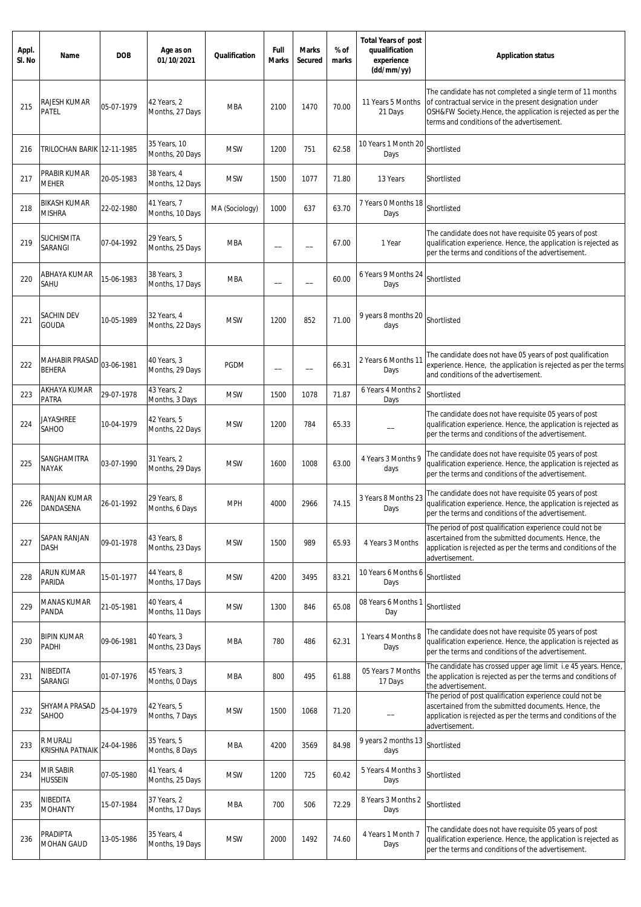| Appl.<br>SI. No | Name                                 | <b>DOB</b> | Age as on<br>01/10/2021         | Qualification  | Full<br><b>Marks</b> | <b>Marks</b><br>Secured  | % of<br>marks | <b>Total Years of post</b><br>quualification<br>experience<br>(dd/mm/yy) | <b>Application status</b>                                                                                                                                                                                                           |
|-----------------|--------------------------------------|------------|---------------------------------|----------------|----------------------|--------------------------|---------------|--------------------------------------------------------------------------|-------------------------------------------------------------------------------------------------------------------------------------------------------------------------------------------------------------------------------------|
| 215             | RAJESH KUMAR<br>PATEL                | 05-07-1979 | 42 Years, 2<br>Months, 27 Days  | MBA            | 2100                 | 1470                     | 70.00         | 11 Years 5 Months<br>21 Days                                             | The candidate has not completed a single term of 11 months<br>of contractual service in the present designation under<br>OSH&FW Society.Hence, the application is rejected as per the<br>terms and conditions of the advertisement. |
| 216             | TRILOCHAN BARIK 12-11-1985           |            | 35 Years, 10<br>Months, 20 Days | <b>MSW</b>     | 1200                 | 751                      | 62.58         | 10 Years 1 Month 20<br>Days                                              | Shortlisted                                                                                                                                                                                                                         |
| 217             | PRABIR KUMAR<br><b>MEHER</b>         | 20-05-1983 | 38 Years, 4<br>Months, 12 Days  | <b>MSW</b>     | 1500                 | 1077                     | 71.80         | 13 Years                                                                 | Shortlisted                                                                                                                                                                                                                         |
| 218             | <b>BIKASH KUMAR</b><br><b>MISHRA</b> | 22-02-1980 | 41 Years, 7<br>Months, 10 Days  | MA (Sociology) | 1000                 | 637                      | 63.70         | 7 Years 0 Months 18<br>Days                                              | Shortlisted                                                                                                                                                                                                                         |
| 219             | SUCHISMITA<br>SARANGI                | 07-04-1992 | 29 Years, 5<br>Months, 25 Days  | <b>MBA</b>     | --                   | $\overline{\phantom{0}}$ | 67.00         | 1 Year                                                                   | The candidate does not have requisite 05 years of post<br>qualification experience. Hence, the application is rejected as<br>per the terms and conditions of the advertisement.                                                     |
| 220             | ABHAYA KUMAR<br>SAHU                 | 15-06-1983 | 38 Years, 3<br>Months, 17 Days  | <b>MBA</b>     | --                   | $\overline{\phantom{0}}$ | 60.00         | 6 Years 9 Months 24<br>Days                                              | Shortlisted                                                                                                                                                                                                                         |
| 221             | SACHIN DEV<br><b>GOUDA</b>           | 10-05-1989 | 32 Years, 4<br>Months, 22 Days  | <b>MSW</b>     | 1200                 | 852                      | 71.00         | 9 years 8 months 20<br>days                                              | Shortlisted                                                                                                                                                                                                                         |
| 222             | MAHABIR PRASAD<br><b>BEHERA</b>      | 03-06-1981 | 40 Years, 3<br>Months, 29 Days  | <b>PGDM</b>    | --                   | --                       | 66.31         | 2 Years 6 Months 11<br>Days                                              | The candidate does not have 05 years of post qualification<br>experience. Hence, the application is rejected as per the terms<br>and conditions of the advertisement.                                                               |
| 223             | AKHAYA KUMAR<br>PATRA                | 29-07-1978 | 43 Years, 2<br>Months, 3 Days   | <b>MSW</b>     | 1500                 | 1078                     | 71.87         | 6 Years 4 Months 2<br>Days                                               | Shortlisted                                                                                                                                                                                                                         |
| 224             | JAYASHREE<br>SAHOO                   | 10-04-1979 | 42 Years, 5<br>Months, 22 Days  | <b>MSW</b>     | 1200                 | 784                      | 65.33         |                                                                          | The candidate does not have requisite 05 years of post<br>qualification experience. Hence, the application is rejected as<br>per the terms and conditions of the advertisement.                                                     |
| 225             | SANGHAMITRA<br><b>NAYAK</b>          | 03-07-1990 | 31 Years, 2<br>Months, 29 Days  | <b>MSW</b>     | 1600                 | 1008                     | 63.00         | 4 Years 3 Months 9<br>days                                               | The candidate does not have requisite 05 years of post<br>qualification experience. Hence, the application is rejected as<br>per the terms and conditions of the advertisement.                                                     |
| 226             | RANJAN KUMAR<br>DANDASENA            | 26-01-1992 | 29 Years, 8<br>Months, 6 Days   | <b>MPH</b>     | 4000                 | 2966                     | 74.15         | 3 Years 8 Months 23<br>Days                                              | The candidate does not have requisite 05 years of post<br>qualification experience. Hence, the application is rejected as<br>per the terms and conditions of the advertisement.                                                     |
| 227             | SAPAN RANJAN<br>DASH                 | 09-01-1978 | 43 Years, 8<br>Months, 23 Days  | <b>MSW</b>     | 1500                 | 989                      | 65.93         | 4 Years 3 Months                                                         | The period of post qualification experience could not be<br>ascertained from the submitted documents. Hence, the<br>application is rejected as per the terms and conditions of the<br>advertisement.                                |
| 228             | ARUN KUMAR<br>PARIDA                 | 15-01-1977 | 44 Years, 8<br>Months, 17 Days  | <b>MSW</b>     | 4200                 | 3495                     | 83.21         | 10 Years 6 Months 6<br>Days                                              | Shortlisted                                                                                                                                                                                                                         |
| 229             | <b>MANAS KUMAR</b><br>PANDA          | 21-05-1981 | 40 Years, 4<br>Months, 11 Days  | <b>MSW</b>     | 1300                 | 846                      | 65.08         | 08 Years 6 Months 1<br>Day                                               | Shortlisted                                                                                                                                                                                                                         |
| 230             | <b>BIPIN KUMAR</b><br>PADHI          | 09-06-1981 | 40 Years, 3<br>Months, 23 Days  | <b>MBA</b>     | 780                  | 486                      | 62.31         | 1 Years 4 Months 8<br>Days                                               | The candidate does not have requisite 05 years of post<br>qualification experience. Hence, the application is rejected as<br>per the terms and conditions of the advertisement.                                                     |
| 231             | NIBEDITA<br>SARANGI                  | 01-07-1976 | 45 Years, 3<br>Months, 0 Days   | <b>MBA</b>     | 800                  | 495                      | 61.88         | 05 Years 7 Months<br>17 Days                                             | The candidate has crossed upper age limit i.e 45 years. Hence,<br>the application is rejected as per the terms and conditions of<br>the advertisement.                                                                              |
| 232             | SHYAMA PRASAD<br>SAHOO               | 25-04-1979 | 42 Years, 5<br>Months, 7 Days   | <b>MSW</b>     | 1500                 | 1068                     | 71.20         |                                                                          | The period of post qualification experience could not be<br>ascertained from the submitted documents. Hence, the<br>application is rejected as per the terms and conditions of the<br>advertisement.                                |
| 233             | R MURALI<br><b>KRISHNA PATNAIK</b>   | 24-04-1986 | 35 Years, 5<br>Months, 8 Days   | <b>MBA</b>     | 4200                 | 3569                     | 84.98         | 9 years 2 months 13<br>days                                              | Shortlisted                                                                                                                                                                                                                         |
| 234             | MIR SABIR<br><b>HUSSEIN</b>          | 07-05-1980 | 41 Years, 4<br>Months, 25 Days  | <b>MSW</b>     | 1200                 | 725                      | 60.42         | 5 Years 4 Months 3<br>Days                                               | Shortlisted                                                                                                                                                                                                                         |
| 235             | NIBEDITA<br><b>MOHANTY</b>           | 15-07-1984 | 37 Years, 2<br>Months, 17 Days  | MBA            | 700                  | 506                      | 72.29         | 8 Years 3 Months 2<br>Days                                               | Shortlisted                                                                                                                                                                                                                         |
| 236             | PRADIPTA<br><b>MOHAN GAUD</b>        | 13-05-1986 | 35 Years, 4<br>Months, 19 Days  | <b>MSW</b>     | 2000                 | 1492                     | 74.60         | 4 Years 1 Month 7<br>Days                                                | The candidate does not have requisite 05 years of post<br>qualification experience. Hence, the application is rejected as<br>per the terms and conditions of the advertisement.                                                     |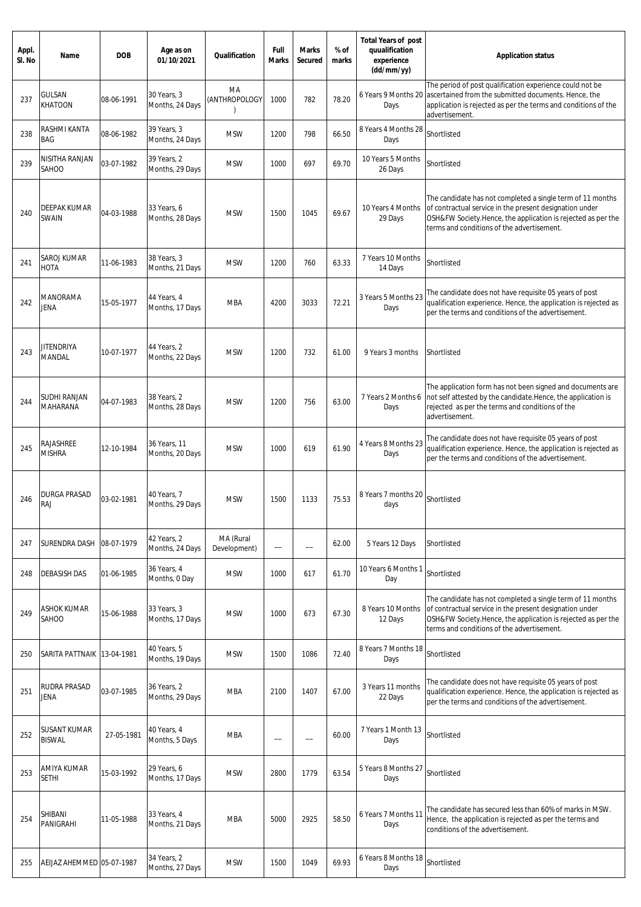| Appl.<br>SI. No | Name                            | <b>DOB</b> | Age as on<br>01/10/2021         | <b>Qualification</b>                 | Full<br><b>Marks</b> | <b>Marks</b><br>Secured | % of<br>marks | <b>Total Years of post</b><br>quualification<br>experience<br>(dd/mm/yy) | <b>Application status</b>                                                                                                                                                                                                           |
|-----------------|---------------------------------|------------|---------------------------------|--------------------------------------|----------------------|-------------------------|---------------|--------------------------------------------------------------------------|-------------------------------------------------------------------------------------------------------------------------------------------------------------------------------------------------------------------------------------|
| 237             | <b>GULSAN</b><br><b>KHATOON</b> | 08-06-1991 | 30 Years, 3<br>Months, 24 Days  | MA<br>(ANTHROPOLOGY<br>$\mathcal{E}$ | 1000                 | 782                     | 78.20         | 6 Years 9 Months 20<br>Days                                              | The period of post qualification experience could not be<br>ascertained from the submitted documents. Hence, the<br>application is rejected as per the terms and conditions of the<br>advertisement.                                |
| 238             | RASHMI KANTA<br>BAG             | 08-06-1982 | 39 Years, 3<br>Months, 24 Days  | <b>MSW</b>                           | 1200                 | 798                     | 66.50         | 8 Years 4 Months 28<br>Days                                              | Shortlisted                                                                                                                                                                                                                         |
| 239             | NISITHA RANJAN<br>SAHOO         | 03-07-1982 | 39 Years, 2<br>Months, 29 Days  | <b>MSW</b>                           | 1000                 | 697                     | 69.70         | 10 Years 5 Months<br>26 Days                                             | Shortlisted                                                                                                                                                                                                                         |
| 240             | DEEPAK KUMAR<br>SWAIN           | 04-03-1988 | 33 Years, 6<br>Months, 28 Days  | <b>MSW</b>                           | 1500                 | 1045                    | 69.67         | 10 Years 4 Months<br>29 Days                                             | The candidate has not completed a single term of 11 months<br>of contractual service in the present designation under<br>OSH&FW Society.Hence, the application is rejected as per the<br>terms and conditions of the advertisement. |
| 241             | SAROJ KUMAR<br>НОТА             | 11-06-1983 | 38 Years, 3<br>Months, 21 Days  | <b>MSW</b>                           | 1200                 | 760                     | 63.33         | 7 Years 10 Months<br>14 Days                                             | Shortlisted                                                                                                                                                                                                                         |
| 242             | MANORAMA<br>Jena                | 15-05-1977 | 44 Years, 4<br>Months, 17 Days  | <b>MBA</b>                           | 4200                 | 3033                    | 72.21         | 3 Years 5 Months 23<br>Days                                              | The candidate does not have requisite 05 years of post<br>qualification experience. Hence, the application is rejected as<br>per the terms and conditions of the advertisement.                                                     |
| 243             | JITENDRIYA<br>MANDAL            | 10-07-1977 | 44 Years, 2<br>Months, 22 Days  | <b>MSW</b>                           | 1200                 | 732                     | 61.00         | 9 Years 3 months                                                         | Shortlisted                                                                                                                                                                                                                         |
| 244             | SUDHI RANJAN<br>MAHARANA        | 04-07-1983 | 38 Years, 2<br>Months, 28 Days  | <b>MSW</b>                           | 1200                 | 756                     | 63.00         | 7 Years 2 Months 6<br>Days                                               | The application form has not been signed and documents are<br>not self attested by the candidate. Hence, the application is<br>rejected as per the terms and conditions of the<br>advertisement.                                    |
| 245             | RAJASHREE<br><b>MISHRA</b>      | 12-10-1984 | 36 Years, 11<br>Months, 20 Days | <b>MSW</b>                           | 1000                 | 619                     | 61.90         | 4 Years 8 Months 23<br>Days                                              | The candidate does not have requisite 05 years of post<br>qualification experience. Hence, the application is rejected as<br>per the terms and conditions of the advertisement.                                                     |
| 246             | DURGA PRASAD<br>RAJ             | 03-02-1981 | 40 Years, 7<br>Months, 29 Days  | <b>MSW</b>                           | 1500                 | 1133                    | 75.53         | 8 Years 7 months 20<br>days                                              | Shortlisted                                                                                                                                                                                                                         |
| 247             | SURENDRA DASH                   | 08-07-1979 | 42 Years, 2<br>Months, 24 Days  | MA (Rural<br>Development)            |                      |                         | 62.00         | 5 Years 12 Days                                                          | Shortlisted                                                                                                                                                                                                                         |
| 248             | <b>DEBASISH DAS</b>             | 01-06-1985 | 36 Years, 4<br>Months, 0 Day    | <b>MSW</b>                           | 1000                 | 617                     | 61.70         | 10 Years 6 Months 1<br>Day                                               | Shortlisted                                                                                                                                                                                                                         |
| 249             | ASHOK KUMAR<br>SAHOO            | 15-06-1988 | 33 Years, 3<br>Months, 17 Days  | <b>MSW</b>                           | 1000                 | 673                     | 67.30         | 8 Years 10 Months<br>12 Days                                             | The candidate has not completed a single term of 11 months<br>of contractual service in the present designation under<br>OSH&FW Society.Hence, the application is rejected as per the<br>terms and conditions of the advertisement. |
| 250             | SARITA PATTNAIK 13-04-1981      |            | 40 Years, 5<br>Months, 19 Days  | <b>MSW</b>                           | 1500                 | 1086                    | 72.40         | 8 Years 7 Months 18<br>Days                                              | Shortlisted                                                                                                                                                                                                                         |
| 251             | RUDRA PRASAD<br>jena            | 03-07-1985 | 36 Years, 2<br>Months, 29 Days  | <b>MBA</b>                           | 2100                 | 1407                    | 67.00         | 3 Years 11 months<br>22 Days                                             | The candidate does not have requisite 05 years of post<br>qualification experience. Hence, the application is rejected as<br>per the terms and conditions of the advertisement.                                                     |
| 252             | SUSANT KUMAR<br><b>BISWAL</b>   | 27-05-1981 | 40 Years, 4<br>Months, 5 Days   | <b>MBA</b>                           | --                   | --                      | 60.00         | 7 Years 1 Month 13<br>Days                                               | Shortlisted                                                                                                                                                                                                                         |
| 253             | AMIYA KUMAR<br>SETHI            | 15-03-1992 | 29 Years, 6<br>Months, 17 Days  | <b>MSW</b>                           | 2800                 | 1779                    | 63.54         | 5 Years 8 Months 27<br>Days                                              | Shortlisted                                                                                                                                                                                                                         |
| 254             | SHIBANI<br>PANIGRAHI            | 11-05-1988 | 33 Years, 4<br>Months, 21 Days  | <b>MBA</b>                           | 5000                 | 2925                    | 58.50         | 6 Years 7 Months 11<br>Days                                              | The candidate has secured less than 60% of marks in MSW.<br>Hence, the application is rejected as per the terms and<br>conditions of the advertisement.                                                                             |
| 255             | AEIJAZ AHEMMED 05-07-1987       |            | 34 Years, 2<br>Months, 27 Days  | <b>MSW</b>                           | 1500                 | 1049                    | 69.93         | 6 Years 8 Months 18<br>Days                                              | Shortlisted                                                                                                                                                                                                                         |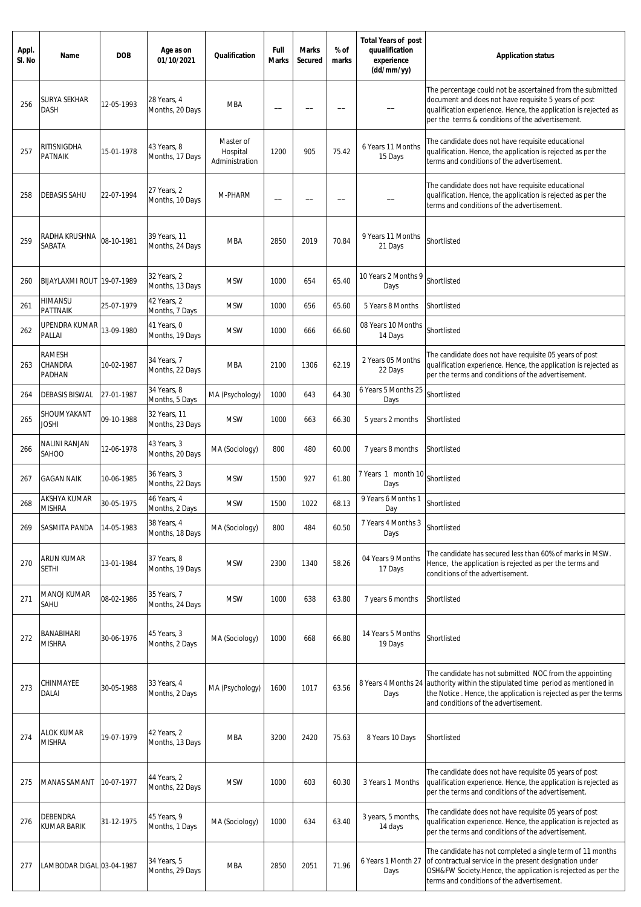| Appl.<br>SI. No | Name                                      | <b>DOB</b> | Age as on<br>01/10/2021         | Qualification                           | Full<br><b>Marks</b> | <b>Marks</b><br>Secured | % of<br>marks | <b>Total Years of post</b><br>quualification<br>experience<br>(dd/mm/yy) | <b>Application status</b>                                                                                                                                                                                                                 |
|-----------------|-------------------------------------------|------------|---------------------------------|-----------------------------------------|----------------------|-------------------------|---------------|--------------------------------------------------------------------------|-------------------------------------------------------------------------------------------------------------------------------------------------------------------------------------------------------------------------------------------|
| 256             | SURYA SEKHAR<br><b>DASH</b>               | 12-05-1993 | 28 Years, 4<br>Months, 20 Days  | <b>MBA</b>                              |                      |                         |               |                                                                          | The percentage could not be ascertained from the submitted<br>document and does not have requisite 5 years of post<br>qualification experience. Hence, the application is rejected as<br>per the terms & conditions of the advertisement. |
| 257             | RITISNIGDHA<br><b>PATNAIK</b>             | 15-01-1978 | 43 Years, 8<br>Months, 17 Days  | Master of<br>Hospital<br>Administration | 1200                 | 905                     | 75.42         | 6 Years 11 Months<br>15 Days                                             | The candidate does not have requisite educational<br>qualification. Hence, the application is rejected as per the<br>terms and conditions of the advertisement.                                                                           |
| 258             | <b>DEBASIS SAHU</b>                       | 22-07-1994 | 27 Years, 2<br>Months, 10 Days  | M-PHARM                                 |                      |                         |               |                                                                          | The candidate does not have requisite educational<br>qualification. Hence, the application is rejected as per the<br>terms and conditions of the advertisement.                                                                           |
| 259             | RADHA KRUSHNA<br>SABATA                   | 08-10-1981 | 39 Years, 11<br>Months, 24 Days | <b>MBA</b>                              | 2850                 | 2019                    | 70.84         | 9 Years 11 Months<br>21 Days                                             | Shortlisted                                                                                                                                                                                                                               |
| 260             | BIJAYLAXMI ROUT 19-07-1989                |            | 32 Years, 2<br>Months, 13 Days  | <b>MSW</b>                              | 1000                 | 654                     | 65.40         | 10 Years 2 Months 9<br>Days                                              | Shortlisted                                                                                                                                                                                                                               |
| 261             | <b>HIMANSU</b><br><b>PATTNAIK</b>         | 25-07-1979 | 42 Years, 2<br>Months, 7 Days   | <b>MSW</b>                              | 1000                 | 656                     | 65.60         | 5 Years 8 Months                                                         | Shortlisted                                                                                                                                                                                                                               |
| 262             | UPENDRA KUMAR<br>PALLAI                   | 13-09-1980 | 41 Years, 0<br>Months, 19 Days  | <b>MSW</b>                              | 1000                 | 666                     | 66.60         | 08 Years 10 Months<br>14 Days                                            | Shortlisted                                                                                                                                                                                                                               |
| 263             | <b>RAMESH</b><br>CHANDRA<br><b>PADHAN</b> | 10-02-1987 | 34 Years, 7<br>Months, 22 Days  | MBA                                     | 2100                 | 1306                    | 62.19         | 2 Years 05 Months<br>22 Days                                             | The candidate does not have requisite 05 years of post<br>qualification experience. Hence, the application is rejected as<br>per the terms and conditions of the advertisement.                                                           |
| 264             | <b>DEBASIS BISWAL</b>                     | 27-01-1987 | 34 Years, 8<br>Months, 5 Days   | MA (Psychology)                         | 1000                 | 643                     | 64.30         | 6 Years 5 Months 25<br>Days                                              | Shortlisted                                                                                                                                                                                                                               |
| 265             | SHOUMYAKANT<br>ioshi                      | 09-10-1988 | 32 Years, 11<br>Months, 23 Days | <b>MSW</b>                              | 1000                 | 663                     | 66.30         | 5 years 2 months                                                         | Shortlisted                                                                                                                                                                                                                               |
| 266             | NALINI RANJAN<br>SAHOO                    | 12-06-1978 | 43 Years, 3<br>Months, 20 Days  | MA (Sociology)                          | 800                  | 480                     | 60.00         | 7 years 8 months                                                         | Shortlisted                                                                                                                                                                                                                               |
| 267             | <b>GAGAN NAIK</b>                         | 10-06-1985 | 36 Years, 3<br>Months, 22 Days  | <b>MSW</b>                              | 1500                 | 927                     | 61.80         | 7 Years 1 month 10<br>Days                                               | Shortlisted                                                                                                                                                                                                                               |
| 268             | AKSHYA KUMAR<br><b>MISHRA</b>             | 30-05-1975 | 46 Years, 4<br>Months, 2 Days   | <b>MSW</b>                              | 1500                 | 1022                    | 68.13         | 9 Years 6 Months 1<br>Day                                                | Shortlisted                                                                                                                                                                                                                               |
| 269             | SASMITA PANDA                             | 14-05-1983 | 38 Years, 4<br>Months, 18 Days  | MA (Sociology)                          | 800                  | 484                     | 60.50         | 7 Years 4 Months 3<br>Days                                               | Shortlisted                                                                                                                                                                                                                               |
| 270             | ARUN KUMAR<br><b>SETHI</b>                | 13-01-1984 | 37 Years, 8<br>Months, 19 Days  | <b>MSW</b>                              | 2300                 | 1340                    | 58.26         | 04 Years 9 Months<br>17 Days                                             | The candidate has secured less than 60% of marks in MSW.<br>Hence, the application is rejected as per the terms and<br>conditions of the advertisement.                                                                                   |
| 271             | <b>MANOJ KUMAR</b><br>SAHU                | 08-02-1986 | 35 Years, 7<br>Months, 24 Days  | <b>MSW</b>                              | 1000                 | 638                     | 63.80         | 7 years 6 months                                                         | Shortlisted                                                                                                                                                                                                                               |
| 272             | <b>BANABIHARI</b><br><b>MISHRA</b>        | 30-06-1976 | 45 Years, 3<br>Months, 2 Days   | MA (Sociology)                          | 1000                 | 668                     | 66.80         | 14 Years 5 Months<br>19 Days                                             | Shortlisted                                                                                                                                                                                                                               |
| 273             | CHINMAYEE<br>DALAI                        | 30-05-1988 | 33 Years, 4<br>Months, 2 Days   | MA (Psychology)                         | 1600                 | 1017                    | 63.56         | 8 Years 4 Months 24<br>Days                                              | The candidate has not submitted NOC from the appointing<br>authority within the stipulated time period as mentioned in<br>the Notice. Hence, the application is rejected as per the terms<br>and conditions of the advertisement.         |
| 274             | <b>ALOK KUMAR</b><br><b>MISHRA</b>        | 19-07-1979 | 42 Years, 2<br>Months, 13 Days  | <b>MBA</b>                              | 3200                 | 2420                    | 75.63         | 8 Years 10 Days                                                          | Shortlisted                                                                                                                                                                                                                               |
| 275             | <b>MANAS SAMANT</b>                       | 10-07-1977 | 44 Years, 2<br>Months, 22 Days  | <b>MSW</b>                              | 1000                 | 603                     | 60.30         | 3 Years 1 Months                                                         | The candidate does not have requisite 05 years of post<br>qualification experience. Hence, the application is rejected as<br>per the terms and conditions of the advertisement.                                                           |
| 276             | DEBENDRA<br>KUMAR BARIK                   | 31-12-1975 | 45 Years, 9<br>Months, 1 Days   | MA (Sociology)                          | 1000                 | 634                     | 63.40         | 3 years, 5 months,<br>14 days                                            | The candidate does not have requisite 05 years of post<br>qualification experience. Hence, the application is rejected as<br>per the terms and conditions of the advertisement.                                                           |
| 277             | LAMBODAR DIGAL 03-04-1987                 |            | 34 Years, 5<br>Months, 29 Days  | MBA                                     | 2850                 | 2051                    | 71.96         | 6 Years 1 Month 27<br>Days                                               | The candidate has not completed a single term of 11 months<br>of contractual service in the present designation under<br>OSH&FW Society.Hence, the application is rejected as per the<br>terms and conditions of the advertisement.       |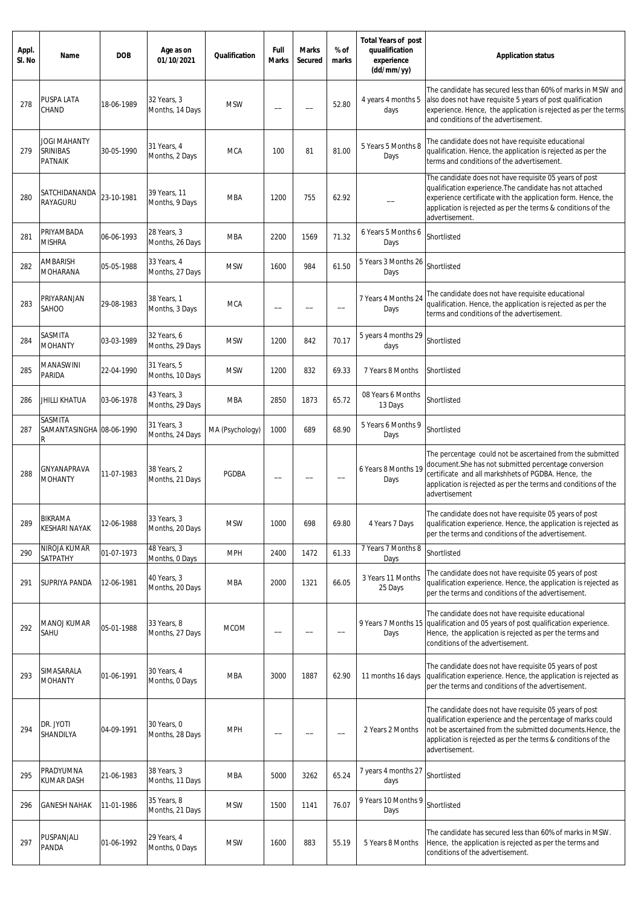| Appl.<br>SI. No | Name                                              | <b>DOB</b> | Age as on<br>01/10/2021        | Qualification   | Full<br>Marks            | <b>Marks</b><br><b>Secured</b> | % of<br>marks | <b>Total Years of post</b><br>quualification<br>experience<br>(dd/mm/yy) | <b>Application status</b>                                                                                                                                                                                                                                             |
|-----------------|---------------------------------------------------|------------|--------------------------------|-----------------|--------------------------|--------------------------------|---------------|--------------------------------------------------------------------------|-----------------------------------------------------------------------------------------------------------------------------------------------------------------------------------------------------------------------------------------------------------------------|
| 278             | PUSPA LATA<br>CHAND                               | 18-06-1989 | 32 Years, 3<br>Months, 14 Days | <b>MSW</b>      |                          |                                | 52.80         | 4 years 4 months 5<br>days                                               | The candidate has secured less than 60% of marks in MSW and<br>also does not have requisite 5 years of post qualification<br>experience. Hence, the application is rejected as per the terms<br>and conditions of the advertisement.                                  |
| 279             | <b>JOGI MAHANTY</b><br>SRINIBAS<br><b>PATNAIK</b> | 30-05-1990 | 31 Years, 4<br>Months, 2 Days  | <b>MCA</b>      | 100                      | 81                             | 81.00         | 5 Years 5 Months 8<br>Days                                               | The candidate does not have requisite educational<br>qualification. Hence, the application is rejected as per the<br>terms and conditions of the advertisement.                                                                                                       |
| 280             | SATCHIDANANDA<br>RAYAGURU                         | 23-10-1981 | 39 Years, 11<br>Months, 9 Days | <b>MBA</b>      | 1200                     | 755                            | 62.92         |                                                                          | The candidate does not have requisite 05 years of post<br>qualification experience. The candidate has not attached<br>experience certificate with the application form. Hence, the<br>application is rejected as per the terms & conditions of the<br>advertisement.  |
| 281             | PRIYAMBADA<br><b>MISHRA</b>                       | 06-06-1993 | 28 Years, 3<br>Months, 26 Days | <b>MBA</b>      | 2200                     | 1569                           | 71.32         | 6 Years 5 Months 6<br>Days                                               | Shortlisted                                                                                                                                                                                                                                                           |
| 282             | AMBARISH<br><b>MOHARANA</b>                       | 05-05-1988 | 33 Years, 4<br>Months, 27 Days | <b>MSW</b>      | 1600                     | 984                            | 61.50         | 5 Years 3 Months 26<br>Days                                              | Shortlisted                                                                                                                                                                                                                                                           |
| 283             | PRIYARANJAN<br>SAHOO                              | 29-08-1983 | 38 Years, 1<br>Months, 3 Days  | <b>MCA</b>      | --                       |                                |               | 7 Years 4 Months 24<br>Days                                              | The candidate does not have requisite educational<br>qualification. Hence, the application is rejected as per the<br>terms and conditions of the advertisement.                                                                                                       |
| 284             | SASMITA<br><b>MOHANTY</b>                         | 03-03-1989 | 32 Years, 6<br>Months, 29 Days | <b>MSW</b>      | 1200                     | 842                            | 70.17         | 5 years 4 months 29<br>days                                              | Shortlisted                                                                                                                                                                                                                                                           |
| 285             | MANASWINI<br>PARIDA                               | 22-04-1990 | 31 Years, 5<br>Months, 10 Days | <b>MSW</b>      | 1200                     | 832                            | 69.33         | 7 Years 8 Months                                                         | Shortlisted                                                                                                                                                                                                                                                           |
| 286             | JHILLI KHATUA                                     | 03-06-1978 | 43 Years, 3<br>Months, 29 Days | <b>MBA</b>      | 2850                     | 1873                           | 65.72         | 08 Years 6 Months<br>13 Days                                             | Shortlisted                                                                                                                                                                                                                                                           |
| 287             | SASMITA<br>SAMANTASINGHA 08-06-1990<br>R          |            | 31 Years, 3<br>Months, 24 Days | MA (Psychology) | 1000                     | 689                            | 68.90         | 5 Years 6 Months 9<br>Days                                               | Shortlisted                                                                                                                                                                                                                                                           |
| 288             | GNYANAPRAVA<br><b>MOHANTY</b>                     | 11-07-1983 | 38 Years, 2<br>Months, 21 Days | <b>PGDBA</b>    | $\qquad \qquad -$        |                                |               | 6 Years 8 Months 19<br>Days                                              | The percentage could not be ascertained from the submitted<br>document. She has not submitted percentage conversion<br>certificate and all markshhets of PGDBA. Hence, the<br>application is rejected as per the terms and conditions of the<br>advertisement         |
| 289             | BIKRAMA<br><b>KESHARI NAYAK</b>                   | 12-06-1988 | 33 Years, 3<br>Months, 20 Days | <b>MSW</b>      | 1000                     | 698                            | 69.80         | 4 Years 7 Days                                                           | The candidate does not have requisite 05 years of post<br>qualification experience. Hence, the application is rejected as<br>per the terms and conditions of the advertisement.                                                                                       |
| 290             | NIROJA KUMAR<br>SATPATHY                          | 01-07-1973 | 48 Years, 3<br>Months, 0 Days  | <b>MPH</b>      | 2400                     | 1472                           | 61.33         | 7 Years 7 Months 8<br>Days                                               | Shortlisted                                                                                                                                                                                                                                                           |
| 291             | SUPRIYA PANDA                                     | 12-06-1981 | 40 Years, 3<br>Months, 20 Days | MBA             | 2000                     | 1321                           | 66.05         | 3 Years 11 Months<br>25 Days                                             | The candidate does not have requisite 05 years of post<br>qualification experience. Hence, the application is rejected as<br>per the terms and conditions of the advertisement.                                                                                       |
| 292             | <b>MANOJ KUMAR</b><br>SAHU                        | 05-01-1988 | 33 Years, 8<br>Months, 27 Days | <b>MCOM</b>     | --                       |                                | --            | 9 Years 7 Months 15<br>Days                                              | The candidate does not have requisite educational<br>qualification and 05 years of post qualification experience.<br>Hence, the application is rejected as per the terms and<br>conditions of the advertisement.                                                      |
| 293             | SIMASARALA<br><b>MOHANTY</b>                      | 01-06-1991 | 30 Years, 4<br>Months, 0 Days  | <b>MBA</b>      | 3000                     | 1887                           | 62.90         | 11 months 16 days                                                        | The candidate does not have requisite 05 years of post<br>qualification experience. Hence, the application is rejected as<br>per the terms and conditions of the advertisement.                                                                                       |
| 294             | DR. JYOTI<br>SHANDILYA                            | 04-09-1991 | 30 Years, O<br>Months, 28 Days | <b>MPH</b>      | $\overline{\phantom{0}}$ |                                | —             | 2 Years 2 Months                                                         | The candidate does not have requisite 05 years of post<br>qualification experience and the percentage of marks could<br>not be ascertained from the submitted documents. Hence, the<br>application is rejected as per the terms & conditions of the<br>advertisement. |
| 295             | PRADYUMNA<br><b>KUMAR DASH</b>                    | 21-06-1983 | 38 Years, 3<br>Months, 11 Days | MBA             | 5000                     | 3262                           | 65.24         | 7 years 4 months 27<br>days                                              | Shortlisted                                                                                                                                                                                                                                                           |
| 296             | <b>GANESH NAHAK</b>                               | 11-01-1986 | 35 Years, 8<br>Months, 21 Days | <b>MSW</b>      | 1500                     | 1141                           | 76.07         | 9 Years 10 Months 9<br>Days                                              | Shortlisted                                                                                                                                                                                                                                                           |
| 297             | PUSPANJALI<br>PANDA                               | 01-06-1992 | 29 Years, 4<br>Months, 0 Days  | <b>MSW</b>      | 1600                     | 883                            | 55.19         | 5 Years 8 Months                                                         | The candidate has secured less than 60% of marks in MSW.<br>Hence, the application is rejected as per the terms and<br>conditions of the advertisement.                                                                                                               |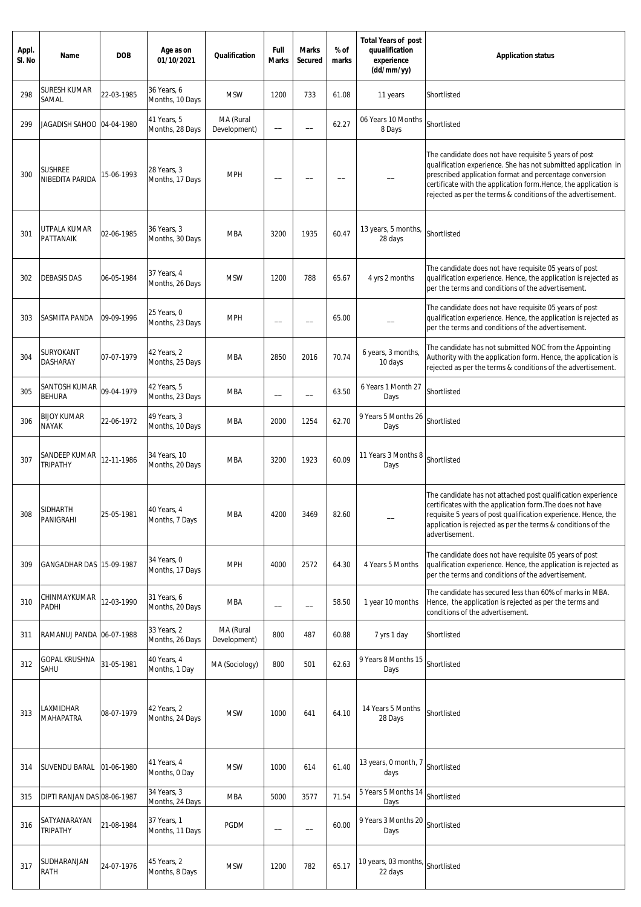| Appl.<br>SI. No | Name                               | <b>DOB</b> | Age as on<br>01/10/2021         | Qualification             | Full<br><b>Marks</b>     | <b>Marks</b><br>Secured  | % of<br>marks | <b>Total Years of post</b><br>quualification<br>experience<br>(dd/mm/yy) | <b>Application status</b>                                                                                                                                                                                                                                                                                             |
|-----------------|------------------------------------|------------|---------------------------------|---------------------------|--------------------------|--------------------------|---------------|--------------------------------------------------------------------------|-----------------------------------------------------------------------------------------------------------------------------------------------------------------------------------------------------------------------------------------------------------------------------------------------------------------------|
| 298             | SURESH KUMAR<br>SAMAL              | 22-03-1985 | 36 Years, 6<br>Months, 10 Days  | <b>MSW</b>                | 1200                     | 733                      | 61.08         | 11 years                                                                 | Shortlisted                                                                                                                                                                                                                                                                                                           |
| 299             | JAGADISH SAHOO  04-04-1980         |            | 41 Years, 5<br>Months, 28 Days  | MA (Rural<br>Development) | --                       |                          | 62.27         | 06 Years 10 Months<br>8 Days                                             | Shortlisted                                                                                                                                                                                                                                                                                                           |
| 300             | <b>SUSHREE</b><br>NIBEDITA PARIDA  | 15-06-1993 | 28 Years, 3<br>Months, 17 Days  | <b>MPH</b>                |                          |                          |               |                                                                          | The candidate does not have requisite 5 years of post<br>qualification experience. She has not submitted application in<br>prescribed application format and percentage conversion<br>certificate with the application form.Hence, the application is<br>rejected as per the terms & conditions of the advertisement. |
| 301             | UTPALA KUMAR<br>PATTANAIK          | 02-06-1985 | 36 Years, 3<br>Months, 30 Days  | <b>MBA</b>                | 3200                     | 1935                     | 60.47         | 13 years, 5 months,<br>28 days                                           | Shortlisted                                                                                                                                                                                                                                                                                                           |
| 302             | <b>DEBASIS DAS</b>                 | 06-05-1984 | 37 Years, 4<br>Months, 26 Days  | <b>MSW</b>                | 1200                     | 788                      | 65.67         | 4 yrs 2 months                                                           | The candidate does not have requisite 05 years of post<br>qualification experience. Hence, the application is rejected as<br>per the terms and conditions of the advertisement.                                                                                                                                       |
| 303             | SASMITA PANDA                      | 09-09-1996 | 25 Years, 0<br>Months, 23 Days  | <b>MPH</b>                | -                        |                          | 65.00         |                                                                          | The candidate does not have requisite 05 years of post<br>qualification experience. Hence, the application is rejected as<br>per the terms and conditions of the advertisement.                                                                                                                                       |
| 304             | SURYOKANT<br>DASHARAY              | 07-07-1979 | 42 Years, 2<br>Months, 25 Days  | <b>MBA</b>                | 2850                     | 2016                     | 70.74         | 6 years, 3 months,<br>10 days                                            | The candidate has not submitted NOC from the Appointing<br>Authority with the application form. Hence, the application is<br>rejected as per the terms & conditions of the advertisement.                                                                                                                             |
| 305             | SANTOSH KUMAR<br><b>BEHURA</b>     | 09-04-1979 | 42 Years, 5<br>Months, 23 Days  | <b>MBA</b>                | $\overline{\phantom{0}}$ | $\overline{\phantom{0}}$ | 63.50         | 6 Years 1 Month 27<br>Days                                               | Shortlisted                                                                                                                                                                                                                                                                                                           |
| 306             | <b>BIJOY KUMAR</b><br><b>NAYAK</b> | 22-06-1972 | 49 Years, 3<br>Months, 10 Days  | MBA                       | 2000                     | 1254                     | 62.70         | 9 Years 5 Months 26<br>Days                                              | Shortlisted                                                                                                                                                                                                                                                                                                           |
| 307             | SANDEEP KUMAR<br><b>TRIPATHY</b>   | 12-11-1986 | 34 Years, 10<br>Months, 20 Days | <b>MBA</b>                | 3200                     | 1923                     | 60.09         | 11 Years 3 Months 8<br>Days                                              | Shortlisted                                                                                                                                                                                                                                                                                                           |
| 308             | SIDHARTH<br>PANIGRAHI              | 25-05-1981 | 40 Years, 4<br>Months, 7 Days   | MBA                       | 4200                     | 3469                     | 82.60         |                                                                          | The candidate has not attached post qualification experience<br>certificates with the application form. The does not have<br>requisite 5 years of post qualification experience. Hence, the<br>application is rejected as per the terms & conditions of the<br>advertisement.                                         |
| 309             | GANGADHAR DAS 15-09-1987           |            | 34 Years, 0<br>Months, 17 Days  | <b>MPH</b>                | 4000                     | 2572                     | 64.30         | 4 Years 5 Months                                                         | The candidate does not have requisite 05 years of post<br>qualification experience. Hence, the application is rejected as<br>per the terms and conditions of the advertisement.                                                                                                                                       |
| 310             | CHINMAYKUMAR<br>PADHI              | 12-03-1990 | 31 Years, 6<br>Months, 20 Days  | <b>MBA</b>                | --                       |                          | 58.50         | 1 year 10 months                                                         | The candidate has secured less than 60% of marks in MBA.<br>Hence, the application is rejected as per the terms and<br>conditions of the advertisement.                                                                                                                                                               |
| 311             | RAMANUJ PANDA 06-07-1988           |            | 33 Years, 2<br>Months, 26 Days  | MA (Rural<br>Development) | 800                      | 487                      | 60.88         | 7 yrs 1 day                                                              | Shortlisted                                                                                                                                                                                                                                                                                                           |
| 312             | <b>GOPAL KRUSHNA</b><br>SAHU       | 31-05-1981 | 40 Years, 4<br>Months, 1 Day    | MA (Sociology)            | 800                      | 501                      | 62.63         | 9 Years 8 Months 15<br>Days                                              | Shortlisted                                                                                                                                                                                                                                                                                                           |
| 313             | LAXMIDHAR<br><b>MAHAPATRA</b>      | 08-07-1979 | 42 Years, 2<br>Months, 24 Days  | <b>MSW</b>                | 1000                     | 641                      | 64.10         | 14 Years 5 Months<br>28 Days                                             | Shortlisted                                                                                                                                                                                                                                                                                                           |
| 314             | SUVENDU BARAL                      | 01-06-1980 | 41 Years, 4<br>Months, 0 Day    | <b>MSW</b>                | 1000                     | 614                      | 61.40         | 13 years, 0 month, 7<br>days                                             | Shortlisted                                                                                                                                                                                                                                                                                                           |
| 315             | DIPTI RANJAN DAS 08-06-1987        |            | 34 Years, 3<br>Months, 24 Days  | <b>MBA</b>                | 5000                     | 3577                     | 71.54         | 5 Years 5 Months 14<br>Days                                              | Shortlisted                                                                                                                                                                                                                                                                                                           |
| 316             | SATYANARAYAN<br><b>TRIPATHY</b>    | 21-08-1984 | 37 Years, 1<br>Months, 11 Days  | <b>PGDM</b>               | --                       | $\overline{\phantom{0}}$ | 60.00         | 9 Years 3 Months 20<br>Days                                              | Shortlisted                                                                                                                                                                                                                                                                                                           |
| 317             | SUDHARANJAN<br><b>RATH</b>         | 24-07-1976 | 45 Years, 2<br>Months, 8 Days   | <b>MSW</b>                | 1200                     | 782                      | 65.17         | 10 years, 03 months,<br>22 days                                          | Shortlisted                                                                                                                                                                                                                                                                                                           |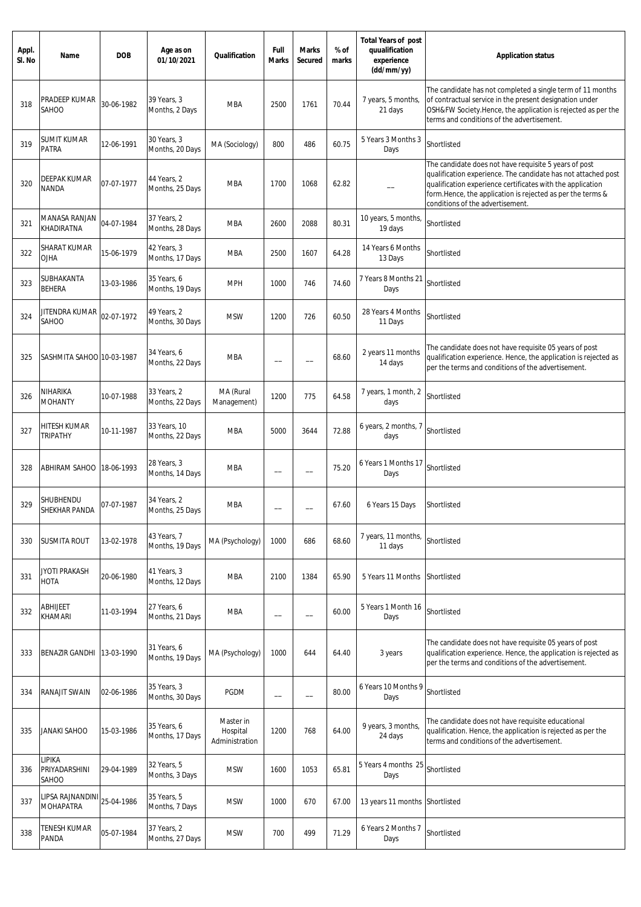| Appl.<br>SI. No | Name                                 | <b>DOB</b> | Age as on<br>01/10/2021         | Qualification                           | Full<br><b>Marks</b>     | <b>Marks</b><br>Secured  | % of<br>marks | <b>Total Years of post</b><br>quualification<br>experience<br>(dd/mm/yy) | <b>Application status</b>                                                                                                                                                                                                                                                               |
|-----------------|--------------------------------------|------------|---------------------------------|-----------------------------------------|--------------------------|--------------------------|---------------|--------------------------------------------------------------------------|-----------------------------------------------------------------------------------------------------------------------------------------------------------------------------------------------------------------------------------------------------------------------------------------|
| 318             | PRADEEP KUMAR<br>SAHOO               | 30-06-1982 | 39 Years, 3<br>Months, 2 Days   | <b>MBA</b>                              | 2500                     | 1761                     | 70.44         | 7 years, 5 months,<br>21 days                                            | The candidate has not completed a single term of 11 months<br>of contractual service in the present designation under<br>OSH&FW Society.Hence, the application is rejected as per the<br>terms and conditions of the advertisement.                                                     |
| 319             | <b>SUMIT KUMAR</b><br>PATRA          | 12-06-1991 | 30 Years, 3<br>Months, 20 Days  | MA (Sociology)                          | 800                      | 486                      | 60.75         | 5 Years 3 Months 3<br>Days                                               | Shortlisted                                                                                                                                                                                                                                                                             |
| 320             | DEEPAK KUMAR<br><b>NANDA</b>         | 07-07-1977 | 44 Years, 2<br>Months, 25 Days  | <b>MBA</b>                              | 1700                     | 1068                     | 62.82         |                                                                          | The candidate does not have requisite 5 years of post<br>qualification experience. The candidate has not attached post<br>qualification experience certificates with the application<br>form. Hence, the application is rejected as per the terms &<br>conditions of the advertisement. |
| 321             | MANASA RANJAN<br>KHADIRATNA          | 04-07-1984 | 37 Years, 2<br>Months, 28 Days  | MBA                                     | 2600                     | 2088                     | 80.31         | 10 years, 5 months,<br>19 days                                           | Shortlisted                                                                                                                                                                                                                                                                             |
| 322             | <b>SHARAT KUMAR</b><br><b>OJHA</b>   | 15-06-1979 | 42 Years, 3<br>Months, 17 Days  | <b>MBA</b>                              | 2500                     | 1607                     | 64.28         | 14 Years 6 Months<br>13 Days                                             | Shortlisted                                                                                                                                                                                                                                                                             |
| 323             | SUBHAKANTA<br><b>BEHERA</b>          | 13-03-1986 | 35 Years, 6<br>Months, 19 Days  | <b>MPH</b>                              | 1000                     | 746                      | 74.60         | 7 Years 8 Months 21<br>Days                                              | Shortlisted                                                                                                                                                                                                                                                                             |
| 324             | JITENDRA KUMAR<br>SAHOO              | 02-07-1972 | 49 Years, 2<br>Months, 30 Days  | <b>MSW</b>                              | 1200                     | 726                      | 60.50         | 28 Years 4 Months<br>11 Days                                             | Shortlisted                                                                                                                                                                                                                                                                             |
| 325             | SASHMITA SAHOO 10-03-1987            |            | 34 Years, 6<br>Months, 22 Days  | <b>MBA</b>                              |                          |                          | 68.60         | 2 years 11 months<br>14 days                                             | The candidate does not have requisite 05 years of post<br>qualification experience. Hence, the application is rejected as<br>per the terms and conditions of the advertisement.                                                                                                         |
| 326             | NIHARIKA<br><b>MOHANTY</b>           | 10-07-1988 | 33 Years, 2<br>Months, 22 Days  | MA (Rural<br>Management)                | 1200                     | 775                      | 64.58         | 7 years, 1 month, 2<br>days                                              | Shortlisted                                                                                                                                                                                                                                                                             |
| 327             | HITESH KUMAR<br><b>TRIPATHY</b>      | 10-11-1987 | 33 Years, 10<br>Months, 22 Days | MBA                                     | 5000                     | 3644                     | 72.88         | 6 years, 2 months, 7<br>days                                             | Shortlisted                                                                                                                                                                                                                                                                             |
| 328             | <b>ABHIRAM SAHOO</b>                 | 18-06-1993 | 28 Years, 3<br>Months, 14 Days  | MBA                                     | $\overline{\phantom{0}}$ | $\overline{\phantom{0}}$ | 75.20         | 6 Years 1 Months 17<br>Days                                              | Shortlisted                                                                                                                                                                                                                                                                             |
| 329             | SHUBHENDU<br>SHEKHAR PANDA           | 07-07-1987 | 34 Years, 2<br>Months, 25 Days  | MBA                                     |                          |                          | 67.60         | 6 Years 15 Days                                                          | Shortlisted                                                                                                                                                                                                                                                                             |
| 330             | <b>SUSMITA ROUT</b>                  | 13-02-1978 | 43 Years, 7<br>Months, 19 Days  | MA (Psychology)                         | 1000                     | 686                      | 68.60         | 7 years, 11 months,<br>11 days                                           | Shortlisted                                                                                                                                                                                                                                                                             |
| 331             | <b>JYOTI PRAKASH</b><br>HOTA         | 20-06-1980 | 41 Years, 3<br>Months, 12 Days  | <b>MBA</b>                              | 2100                     | 1384                     | 65.90         | 5 Years 11 Months                                                        | Shortlisted                                                                                                                                                                                                                                                                             |
| 332             | ABHIJEET<br>KHAMARI                  | 11-03-1994 | 27 Years, 6<br>Months, 21 Days  | <b>MBA</b>                              | --                       | --                       | 60.00         | 5 Years 1 Month 16<br>Days                                               | Shortlisted                                                                                                                                                                                                                                                                             |
| 333             | BENAZIR GANDHI                       | 13-03-1990 | 31 Years, 6<br>Months, 19 Days  | MA (Psychology)                         | 1000                     | 644                      | 64.40         | 3 years                                                                  | The candidate does not have requisite 05 years of post<br>qualification experience. Hence, the application is rejected as<br>per the terms and conditions of the advertisement.                                                                                                         |
| 334             | RANAJIT SWAIN                        | 02-06-1986 | 35 Years, 3<br>Months, 30 Days  | <b>PGDM</b>                             | $\overline{\phantom{a}}$ | $\overline{\phantom{a}}$ | 80.00         | 6 Years 10 Months 9<br>Days                                              | Shortlisted                                                                                                                                                                                                                                                                             |
| 335             | JANAKI SAHOO                         | 15-03-1986 | 35 Years, 6<br>Months, 17 Days  | Master in<br>Hospital<br>Administration | 1200                     | 768                      | 64.00         | 9 years, 3 months,<br>24 days                                            | The candidate does not have requisite educational<br>qualification. Hence, the application is rejected as per the<br>terms and conditions of the advertisement.                                                                                                                         |
| 336             | LIPIKA<br>PRIYADARSHINI<br>SAHOO     | 29-04-1989 | 32 Years, 5<br>Months, 3 Days   | <b>MSW</b>                              | 1600                     | 1053                     | 65.81         | 5 Years 4 months 25<br>Days                                              | Shortlisted                                                                                                                                                                                                                                                                             |
| 337             | LIPSA RAJNANDINI<br><b>MOHAPATRA</b> | 25-04-1986 | 35 Years, 5<br>Months, 7 Days   | <b>MSW</b>                              | 1000                     | 670                      | 67.00         | 13 years 11 months Shortlisted                                           |                                                                                                                                                                                                                                                                                         |
| 338             | TENESH KUMAR<br>PANDA                | 05-07-1984 | 37 Years, 2<br>Months, 27 Days  | <b>MSW</b>                              | 700                      | 499                      | 71.29         | 6 Years 2 Months 7<br>Days                                               | Shortlisted                                                                                                                                                                                                                                                                             |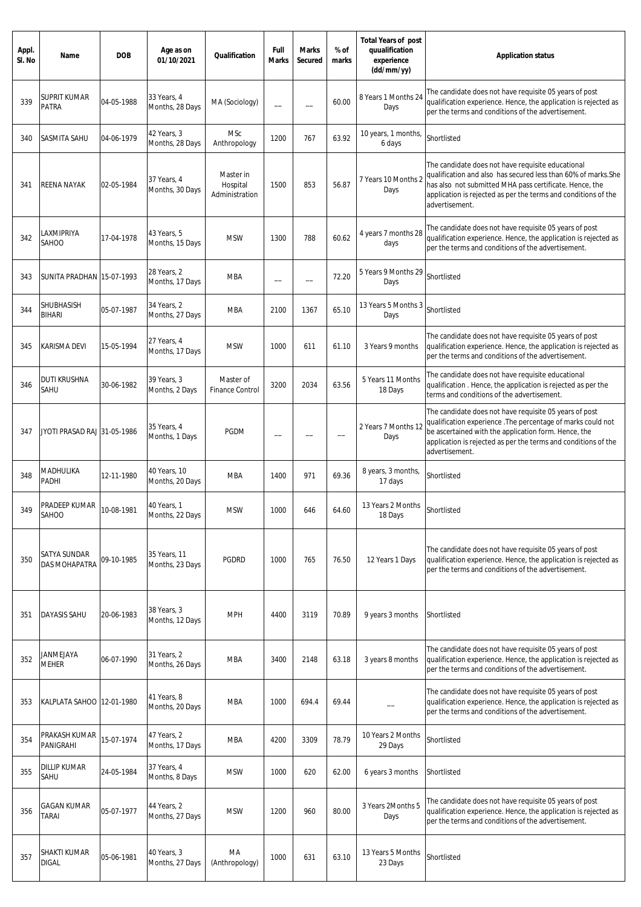| Appl.<br>SI. No | Name                                 | <b>DOB</b> | Age as on<br>01/10/2021         | Qualification                           | Full<br><b>Marks</b> | <b>Marks</b><br>Secured | % of<br>marks | <b>Total Years of post</b><br>quualification<br>experience<br>(dd/mm/yy) | <b>Application status</b>                                                                                                                                                                                                                                          |
|-----------------|--------------------------------------|------------|---------------------------------|-----------------------------------------|----------------------|-------------------------|---------------|--------------------------------------------------------------------------|--------------------------------------------------------------------------------------------------------------------------------------------------------------------------------------------------------------------------------------------------------------------|
| 339             | SUPRIT KUMAR<br>PATRA                | 04-05-1988 | 33 Years, 4<br>Months, 28 Days  | MA (Sociology)                          | $\qquad \qquad -$    |                         | 60.00         | 8 Years 1 Months 24<br>Days                                              | The candidate does not have requisite 05 years of post<br>qualification experience. Hence, the application is rejected as<br>per the terms and conditions of the advertisement.                                                                                    |
| 340             | SASMITA SAHU                         | 04-06-1979 | 42 Years, 3<br>Months, 28 Days  | MSc<br>Anthropology                     | 1200                 | 767                     | 63.92         | 10 years, 1 months,<br>6 days                                            | Shortlisted                                                                                                                                                                                                                                                        |
| 341             | <b>REENA NAYAK</b>                   | 02-05-1984 | 37 Years, 4<br>Months, 30 Days  | Master in<br>Hospital<br>Administration | 1500                 | 853                     | 56.87         | 7 Years 10 Months 2<br>Days                                              | The candidate does not have requisite educational<br>qualification and also has secured less than 60% of marks. She<br>has also not submitted MHA pass certificate. Hence, the<br>application is rejected as per the terms and conditions of the<br>advertisement. |
| 342             | LAXMIPRIYA<br>SAHOO                  | 17-04-1978 | 43 Years, 5<br>Months, 15 Days  | <b>MSW</b>                              | 1300                 | 788                     | 60.62         | 4 years 7 months 28<br>days                                              | The candidate does not have requisite 05 years of post<br>qualification experience. Hence, the application is rejected as<br>per the terms and conditions of the advertisement.                                                                                    |
| 343             | SUNITA PRADHAN 15-07-1993            |            | 28 Years, 2<br>Months, 17 Days  | <b>MBA</b>                              | --                   | --                      | 72.20         | 5 Years 9 Months 29<br>Days                                              | Shortlisted                                                                                                                                                                                                                                                        |
| 344             | SHUBHASISH<br><b>BIHARI</b>          | 05-07-1987 | 34 Years, 2<br>Months, 27 Days  | <b>MBA</b>                              | 2100                 | 1367                    | 65.10         | 13 Years 5 Months 3<br>Days                                              | Shortlisted                                                                                                                                                                                                                                                        |
| 345             | KARISMA DEVI                         | 15-05-1994 | 27 Years, 4<br>Months, 17 Days  | <b>MSW</b>                              | 1000                 | 611                     | 61.10         | 3 Years 9 months                                                         | The candidate does not have requisite 05 years of post<br>qualification experience. Hence, the application is rejected as<br>per the terms and conditions of the advertisement.                                                                                    |
| 346             | DUTI KRUSHNA<br>SAHU                 | 30-06-1982 | 39 Years, 3<br>Months, 2 Days   | Master of<br><b>Finance Control</b>     | 3200                 | 2034                    | 63.56         | 5 Years 11 Months<br>18 Days                                             | The candidate does not have requisite educational<br>qualification. Hence, the application is rejected as per the<br>terms and conditions of the advertisement.                                                                                                    |
| 347             | JYOTI PRASAD RAJ 31-05-1986          |            | 35 Years, 4<br>Months, 1 Days   | <b>PGDM</b>                             |                      |                         |               | 2 Years 7 Months 12<br>Days                                              | The candidate does not have requisite 05 years of post<br>qualification experience . The percentage of marks could not<br>be ascertained with the application form. Hence, the<br>application is rejected as per the terms and conditions of the<br>advertisement. |
| 348             | MADHULIKA<br>PADHI                   | 12-11-1980 | 40 Years, 10<br>Months, 20 Days | <b>MBA</b>                              | 1400                 | 971                     | 69.36         | 8 years, 3 months,<br>17 days                                            | Shortlisted                                                                                                                                                                                                                                                        |
| 349             | PRADEEP KUMAR<br>SAHOO               | 10-08-1981 | 40 Years, 1<br>Months, 22 Days  | <b>MSW</b>                              | 1000                 | 646                     | 64.60         | 13 Years 2 Months<br>18 Days                                             | Shortlisted                                                                                                                                                                                                                                                        |
| 350             | SATYA SUNDAR<br><b>DAS MOHAPATRA</b> | 09-10-1985 | 35 Years, 11<br>Months, 23 Days | <b>PGDRD</b>                            | 1000                 | 765                     | 76.50         | 12 Years 1 Days                                                          | The candidate does not have requisite 05 years of post<br>qualification experience. Hence, the application is rejected as<br>per the terms and conditions of the advertisement.                                                                                    |
| 351             | <b>DAYASIS SAHU</b>                  | 20-06-1983 | 38 Years, 3<br>Months, 12 Days  | <b>MPH</b>                              | 4400                 | 3119                    | 70.89         | 9 years 3 months                                                         | Shortlisted                                                                                                                                                                                                                                                        |
| 352             | <b>JANMEJAYA</b><br><b>MEHER</b>     | 06-07-1990 | 31 Years, 2<br>Months, 26 Days  | <b>MBA</b>                              | 3400                 | 2148                    | 63.18         | 3 years 8 months                                                         | The candidate does not have requisite 05 years of post<br>qualification experience. Hence, the application is rejected as<br>per the terms and conditions of the advertisement.                                                                                    |
| 353             | KALPLATA SAHOO   12-01-1980          |            | 41 Years, 8<br>Months, 20 Days  | <b>MBA</b>                              | 1000                 | 694.4                   | 69.44         |                                                                          | The candidate does not have requisite 05 years of post<br>qualification experience. Hence, the application is rejected as<br>per the terms and conditions of the advertisement.                                                                                    |
| 354             | PRAKASH KUMAR<br>PANIGRAHI           | 15-07-1974 | 47 Years, 2<br>Months, 17 Days  | <b>MBA</b>                              | 4200                 | 3309                    | 78.79         | 10 Years 2 Months<br>29 Days                                             | Shortlisted                                                                                                                                                                                                                                                        |
| 355             | DILLIP KUMAR<br>SAHU                 | 24-05-1984 | 37 Years, 4<br>Months, 8 Days   | <b>MSW</b>                              | 1000                 | 620                     | 62.00         | 6 years 3 months                                                         | Shortlisted                                                                                                                                                                                                                                                        |
| 356             | GAGAN KUMAR<br>TARAI                 | 05-07-1977 | 44 Years, 2<br>Months, 27 Days  | <b>MSW</b>                              | 1200                 | 960                     | 80.00         | 3 Years 2Months 5<br>Days                                                | The candidate does not have requisite 05 years of post<br>qualification experience. Hence, the application is rejected as<br>per the terms and conditions of the advertisement.                                                                                    |
| 357             | SHAKTI KUMAR<br><b>DIGAL</b>         | 05-06-1981 | 40 Years, 3<br>Months, 27 Days  | МA<br>(Anthropology)                    | 1000                 | 631                     | 63.10         | 13 Years 5 Months<br>23 Days                                             | Shortlisted                                                                                                                                                                                                                                                        |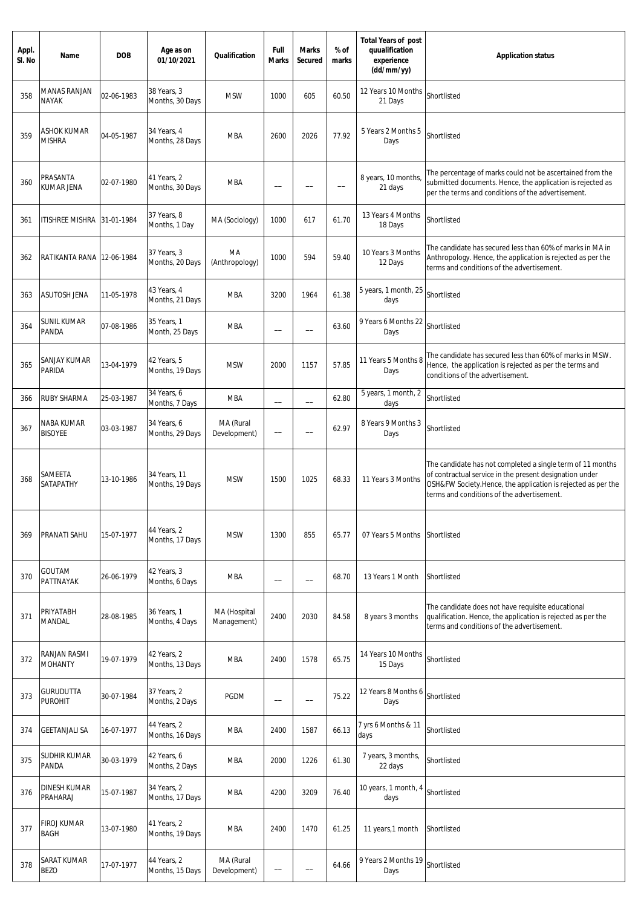| Appl.<br>SI. No | Name                                | <b>DOB</b> | Age as on<br>01/10/2021         | Qualification               | Full<br><b>Marks</b> | <b>Marks</b><br><b>Secured</b> | % of<br>marks | <b>Total Years of post</b><br>quualification<br>experience<br>(dd/mm/yy) | <b>Application status</b>                                                                                                                                                                                                           |
|-----------------|-------------------------------------|------------|---------------------------------|-----------------------------|----------------------|--------------------------------|---------------|--------------------------------------------------------------------------|-------------------------------------------------------------------------------------------------------------------------------------------------------------------------------------------------------------------------------------|
| 358             | <b>MANAS RANJAN</b><br><b>NAYAK</b> | 02-06-1983 | 38 Years, 3<br>Months, 30 Days  | <b>MSW</b>                  | 1000                 | 605                            | 60.50         | 12 Years 10 Months<br>21 Days                                            | Shortlisted                                                                                                                                                                                                                         |
| 359             | <b>ASHOK KUMAR</b><br><b>MISHRA</b> | 04-05-1987 | 34 Years, 4<br>Months, 28 Days  | <b>MBA</b>                  | 2600                 | 2026                           | 77.92         | 5 Years 2 Months 5<br>Days                                               | Shortlisted                                                                                                                                                                                                                         |
| 360             | PRASANTA<br>KUMAR JENA              | 02-07-1980 | 41 Years, 2<br>Months, 30 Days  | <b>MBA</b>                  | --                   |                                |               | 8 years, 10 months,<br>21 days                                           | The percentage of marks could not be ascertained from the<br>submitted documents. Hence, the application is rejected as<br>per the terms and conditions of the advertisement.                                                       |
| 361             | ITISHREE MISHRA                     | 31-01-1984 | 37 Years, 8<br>Months, 1 Day    | MA (Sociology)              | 1000                 | 617                            | 61.70         | 13 Years 4 Months<br>18 Days                                             | Shortlisted                                                                                                                                                                                                                         |
| 362             | RATIKANTA RANA                      | 12-06-1984 | 37 Years, 3<br>Months, 20 Days  | МA<br>(Anthropology)        | 1000                 | 594                            | 59.40         | 10 Years 3 Months<br>12 Days                                             | The candidate has secured less than 60% of marks in MA in<br>Anthropology. Hence, the application is rejected as per the<br>terms and conditions of the advertisement.                                                              |
| 363             | <b>ASUTOSH JENA</b>                 | 11-05-1978 | 43 Years, 4<br>Months, 21 Days  | <b>MBA</b>                  | 3200                 | 1964                           | 61.38         | 5 years, 1 month, 25<br>days                                             | Shortlisted                                                                                                                                                                                                                         |
| 364             | <b>SUNIL KUMAR</b><br>PANDA         | 07-08-1986 | 35 Years, 1<br>Month, 25 Days   | MBA                         |                      |                                | 63.60         | 9 Years 6 Months 22<br>Days                                              | Shortlisted                                                                                                                                                                                                                         |
| 365             | SANJAY KUMAR<br>PARIDA              | 13-04-1979 | 42 Years, 5<br>Months, 19 Days  | <b>MSW</b>                  | 2000                 | 1157                           | 57.85         | 11 Years 5 Months 8<br>Days                                              | The candidate has secured less than 60% of marks in MSW.<br>Hence, the application is rejected as per the terms and<br>conditions of the advertisement.                                                                             |
| 366             | <b>RUBY SHARMA</b>                  | 25-03-1987 | 34 Years, 6<br>Months, 7 Days   | <b>MBA</b>                  |                      | $\overline{\phantom{0}}$       | 62.80         | 5 years, 1 month, 2<br>days                                              | Shortlisted                                                                                                                                                                                                                         |
| 367             | NABA KUMAR<br><b>BISOYEE</b>        | 03-03-1987 | 34 Years, 6<br>Months, 29 Days  | MA (Rural<br>Development)   | $\hspace{0.05cm}$    |                                | 62.97         | 8 Years 9 Months 3<br>Days                                               | Shortlisted                                                                                                                                                                                                                         |
| 368             | SAMEETA<br>SATAPATHY                | 13-10-1986 | 34 Years, 11<br>Months, 19 Days | <b>MSW</b>                  | 1500                 | 1025                           | 68.33         | 11 Years 3 Months                                                        | The candidate has not completed a single term of 11 months<br>of contractual service in the present designation under<br>OSH&FW Society.Hence, the application is rejected as per the<br>terms and conditions of the advertisement. |
| 369             | PRANATI SAHU                        | 15-07-1977 | 44 Years, 2<br>Months, 17 Days  | <b>MSW</b>                  | 1300                 | 855                            | 65.77         | 07 Years 5 Months                                                        | Shortlisted                                                                                                                                                                                                                         |
| 370             | GOUTAM<br>PATTNAYAK                 | 26-06-1979 | 42 Years, 3<br>Months, 6 Days   | <b>MBA</b>                  | $\qquad \qquad -$    | $\overline{\phantom{0}}$       | 68.70         | 13 Years 1 Month                                                         | Shortlisted                                                                                                                                                                                                                         |
| 371             | PRIYATABH<br>MANDAL                 | 28-08-1985 | 36 Years, 1<br>Months, 4 Days   | MA (Hospital<br>Management) | 2400                 | 2030                           | 84.58         | 8 years 3 months                                                         | The candidate does not have requisite educational<br>qualification. Hence, the application is rejected as per the<br>terms and conditions of the advertisement.                                                                     |
| 372             | RANJAN RASMI<br><b>MOHANTY</b>      | 19-07-1979 | 42 Years, 2<br>Months, 13 Days  | <b>MBA</b>                  | 2400                 | 1578                           | 65.75         | 14 Years 10 Months<br>15 Days                                            | Shortlisted                                                                                                                                                                                                                         |
| 373             | <b>GURUDUTTA</b><br><b>PUROHIT</b>  | 30-07-1984 | 37 Years, 2<br>Months, 2 Days   | <b>PGDM</b>                 | $\qquad \qquad -$    | --                             | 75.22         | 12 Years 8 Months 6<br>Days                                              | Shortlisted                                                                                                                                                                                                                         |
| 374             | <b>GEETANJALI SA</b>                | 16-07-1977 | 44 Years, 2<br>Months, 16 Days  | <b>MBA</b>                  | 2400                 | 1587                           | 66.13         | 7 yrs 6 Months & 11<br>days                                              | Shortlisted                                                                                                                                                                                                                         |
| 375             | SUDHIR KUMAR<br>PANDA               | 30-03-1979 | 42 Years, 6<br>Months, 2 Days   | <b>MBA</b>                  | 2000                 | 1226                           | 61.30         | 7 years, 3 months,<br>22 days                                            | Shortlisted                                                                                                                                                                                                                         |
| 376             | <b>DINESH KUMAR</b><br>PRAHARAJ     | 15-07-1987 | 34 Years, 2<br>Months, 17 Days  | <b>MBA</b>                  | 4200                 | 3209                           | 76.40         | 10 years, 1 month, 4<br>days                                             | Shortlisted                                                                                                                                                                                                                         |
| 377             | <b>FIROJ KUMAR</b><br><b>BAGH</b>   | 13-07-1980 | 41 Years, 2<br>Months, 19 Days  | <b>MBA</b>                  | 2400                 | 1470                           | 61.25         | 11 years, 1 month                                                        | Shortlisted                                                                                                                                                                                                                         |
| 378             | SARAT KUMAR<br><b>BEZO</b>          | 17-07-1977 | 44 Years, 2<br>Months, 15 Days  | MA (Rural<br>Development)   | $\qquad \qquad -$    |                                | 64.66         | 9 Years 2 Months 19<br>Days                                              | Shortlisted                                                                                                                                                                                                                         |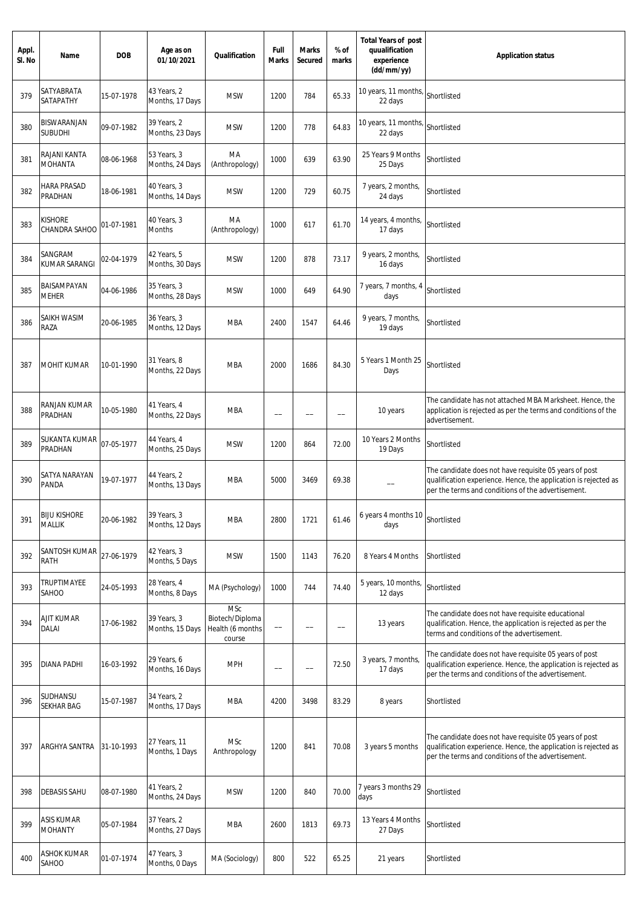| Appl.<br>SI. No | Name                                 | <b>DOB</b> | Age as on<br>01/10/2021        | Qualification                                               | Full<br><b>Marks</b> | <b>Marks</b><br>Secured  | % of<br>marks            | <b>Total Years of post</b><br>quualification<br>experience<br>(dd/mm/yy) | <b>Application status</b>                                                                                                                                                       |
|-----------------|--------------------------------------|------------|--------------------------------|-------------------------------------------------------------|----------------------|--------------------------|--------------------------|--------------------------------------------------------------------------|---------------------------------------------------------------------------------------------------------------------------------------------------------------------------------|
| 379             | SATYABRATA<br>SATAPATHY              | 15-07-1978 | 43 Years, 2<br>Months, 17 Days | <b>MSW</b>                                                  | 1200                 | 784                      | 65.33                    | 10 years, 11 months,<br>22 days                                          | Shortlisted                                                                                                                                                                     |
| 380             | BISWARANJAN<br><b>SUBUDHI</b>        | 09-07-1982 | 39 Years, 2<br>Months, 23 Days | <b>MSW</b>                                                  | 1200                 | 778                      | 64.83                    | 10 years, 11 months,<br>22 days                                          | Shortlisted                                                                                                                                                                     |
| 381             | RAJANI KANTA<br><b>MOHANTA</b>       | 08-06-1968 | 53 Years, 3<br>Months, 24 Days | MA<br>(Anthropology)                                        | 1000                 | 639                      | 63.90                    | 25 Years 9 Months<br>25 Days                                             | Shortlisted                                                                                                                                                                     |
| 382             | HARA PRASAD<br>PRADHAN               | 18-06-1981 | 40 Years, 3<br>Months, 14 Days | <b>MSW</b>                                                  | 1200                 | 729                      | 60.75                    | 7 years, 2 months,<br>24 days                                            | Shortlisted                                                                                                                                                                     |
| 383             | Kishore<br>CHANDRA SAHOO             | 01-07-1981 | 40 Years, 3<br><b>Months</b>   | МA<br>(Anthropology)                                        | 1000                 | 617                      | 61.70                    | 14 years, 4 months,<br>17 days                                           | Shortlisted                                                                                                                                                                     |
| 384             | SANGRAM<br>KUMAR SARANGI             | 02-04-1979 | 42 Years, 5<br>Months, 30 Days | <b>MSW</b>                                                  | 1200                 | 878                      | 73.17                    | 9 years, 2 months,<br>16 days                                            | Shortlisted                                                                                                                                                                     |
| 385             | BAISAMPAYAN<br><b>MEHER</b>          | 04-06-1986 | 35 Years, 3<br>Months, 28 Days | <b>MSW</b>                                                  | 1000                 | 649                      | 64.90                    | 7 years, 7 months, 4<br>days                                             | Shortlisted                                                                                                                                                                     |
| 386             | SAIKH WASIM<br>RAZA                  | 20-06-1985 | 36 Years, 3<br>Months, 12 Days | <b>MBA</b>                                                  | 2400                 | 1547                     | 64.46                    | 9 years, 7 months,<br>19 days                                            | Shortlisted                                                                                                                                                                     |
| 387             | <b>MOHIT KUMAR</b>                   | 10-01-1990 | 31 Years, 8<br>Months, 22 Days | <b>MBA</b>                                                  | 2000                 | 1686                     | 84.30                    | 5 Years 1 Month 25<br>Days                                               | Shortlisted                                                                                                                                                                     |
| 388             | RANJAN KUMAR<br>PRADHAN              | 10-05-1980 | 41 Years, 4<br>Months, 22 Days | <b>MBA</b>                                                  | $\qquad \qquad -$    |                          | $\overline{\phantom{0}}$ | 10 years                                                                 | The candidate has not attached MBA Marksheet. Hence, the<br>application is rejected as per the terms and conditions of the<br>advertisement.                                    |
| 389             | SUKANTA KUMAR<br>PRADHAN             | 07-05-1977 | 44 Years, 4<br>Months, 25 Days | <b>MSW</b>                                                  | 1200                 | 864                      | 72.00                    | 10 Years 2 Months<br>19 Days                                             | Shortlisted                                                                                                                                                                     |
| 390             | SATYA NARAYAN<br>PANDA               | 19-07-1977 | 44 Years, 2<br>Months, 13 Days | <b>MBA</b>                                                  | 5000                 | 3469                     | 69.38                    |                                                                          | The candidate does not have requisite 05 years of post<br>qualification experience. Hence, the application is rejected as<br>per the terms and conditions of the advertisement. |
| 391             | <b>BIJU KISHORE</b><br><b>MALLIK</b> | 20-06-1982 | 39 Years, 3<br>Months, 12 Days | <b>MBA</b>                                                  | 2800                 | 1721                     | 61.46                    | 6 years 4 months 10<br>days                                              | Shortlisted                                                                                                                                                                     |
| 392             | SANTOSH KUMAR<br>RATH                | 27-06-1979 | 42 Years, 3<br>Months, 5 Days  | <b>MSW</b>                                                  | 1500                 | 1143                     | 76.20                    | 8 Years 4 Months                                                         | Shortlisted                                                                                                                                                                     |
| 393             | TRUPTIMAYEE<br>SAHOO                 | 24-05-1993 | 28 Years, 4<br>Months, 8 Days  | MA (Psychology)                                             | 1000                 | 744                      | 74.40                    | 5 years, 10 months,<br>12 days                                           | Shortlisted                                                                                                                                                                     |
| 394             | AJIT KUMAR<br>DALAI                  | 17-06-1982 | 39 Years, 3<br>Months, 15 Days | <b>MSc</b><br>Biotech/Diploma<br>Health (6 months<br>course |                      |                          |                          | 13 years                                                                 | The candidate does not have requisite educational<br>qualification. Hence, the application is rejected as per the<br>terms and conditions of the advertisement.                 |
| 395             | DIANA PADHI                          | 16-03-1992 | 29 Years, 6<br>Months, 16 Days | <b>MPH</b>                                                  |                      | $\overline{\phantom{0}}$ | 72.50                    | 3 years, 7 months,<br>17 days                                            | The candidate does not have requisite 05 years of post<br>qualification experience. Hence, the application is rejected as<br>per the terms and conditions of the advertisement. |
| 396             | SUDHANSU<br>SEKHAR BAG               | 15-07-1987 | 34 Years, 2<br>Months, 17 Days | <b>MBA</b>                                                  | 4200                 | 3498                     | 83.29                    | 8 years                                                                  | Shortlisted                                                                                                                                                                     |
| 397             | ARGHYA SANTRA 31-10-1993             |            | 27 Years, 11<br>Months, 1 Days | <b>MSc</b><br>Anthropology                                  | 1200                 | 841                      | 70.08                    | 3 years 5 months                                                         | The candidate does not have requisite 05 years of post<br>qualification experience. Hence, the application is rejected as<br>per the terms and conditions of the advertisement. |
| 398             | <b>DEBASIS SAHU</b>                  | 08-07-1980 | 41 Years, 2<br>Months, 24 Days | <b>MSW</b>                                                  | 1200                 | 840                      | 70.00                    | 7 years 3 months 29<br>days                                              | Shortlisted                                                                                                                                                                     |
| 399             | ASIS KUMAR<br><b>MOHANTY</b>         | 05-07-1984 | 37 Years, 2<br>Months, 27 Days | <b>MBA</b>                                                  | 2600                 | 1813                     | 69.73                    | 13 Years 4 Months<br>27 Days                                             | Shortlisted                                                                                                                                                                     |
| 400             | <b>ASHOK KUMAR</b><br>SAHOO          | 01-07-1974 | 47 Years, 3<br>Months, 0 Days  | MA (Sociology)                                              | 800                  | 522                      | 65.25                    | 21 years                                                                 | Shortlisted                                                                                                                                                                     |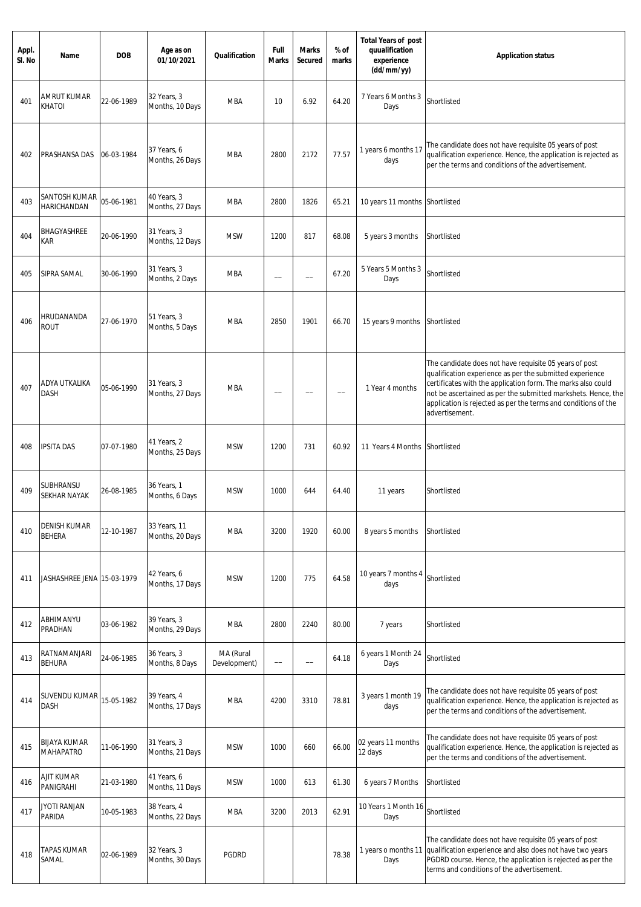| Appl.<br>SI. No | Name                                    | <b>DOB</b> | Age as on<br>01/10/2021         | Qualification             | Full<br><b>Marks</b> | <b>Marks</b><br>Secured  | % of<br>marks | <b>Total Years of post</b><br>quualification<br>experience<br>(dd/mm/yy) | <b>Application status</b>                                                                                                                                                                                                                                                                                                               |
|-----------------|-----------------------------------------|------------|---------------------------------|---------------------------|----------------------|--------------------------|---------------|--------------------------------------------------------------------------|-----------------------------------------------------------------------------------------------------------------------------------------------------------------------------------------------------------------------------------------------------------------------------------------------------------------------------------------|
| 401             | AMRUT KUMAR<br>KHATOI                   | 22-06-1989 | 32 Years, 3<br>Months, 10 Days  | <b>MBA</b>                | 10                   | 6.92                     | 64.20         | 7 Years 6 Months 3<br>Days                                               | Shortlisted                                                                                                                                                                                                                                                                                                                             |
| 402             | PRASHANSA DAS                           | 06-03-1984 | 37 Years, 6<br>Months, 26 Days  | <b>MBA</b>                | 2800                 | 2172                     | 77.57         | 1 years 6 months 17<br>days                                              | The candidate does not have requisite 05 years of post<br>qualification experience. Hence, the application is rejected as<br>per the terms and conditions of the advertisement.                                                                                                                                                         |
| 403             | SANTOSH KUMAR<br><b>HARICHANDAN</b>     | 05-06-1981 | 40 Years, 3<br>Months, 27 Days  | <b>MBA</b>                | 2800                 | 1826                     | 65.21         | 10 years 11 months Shortlisted                                           |                                                                                                                                                                                                                                                                                                                                         |
| 404             | BHAGYASHREE<br>kar                      | 20-06-1990 | 31 Years, 3<br>Months, 12 Days  | <b>MSW</b>                | 1200                 | 817                      | 68.08         | 5 years 3 months                                                         | Shortlisted                                                                                                                                                                                                                                                                                                                             |
| 405             | SIPRA SAMAL                             | 30-06-1990 | 31 Years, 3<br>Months, 2 Days   | MBA                       |                      |                          | 67.20         | 5 Years 5 Months 3<br>Days                                               | Shortlisted                                                                                                                                                                                                                                                                                                                             |
| 406             | HRUDANANDA<br><b>ROUT</b>               | 27-06-1970 | 51 Years, 3<br>Months, 5 Days   | <b>MBA</b>                | 2850                 | 1901                     | 66.70         | 15 years 9 months                                                        | Shortlisted                                                                                                                                                                                                                                                                                                                             |
| 407             | ADYA UTKALIKA<br>DASH                   | 05-06-1990 | 31 Years, 3<br>Months, 27 Days  | MBA                       |                      |                          |               | 1 Year 4 months                                                          | The candidate does not have requisite 05 years of post<br>qualification experience as per the submitted experience<br>certificates with the application form. The marks also could<br>not be ascertained as per the submitted markshets. Hence, the<br>application is rejected as per the terms and conditions of the<br>advertisement. |
| 408             | <b>IPSITA DAS</b>                       | 07-07-1980 | 41 Years, 2<br>Months, 25 Days  | <b>MSW</b>                | 1200                 | 731                      | 60.92         | 11 Years 4 Months                                                        | Shortlisted                                                                                                                                                                                                                                                                                                                             |
| 409             | SUBHRANSU<br><b>SEKHAR NAYAK</b>        | 26-08-1985 | 36 Years, 1<br>Months, 6 Days   | <b>MSW</b>                | 1000                 | 644                      | 64.40         | 11 years                                                                 | Shortlisted                                                                                                                                                                                                                                                                                                                             |
| 410             | <b>DENISH KUMAR</b><br><b>BEHERA</b>    | 12-10-1987 | 33 Years, 11<br>Months, 20 Days | <b>MBA</b>                | 3200                 | 1920                     | 60.00         | 8 years 5 months                                                         | Shortlisted                                                                                                                                                                                                                                                                                                                             |
| 411             | JASHASHREE JENA 15-03-1979              |            | 42 Years, 6<br>Months, 17 Days  | <b>MSW</b>                | 1200                 | 775                      | 64.58         | 10 years 7 months 4<br>days                                              | Shortlisted                                                                                                                                                                                                                                                                                                                             |
| 412             | ABHIMANYU<br>PRADHAN                    | 03-06-1982 | 39 Years, 3<br>Months, 29 Days  | <b>MBA</b>                | 2800                 | 2240                     | 80.00         | 7 years                                                                  | Shortlisted                                                                                                                                                                                                                                                                                                                             |
| 413             | RATNAMANJARI<br><b>BEHURA</b>           | 24-06-1985 | 36 Years, 3<br>Months, 8 Days   | MA (Rural<br>Development) |                      | $\overline{\phantom{0}}$ | 64.18         | 6 years 1 Month 24<br>Days                                               | Shortlisted                                                                                                                                                                                                                                                                                                                             |
| 414             | SUVENDU KUMAR<br><b>DASH</b>            | 15-05-1982 | 39 Years, 4<br>Months, 17 Days  | <b>MBA</b>                | 4200                 | 3310                     | 78.81         | 3 years 1 month 19<br>days                                               | The candidate does not have requisite 05 years of post<br>qualification experience. Hence, the application is rejected as<br>per the terms and conditions of the advertisement.                                                                                                                                                         |
| 415             | <b>BIJAYA KUMAR</b><br><b>MAHAPATRO</b> | 11-06-1990 | 31 Years, 3<br>Months, 21 Days  | <b>MSW</b>                | 1000                 | 660                      | 66.00         | 02 years 11 months<br>12 days                                            | The candidate does not have requisite 05 years of post<br>qualification experience. Hence, the application is rejected as<br>per the terms and conditions of the advertisement.                                                                                                                                                         |
| 416             | AJIT KUMAR<br>PANIGRAHI                 | 21-03-1980 | 41 Years, 6<br>Months, 11 Days  | <b>MSW</b>                | 1000                 | 613                      | 61.30         | 6 years 7 Months                                                         | Shortlisted                                                                                                                                                                                                                                                                                                                             |
| 417             | JYOTI RANJAN<br>PARIDA                  | 10-05-1983 | 38 Years, 4<br>Months, 22 Days  | MBA                       | 3200                 | 2013                     | 62.91         | 10 Years 1 Month 16<br>Days                                              | Shortlisted                                                                                                                                                                                                                                                                                                                             |
| 418             | <b>TAPAS KUMAR</b><br>SAMAL             | 02-06-1989 | 32 Years, 3<br>Months, 30 Days  | <b>PGDRD</b>              |                      |                          | 78.38         | 1 years o months 11<br>Days                                              | The candidate does not have requisite 05 years of post<br>qualification experience and also does not have two years<br>PGDRD course. Hence, the application is rejected as per the<br>terms and conditions of the advertisement.                                                                                                        |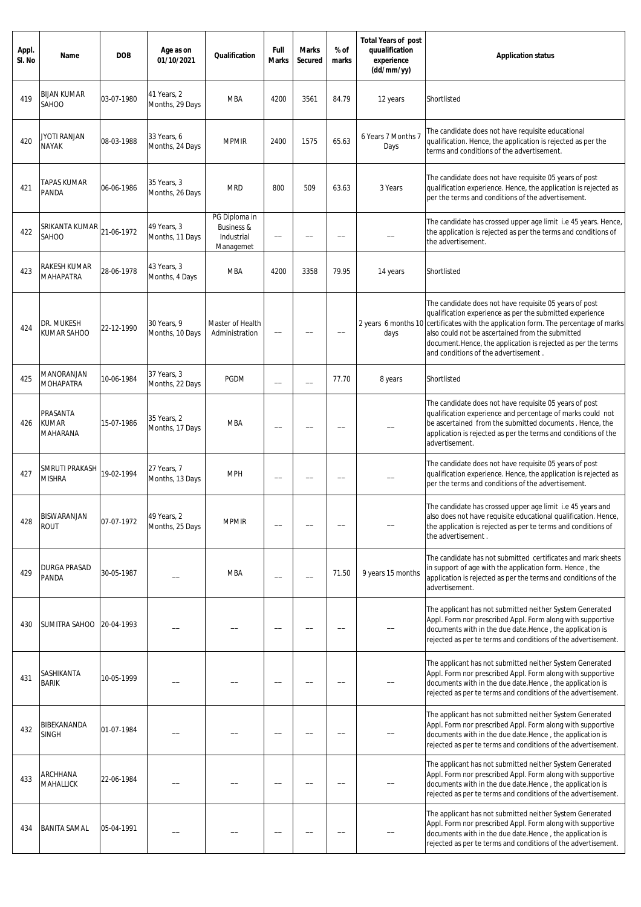| Appl.<br>SI. No | Name                                   | <b>DOB</b> | Age as on<br>01/10/2021        | Qualification                                                     | Full<br>Marks | Marks<br>Secured | % of<br>marks | <b>Total Years of post</b><br>quualification<br>experience<br>(dd/mm/yy) | <b>Application status</b>                                                                                                                                                                                                                                                                                                                          |
|-----------------|----------------------------------------|------------|--------------------------------|-------------------------------------------------------------------|---------------|------------------|---------------|--------------------------------------------------------------------------|----------------------------------------------------------------------------------------------------------------------------------------------------------------------------------------------------------------------------------------------------------------------------------------------------------------------------------------------------|
| 419             | <b>BIJAN KUMAR</b><br>SAHOO            | 03-07-1980 | 41 Years, 2<br>Months, 29 Days | <b>MBA</b>                                                        | 4200          | 3561             | 84.79         | 12 years                                                                 | Shortlisted                                                                                                                                                                                                                                                                                                                                        |
| 420             | <b>JYOTI RANJAN</b><br><b>NAYAK</b>    | 08-03-1988 | 33 Years, 6<br>Months, 24 Days | <b>MPMIR</b>                                                      | 2400          | 1575             | 65.63         | 6 Years 7 Months 7<br>Days                                               | The candidate does not have requisite educational<br>qualification. Hence, the application is rejected as per the<br>terms and conditions of the advertisement.                                                                                                                                                                                    |
| 421             | TAPAS KUMAR<br>PANDA                   | 06-06-1986 | 35 Years, 3<br>Months, 26 Days | <b>MRD</b>                                                        | 800           | 509              | 63.63         | 3 Years                                                                  | The candidate does not have requisite 05 years of post<br>qualification experience. Hence, the application is rejected as<br>per the terms and conditions of the advertisement.                                                                                                                                                                    |
| 422             | SRIKANTA KUMAR<br>SAHOO                | 21-06-1972 | 49 Years, 3<br>Months, 11 Days | PG Diploma in<br><b>Business &amp;</b><br>Industrial<br>Managemet | --            |                  |               |                                                                          | The candidate has crossed upper age limit i.e 45 years. Hence,<br>the application is rejected as per the terms and conditions of<br>the advertisement.                                                                                                                                                                                             |
| 423             | RAKESH KUMAR<br>MAHAPATRA              | 28-06-1978 | 43 Years, 3<br>Months, 4 Days  | <b>MBA</b>                                                        | 4200          | 3358             | 79.95         | 14 years                                                                 | Shortlisted                                                                                                                                                                                                                                                                                                                                        |
| 424             | dr. Mukesh<br>KUMAR SAHOO              | 22-12-1990 | 30 Years, 9<br>Months, 10 Days | Master of Health<br>Administration                                | --            |                  |               | 2 years 6 months 10<br>days                                              | The candidate does not have requisite 05 years of post<br>qualification experience as per the submitted experience<br>certificates with the application form. The percentage of marks<br>also could not be ascertained from the submitted<br>document. Hence, the application is rejected as per the terms<br>and conditions of the advertisement. |
| 425             | MANORANJAN<br><b>MOHAPATRA</b>         | 10-06-1984 | 37 Years, 3<br>Months, 22 Days | <b>PGDM</b>                                                       |               |                  | 77.70         | 8 years                                                                  | Shortlisted                                                                                                                                                                                                                                                                                                                                        |
| 426             | PRASANTA<br>KUMAR<br>MAHARANA          | 15-07-1986 | 35 Years, 2<br>Months, 17 Days | <b>MBA</b>                                                        |               |                  |               |                                                                          | The candidate does not have requisite 05 years of post<br>qualification experience and percentage of marks could not<br>be ascertained from the submitted documents. Hence, the<br>application is rejected as per the terms and conditions of the<br>advertisement.                                                                                |
| 427             | <b>SMRUTI PRAKASH</b><br><b>MISHRA</b> | 19-02-1994 | 27 Years, 7<br>Months, 13 Days | <b>MPH</b>                                                        |               |                  |               |                                                                          | The candidate does not have requisite 05 years of post<br>qualification experience. Hence, the application is rejected as<br>per the terms and conditions of the advertisement.                                                                                                                                                                    |
| 428             | BISWARANJAN<br><b>ROUT</b>             | 07-07-1972 | 49 Years, 2<br>Months, 25 Days | <b>MPMIR</b>                                                      |               |                  |               |                                                                          | The candidate has crossed upper age limit i.e 45 years and<br>also does not have requisite educational qualification. Hence,<br>the application is rejected as per te terms and conditions of<br>the advertisement.                                                                                                                                |
| 429             | DURGA PRASAD<br>PANDA                  | 30-05-1987 |                                | <b>MBA</b>                                                        |               |                  | 71.50         | 9 years 15 months                                                        | The candidate has not submitted certificates and mark sheets<br>in support of age with the application form. Hence, the<br>application is rejected as per the terms and conditions of the<br>advertisement.                                                                                                                                        |
| 430             | SUMITRA SAHOO                          | 20-04-1993 |                                |                                                                   |               |                  |               |                                                                          | The applicant has not submitted neither System Generated<br>Appl. Form nor prescribed Appl. Form along with supportive<br>documents with in the due date.Hence, the application is<br>rejected as per te terms and conditions of the advertisement.                                                                                                |
| 431             | SASHIKANTA<br><b>BARIK</b>             | 10-05-1999 |                                |                                                                   |               |                  |               |                                                                          | The applicant has not submitted neither System Generated<br>Appl. Form nor prescribed Appl. Form along with supportive<br>documents with in the due date.Hence, the application is<br>rejected as per te terms and conditions of the advertisement.                                                                                                |
| 432             | BIBEKANANDA<br><b>SINGH</b>            | 01-07-1984 |                                |                                                                   |               |                  |               |                                                                          | The applicant has not submitted neither System Generated<br>Appl. Form nor prescribed Appl. Form along with supportive<br>documents with in the due date.Hence, the application is<br>rejected as per te terms and conditions of the advertisement.                                                                                                |
| 433             | ARCHHANA<br>MAHALLICK                  | 22-06-1984 |                                |                                                                   |               |                  |               |                                                                          | The applicant has not submitted neither System Generated<br>Appl. Form nor prescribed Appl. Form along with supportive<br>documents with in the due date.Hence, the application is<br>rejected as per te terms and conditions of the advertisement.                                                                                                |
| 434             | <b>BANITA SAMAL</b>                    | 05-04-1991 |                                |                                                                   |               |                  |               |                                                                          | The applicant has not submitted neither System Generated<br>Appl. Form nor prescribed Appl. Form along with supportive<br>documents with in the due date.Hence, the application is<br>rejected as per te terms and conditions of the advertisement.                                                                                                |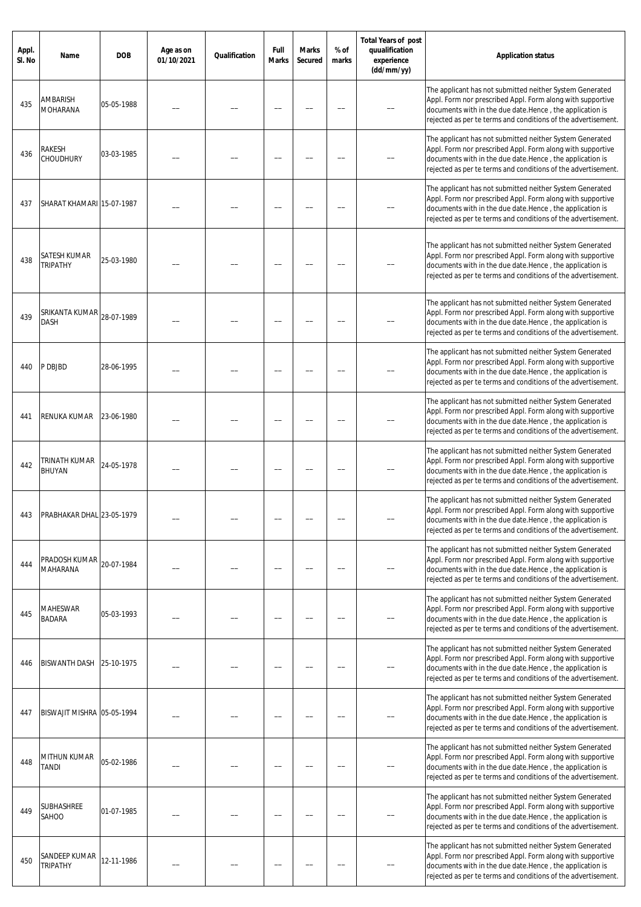| Appl.<br>SI. No | Name                             | <b>DOB</b> | Age as on<br>01/10/2021 | Qualification | Full<br><b>Marks</b> | <b>Marks</b><br><b>Secured</b> | % of<br>marks | <b>Total Years of post</b><br>quualification<br>experience<br>(dd/mm/yy) | <b>Application status</b>                                                                                                                                                                                                                           |
|-----------------|----------------------------------|------------|-------------------------|---------------|----------------------|--------------------------------|---------------|--------------------------------------------------------------------------|-----------------------------------------------------------------------------------------------------------------------------------------------------------------------------------------------------------------------------------------------------|
| 435             | <b>AMBARISH</b><br>MOHARANA      | 05-05-1988 |                         |               |                      |                                |               |                                                                          | The applicant has not submitted neither System Generated<br>Appl. Form nor prescribed Appl. Form along with supportive<br>documents with in the due date.Hence, the application is<br>rejected as per te terms and conditions of the advertisement. |
| 436             | RAKESH<br><b>CHOUDHURY</b>       | 03-03-1985 |                         |               |                      |                                |               |                                                                          | The applicant has not submitted neither System Generated<br>Appl. Form nor prescribed Appl. Form along with supportive<br>documents with in the due date.Hence, the application is<br>rejected as per te terms and conditions of the advertisement. |
| 437             | SHARAT KHAMARI 15-07-1987        |            |                         |               |                      |                                |               |                                                                          | The applicant has not submitted neither System Generated<br>Appl. Form nor prescribed Appl. Form along with supportive<br>documents with in the due date.Hence, the application is<br>rejected as per te terms and conditions of the advertisement. |
| 438             | SATESH KUMAR<br><b>TRIPATHY</b>  | 25-03-1980 |                         |               |                      |                                |               |                                                                          | The applicant has not submitted neither System Generated<br>Appl. Form nor prescribed Appl. Form along with supportive<br>documents with in the due date.Hence, the application is<br>rejected as per te terms and conditions of the advertisement. |
| 439             | SRIKANTA KUMAR<br>DASH           | 28-07-1989 |                         |               |                      |                                |               |                                                                          | The applicant has not submitted neither System Generated<br>Appl. Form nor prescribed Appl. Form along with supportive<br>documents with in the due date.Hence, the application is<br>rejected as per te terms and conditions of the advertisement. |
| 440             | P DBJBD                          | 28-06-1995 |                         |               |                      |                                |               |                                                                          | The applicant has not submitted neither System Generated<br>Appl. Form nor prescribed Appl. Form along with supportive<br>documents with in the due date.Hence, the application is<br>rejected as per te terms and conditions of the advertisement. |
| 441             | RENUKA KUMAR                     | 23-06-1980 |                         |               |                      |                                |               |                                                                          | The applicant has not submitted neither System Generated<br>Appl. Form nor prescribed Appl. Form along with supportive<br>documents with in the due date.Hence, the application is<br>rejected as per te terms and conditions of the advertisement. |
| 442             | <b>TRINATH KUMAR</b><br>BHUYAN   | 24-05-1978 |                         |               |                      |                                |               |                                                                          | The applicant has not submitted neither System Generated<br>Appl. Form nor prescribed Appl. Form along with supportive<br>documents with in the due date.Hence, the application is<br>rejected as per te terms and conditions of the advertisement. |
|                 | PRABHAKAR DHAL 23-05-1979        |            |                         |               |                      |                                |               |                                                                          | The applicant has not submitted neither System Generated<br>Appl. Form nor prescribed Appl. Form along with supportive<br>documents with in the due date.Hence, the application is<br>rejected as per te terms and conditions of the advertisement. |
| 444             | PRADOSH KUMAR<br><b>MAHARANA</b> | 20-07-1984 |                         |               |                      |                                |               |                                                                          | The applicant has not submitted neither System Generated<br>Appl. Form nor prescribed Appl. Form along with supportive<br>documents with in the due date.Hence, the application is<br>rejected as per te terms and conditions of the advertisement. |
| 445             | <b>MAHESWAR</b><br><b>BADARA</b> | 05-03-1993 |                         |               |                      |                                |               |                                                                          | The applicant has not submitted neither System Generated<br>Appl. Form nor prescribed Appl. Form along with supportive<br>documents with in the due date.Hence, the application is<br>rejected as per te terms and conditions of the advertisement. |
| 446             | <b>BISWANTH DASH</b>             | 25-10-1975 |                         |               |                      |                                |               |                                                                          | The applicant has not submitted neither System Generated<br>Appl. Form nor prescribed Appl. Form along with supportive<br>documents with in the due date.Hence, the application is<br>rejected as per te terms and conditions of the advertisement. |
| 447             | BISWAJIT MISHRA 05-05-1994       |            |                         |               |                      |                                |               |                                                                          | The applicant has not submitted neither System Generated<br>Appl. Form nor prescribed Appl. Form along with supportive<br>documents with in the due date.Hence, the application is<br>rejected as per te terms and conditions of the advertisement. |
| 448             | MITHUN KUMAR<br>TANDI            | 05-02-1986 |                         |               |                      |                                |               |                                                                          | The applicant has not submitted neither System Generated<br>Appl. Form nor prescribed Appl. Form along with supportive<br>documents with in the due date.Hence, the application is<br>rejected as per te terms and conditions of the advertisement. |
| 449             | SUBHASHREE<br>SAHOO              | 01-07-1985 |                         |               |                      |                                |               |                                                                          | The applicant has not submitted neither System Generated<br>Appl. Form nor prescribed Appl. Form along with supportive<br>documents with in the due date.Hence, the application is<br>rejected as per te terms and conditions of the advertisement. |
| 450             | SANDEEP KUMAR<br><b>TRIPATHY</b> | 12-11-1986 |                         |               |                      |                                |               |                                                                          | The applicant has not submitted neither System Generated<br>Appl. Form nor prescribed Appl. Form along with supportive<br>documents with in the due date.Hence, the application is<br>rejected as per te terms and conditions of the advertisement. |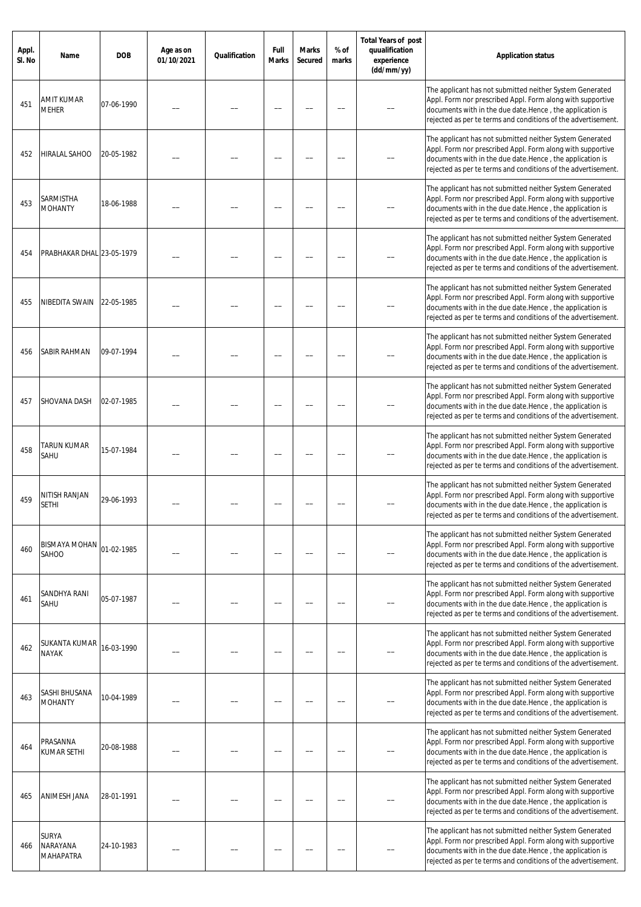| Appl.<br>SI. No | Name                                                | <b>DOB</b> | Age as on<br>01/10/2021 | Qualification | Full<br>Marks | <b>Marks</b><br>Secured | % of<br>marks | <b>Total Years of post</b><br>quualification<br>experience<br>(dd/mm/yy) | <b>Application status</b>                                                                                                                                                                                                                           |
|-----------------|-----------------------------------------------------|------------|-------------------------|---------------|---------------|-------------------------|---------------|--------------------------------------------------------------------------|-----------------------------------------------------------------------------------------------------------------------------------------------------------------------------------------------------------------------------------------------------|
| 451             | <b>AMIT KUMAR</b><br><b>MEHER</b>                   | 07-06-1990 |                         |               |               |                         |               |                                                                          | The applicant has not submitted neither System Generated<br>Appl. Form nor prescribed Appl. Form along with supportive<br>documents with in the due date.Hence, the application is<br>rejected as per te terms and conditions of the advertisement. |
| 452             | HIRALAL SAHOO                                       | 20-05-1982 |                         |               |               |                         |               |                                                                          | The applicant has not submitted neither System Generated<br>Appl. Form nor prescribed Appl. Form along with supportive<br>documents with in the due date.Hence, the application is<br>rejected as per te terms and conditions of the advertisement. |
| 453             | SARMISTHA<br><b>MOHANTY</b>                         | 18-06-1988 |                         |               |               |                         |               |                                                                          | The applicant has not submitted neither System Generated<br>Appl. Form nor prescribed Appl. Form along with supportive<br>documents with in the due date.Hence, the application is<br>rejected as per te terms and conditions of the advertisement. |
| 454             | PRABHAKAR DHAL 23-05-1979                           |            |                         |               |               |                         |               |                                                                          | The applicant has not submitted neither System Generated<br>Appl. Form nor prescribed Appl. Form along with supportive<br>documents with in the due date.Hence, the application is<br>rejected as per te terms and conditions of the advertisement. |
| 455             | NIBEDITA SWAIN                                      | 22-05-1985 |                         |               |               |                         |               |                                                                          | The applicant has not submitted neither System Generated<br>Appl. Form nor prescribed Appl. Form along with supportive<br>documents with in the due date.Hence, the application is<br>rejected as per te terms and conditions of the advertisement. |
| 456             | SABIR RAHMAN                                        | 09-07-1994 |                         |               |               |                         |               |                                                                          | The applicant has not submitted neither System Generated<br>Appl. Form nor prescribed Appl. Form along with supportive<br>documents with in the due date.Hence, the application is<br>rejected as per te terms and conditions of the advertisement. |
| 457             | SHOVANA DASH                                        | 02-07-1985 |                         |               |               |                         |               |                                                                          | The applicant has not submitted neither System Generated<br>Appl. Form nor prescribed Appl. Form along with supportive<br>documents with in the due date.Hence, the application is<br>rejected as per te terms and conditions of the advertisement. |
| 458             | TARUN KUMAR<br>SAHU                                 | 15-07-1984 |                         |               |               |                         |               |                                                                          | The applicant has not submitted neither System Generated<br>Appl. Form nor prescribed Appl. Form along with supportive<br>documents with in the due date.Hence, the application is<br>rejected as per te terms and conditions of the advertisement. |
| 459             | NITISH RANJAN<br><b>SETHI</b>                       | 29-06-1993 |                         |               |               |                         |               |                                                                          | The applicant has not submitted neither System Generated<br>Appl. Form nor prescribed Appl. Form along with supportive<br>documents with in the due date.Hence, the application is<br>rejected as per te terms and conditions of the advertisement. |
| 460             | BISMAYA MOHAN<br>SAHOO                              | 01-02-1985 |                         |               |               |                         |               |                                                                          | The applicant has not submitted neither System Generated<br>Appl. Form nor prescribed Appl. Form along with supportive<br>documents with in the due date.Hence, the application is<br>rejected as per te terms and conditions of the advertisement. |
| 461             | SANDHYA RANI<br>SAHU                                | 05-07-1987 |                         |               |               |                         |               |                                                                          | The applicant has not submitted neither System Generated<br>Appl. Form nor prescribed Appl. Form along with supportive<br>documents with in the due date.Hence, the application is<br>rejected as per te terms and conditions of the advertisement. |
| 462             | SUKANTA KUMAR<br><b>NAYAK</b>                       | 16-03-1990 |                         |               |               |                         |               |                                                                          | The applicant has not submitted neither System Generated<br>Appl. Form nor prescribed Appl. Form along with supportive<br>documents with in the due date.Hence, the application is<br>rejected as per te terms and conditions of the advertisement. |
| 463             | SASHI BHUSANA<br><b>MOHANTY</b>                     | 10-04-1989 |                         |               |               |                         |               |                                                                          | The applicant has not submitted neither System Generated<br>Appl. Form nor prescribed Appl. Form along with supportive<br>documents with in the due date.Hence, the application is<br>rejected as per te terms and conditions of the advertisement. |
| 464             | PRASANNA<br>KUMAR SETHI                             | 20-08-1988 |                         |               |               |                         |               |                                                                          | The applicant has not submitted neither System Generated<br>Appl. Form nor prescribed Appl. Form along with supportive<br>documents with in the due date.Hence, the application is<br>rejected as per te terms and conditions of the advertisement. |
| 465             | ANIMESH JANA                                        | 28-01-1991 |                         |               |               |                         |               |                                                                          | The applicant has not submitted neither System Generated<br>Appl. Form nor prescribed Appl. Form along with supportive<br>documents with in the due date.Hence, the application is<br>rejected as per te terms and conditions of the advertisement. |
| 466             | <b>SURYA</b><br><b>NARAYANA</b><br><b>MAHAPATRA</b> | 24-10-1983 |                         |               |               |                         |               |                                                                          | The applicant has not submitted neither System Generated<br>Appl. Form nor prescribed Appl. Form along with supportive<br>documents with in the due date.Hence, the application is<br>rejected as per te terms and conditions of the advertisement. |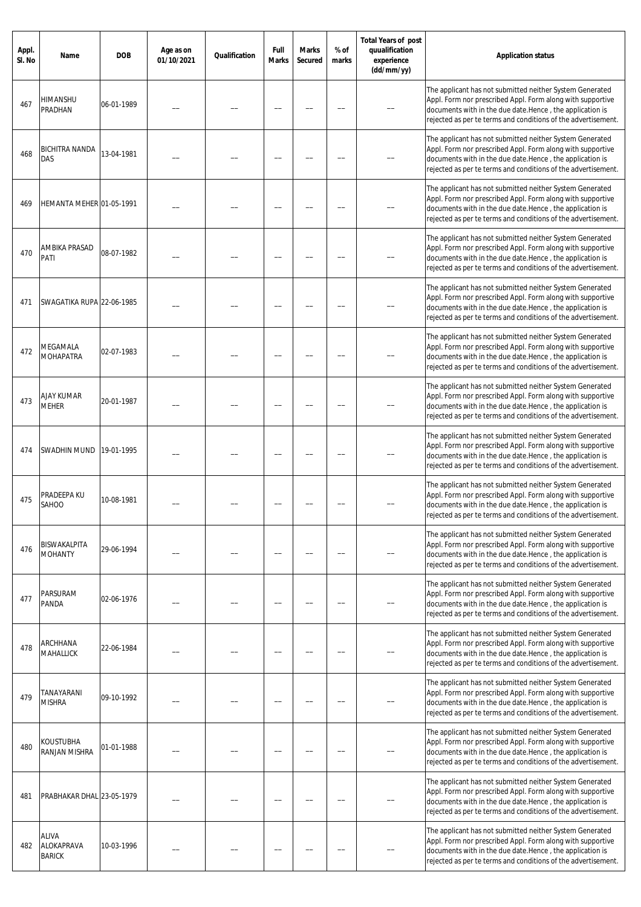| Appl.<br>SI. No | Name                                 | <b>DOB</b> | Age as on<br>01/10/2021 | Qualification | Full<br>Marks | <b>Marks</b><br>Secured | % of<br>marks | <b>Total Years of post</b><br>quualification<br>experience<br>(dd/mm/yy) | <b>Application status</b>                                                                                                                                                                                                                           |
|-----------------|--------------------------------------|------------|-------------------------|---------------|---------------|-------------------------|---------------|--------------------------------------------------------------------------|-----------------------------------------------------------------------------------------------------------------------------------------------------------------------------------------------------------------------------------------------------|
| 467             | HIMANSHU<br>PRADHAN                  | 06-01-1989 |                         |               |               |                         |               |                                                                          | The applicant has not submitted neither System Generated<br>Appl. Form nor prescribed Appl. Form along with supportive<br>documents with in the due date.Hence, the application is<br>rejected as per te terms and conditions of the advertisement. |
| 468             | BICHITRA NANDA<br>DAS                | 13-04-1981 |                         |               |               |                         |               |                                                                          | The applicant has not submitted neither System Generated<br>Appl. Form nor prescribed Appl. Form along with supportive<br>documents with in the due date.Hence, the application is<br>rejected as per te terms and conditions of the advertisement. |
| 469             | HEMANTA MEHER 01-05-1991             |            |                         |               |               |                         |               |                                                                          | The applicant has not submitted neither System Generated<br>Appl. Form nor prescribed Appl. Form along with supportive<br>documents with in the due date.Hence, the application is<br>rejected as per te terms and conditions of the advertisement. |
| 470             | AMBIKA PRASAD<br>PATI                | 08-07-1982 |                         |               |               |                         |               |                                                                          | The applicant has not submitted neither System Generated<br>Appl. Form nor prescribed Appl. Form along with supportive<br>documents with in the due date.Hence, the application is<br>rejected as per te terms and conditions of the advertisement. |
| 471             | SWAGATIKA RUPA 22-06-1985            |            |                         |               |               |                         |               |                                                                          | The applicant has not submitted neither System Generated<br>Appl. Form nor prescribed Appl. Form along with supportive<br>documents with in the due date.Hence, the application is<br>rejected as per te terms and conditions of the advertisement. |
| 472             | MEGAMALA<br><b>MOHAPATRA</b>         | 02-07-1983 |                         |               |               |                         |               |                                                                          | The applicant has not submitted neither System Generated<br>Appl. Form nor prescribed Appl. Form along with supportive<br>documents with in the due date.Hence, the application is<br>rejected as per te terms and conditions of the advertisement. |
| 473             | AJAY KUMAR<br><b>MEHER</b>           | 20-01-1987 |                         |               |               |                         |               |                                                                          | The applicant has not submitted neither System Generated<br>Appl. Form nor prescribed Appl. Form along with supportive<br>documents with in the due date.Hence, the application is<br>rejected as per te terms and conditions of the advertisement. |
| 474             | SWADHIN MUND                         | 19-01-1995 |                         |               |               |                         |               |                                                                          | The applicant has not submitted neither System Generated<br>Appl. Form nor prescribed Appl. Form along with supportive<br>documents with in the due date.Hence, the application is<br>rejected as per te terms and conditions of the advertisement. |
| 475             | PRADEEPA KU<br>SAHOO                 | 10-08-1981 |                         |               |               |                         |               |                                                                          | The applicant has not submitted neither System Generated<br>Appl. Form nor prescribed Appl. Form along with supportive<br>documents with in the due date.Hence, the application is<br>rejected as per te terms and conditions of the advertisement. |
| 476             | BISWAKALPITA<br><b>MOHANTY</b>       | 29-06-1994 |                         |               |               |                         |               |                                                                          | The applicant has not submitted neither System Generated<br>Appl. Form nor prescribed Appl. Form along with supportive<br>documents with in the due date.Hence, the application is<br>rejected as per te terms and conditions of the advertisement. |
| 477             | PARSURAM<br>PANDA                    | 02-06-1976 |                         |               |               |                         |               |                                                                          | The applicant has not submitted neither System Generated<br>Appl. Form nor prescribed Appl. Form along with supportive<br>documents with in the due date.Hence, the application is<br>rejected as per te terms and conditions of the advertisement. |
| 478             | ARCHHANA<br>MAHALLICK                | 22-06-1984 |                         |               |               |                         |               |                                                                          | The applicant has not submitted neither System Generated<br>Appl. Form nor prescribed Appl. Form along with supportive<br>documents with in the due date.Hence, the application is<br>rejected as per te terms and conditions of the advertisement. |
| 479             | TANAYARANI<br><b>MISHRA</b>          | 09-10-1992 |                         |               |               |                         |               |                                                                          | The applicant has not submitted neither System Generated<br>Appl. Form nor prescribed Appl. Form along with supportive<br>documents with in the due date.Hence, the application is<br>rejected as per te terms and conditions of the advertisement. |
| 480             | KOUSTUBHA<br>RANJAN MISHRA           | 01-01-1988 |                         |               |               |                         |               |                                                                          | The applicant has not submitted neither System Generated<br>Appl. Form nor prescribed Appl. Form along with supportive<br>documents with in the due date.Hence, the application is<br>rejected as per te terms and conditions of the advertisement. |
| 481             | PRABHAKAR DHAL 23-05-1979            |            |                         |               |               |                         |               |                                                                          | The applicant has not submitted neither System Generated<br>Appl. Form nor prescribed Appl. Form along with supportive<br>documents with in the due date.Hence, the application is<br>rejected as per te terms and conditions of the advertisement. |
| 482             | ALIVA<br>ALOKAPRAVA<br><b>BARICK</b> | 10-03-1996 |                         |               |               |                         |               |                                                                          | The applicant has not submitted neither System Generated<br>Appl. Form nor prescribed Appl. Form along with supportive<br>documents with in the due date.Hence, the application is<br>rejected as per te terms and conditions of the advertisement. |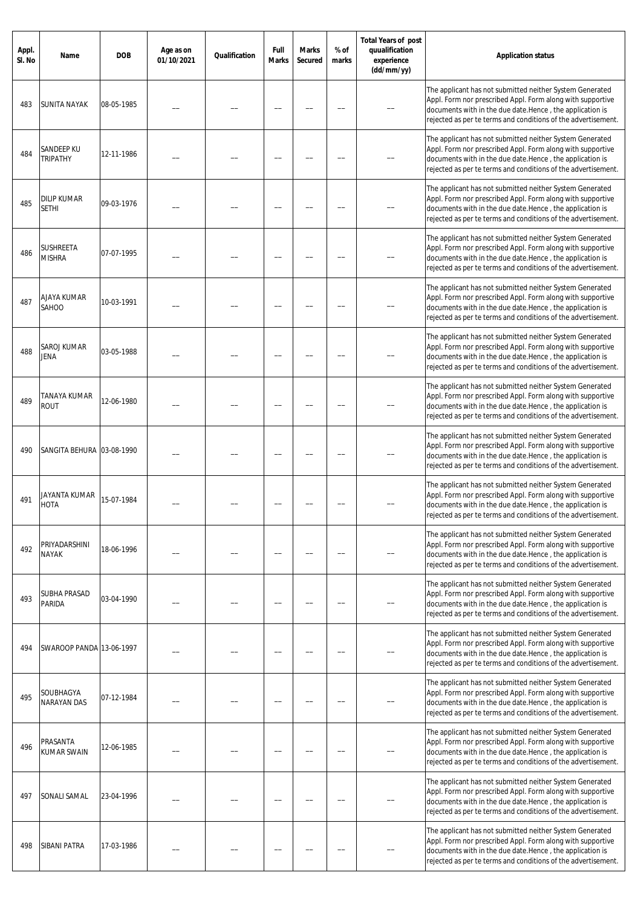| Appl.<br>SI. No | Name                               | <b>DOB</b> | Age as on<br>01/10/2021 | Qualification | Full<br><b>Marks</b> | <b>Marks</b><br>Secured | % of<br>marks | <b>Total Years of post</b><br>quualification<br>experience<br>(dd/mm/yy) | <b>Application status</b>                                                                                                                                                                                                                            |
|-----------------|------------------------------------|------------|-------------------------|---------------|----------------------|-------------------------|---------------|--------------------------------------------------------------------------|------------------------------------------------------------------------------------------------------------------------------------------------------------------------------------------------------------------------------------------------------|
| 483             | SUNITA NAYAK                       | 08-05-1985 |                         |               |                      |                         |               |                                                                          | The applicant has not submitted neither System Generated<br>Appl. Form nor prescribed Appl. Form along with supportive<br>documents with in the due date.Hence, the application is<br>rejected as per te terms and conditions of the advertisement.  |
| 484             | SANDEEP KU<br><b>TRIPATHY</b>      | 12-11-1986 |                         |               |                      |                         |               |                                                                          | The applicant has not submitted neither System Generated<br>Appl. Form nor prescribed Appl. Form along with supportive<br>documents with in the due date.Hence, the application is<br>rejected as per te terms and conditions of the advertisement.  |
| 485             | <b>DILIP KUMAR</b><br><b>SETHI</b> | 09-03-1976 |                         |               |                      |                         |               |                                                                          | The applicant has not submitted neither System Generated<br>Appl. Form nor prescribed Appl. Form along with supportive<br>documents with in the due date.Hence, the application is<br>rejected as per te terms and conditions of the advertisement.  |
| 486             | <b>SUSHREETA</b><br><b>MISHRA</b>  | 07-07-1995 |                         |               |                      |                         |               |                                                                          | The applicant has not submitted neither System Generated<br>Appl. Form nor prescribed Appl. Form along with supportive<br>documents with in the due date. Hence, the application is<br>rejected as per te terms and conditions of the advertisement. |
| 487             | AJAYA KUMAR<br>SAHOO               | 10-03-1991 |                         |               |                      |                         |               |                                                                          | The applicant has not submitted neither System Generated<br>Appl. Form nor prescribed Appl. Form along with supportive<br>documents with in the due date.Hence, the application is<br>rejected as per te terms and conditions of the advertisement.  |
| 488             | SAROJ KUMAR<br>JENA                | 03-05-1988 |                         |               |                      |                         |               |                                                                          | The applicant has not submitted neither System Generated<br>Appl. Form nor prescribed Appl. Form along with supportive<br>documents with in the due date.Hence, the application is<br>rejected as per te terms and conditions of the advertisement.  |
| 489             | TANAYA KUMAR<br><b>ROUT</b>        | 12-06-1980 |                         |               |                      |                         |               |                                                                          | The applicant has not submitted neither System Generated<br>Appl. Form nor prescribed Appl. Form along with supportive<br>documents with in the due date.Hence, the application is<br>rejected as per te terms and conditions of the advertisement.  |
| 490             | SANGITA BEHURA 03-08-1990          |            |                         |               |                      |                         |               |                                                                          | The applicant has not submitted neither System Generated<br>Appl. Form nor prescribed Appl. Form along with supportive<br>documents with in the due date.Hence, the application is<br>rejected as per te terms and conditions of the advertisement.  |
| 491             | JAYANTA KUMAR<br>HOTA              | 15-07-1984 |                         |               |                      |                         |               |                                                                          | The applicant has not submitted neither System Generated<br>Appl. Form nor prescribed Appl. Form along with supportive<br>documents with in the due date. Hence, the application is<br>rejected as per te terms and conditions of the advertisement. |
| 492             | PRIYADARSHINI<br><b>NAYAK</b>      | 18-06-1996 |                         |               |                      |                         |               |                                                                          | The applicant has not submitted neither System Generated<br>Appl. Form nor prescribed Appl. Form along with supportive<br>documents with in the due date.Hence, the application is<br>rejected as per te terms and conditions of the advertisement.  |
| 493             | SUBHA PRASAD<br>PARIDA             | 03-04-1990 |                         |               |                      |                         |               |                                                                          | The applicant has not submitted neither System Generated<br>Appl. Form nor prescribed Appl. Form along with supportive<br>documents with in the due date.Hence, the application is<br>rejected as per te terms and conditions of the advertisement.  |
| 494             | SWAROOP PANDA 13-06-1997           |            |                         |               |                      |                         |               |                                                                          | The applicant has not submitted neither System Generated<br>Appl. Form nor prescribed Appl. Form along with supportive<br>documents with in the due date.Hence, the application is<br>rejected as per te terms and conditions of the advertisement.  |
| 495             | SOUBHAGYA<br>NARAYAN DAS           | 07-12-1984 |                         |               |                      |                         |               |                                                                          | The applicant has not submitted neither System Generated<br>Appl. Form nor prescribed Appl. Form along with supportive<br>documents with in the due date.Hence, the application is<br>rejected as per te terms and conditions of the advertisement.  |
| 496             | PRASANTA<br><b>KUMAR SWAIN</b>     | 12-06-1985 |                         |               |                      |                         |               |                                                                          | The applicant has not submitted neither System Generated<br>Appl. Form nor prescribed Appl. Form along with supportive<br>documents with in the due date.Hence, the application is<br>rejected as per te terms and conditions of the advertisement.  |
| 497             | SONALI SAMAL                       | 23-04-1996 |                         |               |                      |                         |               |                                                                          | The applicant has not submitted neither System Generated<br>Appl. Form nor prescribed Appl. Form along with supportive<br>documents with in the due date.Hence, the application is<br>rejected as per te terms and conditions of the advertisement.  |
| 498             | SIBANI PATRA                       | 17-03-1986 |                         |               |                      |                         |               |                                                                          | The applicant has not submitted neither System Generated<br>Appl. Form nor prescribed Appl. Form along with supportive<br>documents with in the due date.Hence, the application is<br>rejected as per te terms and conditions of the advertisement.  |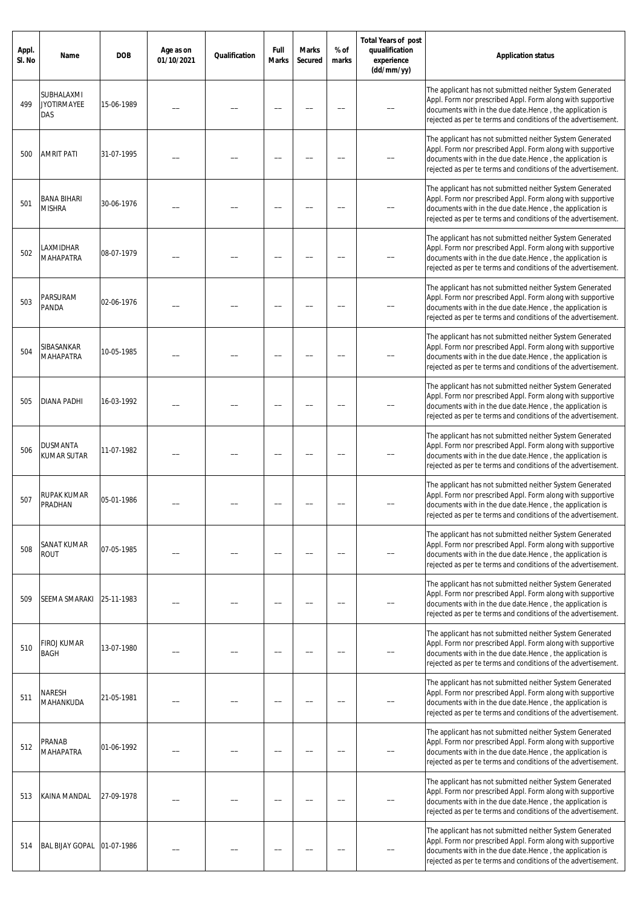| Appl.<br>SI. No | Name                                    | <b>DOB</b> | Age as on<br>01/10/2021 | Qualification | Full<br><b>Marks</b> | <b>Marks</b><br><b>Secured</b> | % of<br>marks | <b>Total Years of post</b><br>quualification<br>experience<br>(dd/mm/yy) | <b>Application status</b>                                                                                                                                                                                                                            |
|-----------------|-----------------------------------------|------------|-------------------------|---------------|----------------------|--------------------------------|---------------|--------------------------------------------------------------------------|------------------------------------------------------------------------------------------------------------------------------------------------------------------------------------------------------------------------------------------------------|
| 499             | SUBHALAXMI<br><b>JYOTIRMAYEE</b><br>DAS | 15-06-1989 |                         |               |                      |                                |               |                                                                          | The applicant has not submitted neither System Generated<br>Appl. Form nor prescribed Appl. Form along with supportive<br>documents with in the due date.Hence, the application is<br>rejected as per te terms and conditions of the advertisement.  |
| 500             | <b>AMRIT PATI</b>                       | 31-07-1995 |                         |               |                      |                                |               |                                                                          | The applicant has not submitted neither System Generated<br>Appl. Form nor prescribed Appl. Form along with supportive<br>documents with in the due date. Hence, the application is<br>rejected as per te terms and conditions of the advertisement. |
| 501             | <b>BANA BIHARI</b><br><b>MISHRA</b>     | 30-06-1976 |                         |               |                      |                                |               |                                                                          | The applicant has not submitted neither System Generated<br>Appl. Form nor prescribed Appl. Form along with supportive<br>documents with in the due date.Hence, the application is<br>rejected as per te terms and conditions of the advertisement.  |
| 502             | LAXMIDHAR<br>MAHAPATRA                  | 08-07-1979 |                         |               |                      |                                |               |                                                                          | The applicant has not submitted neither System Generated<br>Appl. Form nor prescribed Appl. Form along with supportive<br>documents with in the due date.Hence, the application is<br>rejected as per te terms and conditions of the advertisement.  |
| 503             | PARSURAM<br>PANDA                       | 02-06-1976 |                         |               |                      |                                |               |                                                                          | The applicant has not submitted neither System Generated<br>Appl. Form nor prescribed Appl. Form along with supportive<br>documents with in the due date.Hence, the application is<br>rejected as per te terms and conditions of the advertisement.  |
| 504             | SIBASANKAR<br><b>MAHAPATRA</b>          | 10-05-1985 |                         |               |                      |                                |               |                                                                          | The applicant has not submitted neither System Generated<br>Appl. Form nor prescribed Appl. Form along with supportive<br>documents with in the due date.Hence, the application is<br>rejected as per te terms and conditions of the advertisement.  |
| 505             | DIANA PADHI                             | 16-03-1992 |                         |               |                      |                                |               |                                                                          | The applicant has not submitted neither System Generated<br>Appl. Form nor prescribed Appl. Form along with supportive<br>documents with in the due date.Hence, the application is<br>rejected as per te terms and conditions of the advertisement.  |
| 506             | DUSMANTA<br>KUMAR SUTAR                 | 11-07-1982 |                         |               |                      |                                |               |                                                                          | The applicant has not submitted neither System Generated<br>Appl. Form nor prescribed Appl. Form along with supportive<br>documents with in the due date.Hence, the application is<br>rejected as per te terms and conditions of the advertisement.  |
| 507             | RUPAK KUMAR<br>PRADHAN                  | 05-01-1986 |                         |               |                      |                                |               |                                                                          | The applicant has not submitted neither System Generated<br>Appl. Form nor prescribed Appl. Form along with supportive<br>documents with in the due date. Hence, the application is<br>rejected as per te terms and conditions of the advertisement. |
| 508             | SANAT KUMAR<br><b>ROUT</b>              | 07-05-1985 |                         |               |                      |                                |               |                                                                          | The applicant has not submitted neither System Generated<br>Appl. Form nor prescribed Appl. Form along with supportive<br>documents with in the due date.Hence, the application is<br>rejected as per te terms and conditions of the advertisement.  |
| 509             | SEEMA SMARAKI                           | 25-11-1983 |                         |               |                      |                                |               |                                                                          | The applicant has not submitted neither System Generated<br>Appl. Form nor prescribed Appl. Form along with supportive<br>documents with in the due date.Hence, the application is<br>rejected as per te terms and conditions of the advertisement.  |
| 510             | FIROJ KUMAR<br>BAGH                     | 13-07-1980 |                         |               |                      |                                |               |                                                                          | The applicant has not submitted neither System Generated<br>Appl. Form nor prescribed Appl. Form along with supportive<br>documents with in the due date.Hence, the application is<br>rejected as per te terms and conditions of the advertisement.  |
| 511             | NARESH<br>MAHANKUDA                     | 21-05-1981 |                         |               |                      |                                |               |                                                                          | The applicant has not submitted neither System Generated<br>Appl. Form nor prescribed Appl. Form along with supportive<br>documents with in the due date.Hence, the application is<br>rejected as per te terms and conditions of the advertisement.  |
| 512             | PRANAB<br><b>MAHAPATRA</b>              | 01-06-1992 |                         |               |                      |                                |               |                                                                          | The applicant has not submitted neither System Generated<br>Appl. Form nor prescribed Appl. Form along with supportive<br>documents with in the due date.Hence, the application is<br>rejected as per te terms and conditions of the advertisement.  |
| 513             | KAINA MANDAL                            | 27-09-1978 |                         |               |                      |                                |               |                                                                          | The applicant has not submitted neither System Generated<br>Appl. Form nor prescribed Appl. Form along with supportive<br>documents with in the due date.Hence, the application is<br>rejected as per te terms and conditions of the advertisement.  |
| 514             | <b>BAL BIJAY GOPAL</b>                  | 01-07-1986 |                         |               |                      |                                |               |                                                                          | The applicant has not submitted neither System Generated<br>Appl. Form nor prescribed Appl. Form along with supportive<br>documents with in the due date.Hence, the application is<br>rejected as per te terms and conditions of the advertisement.  |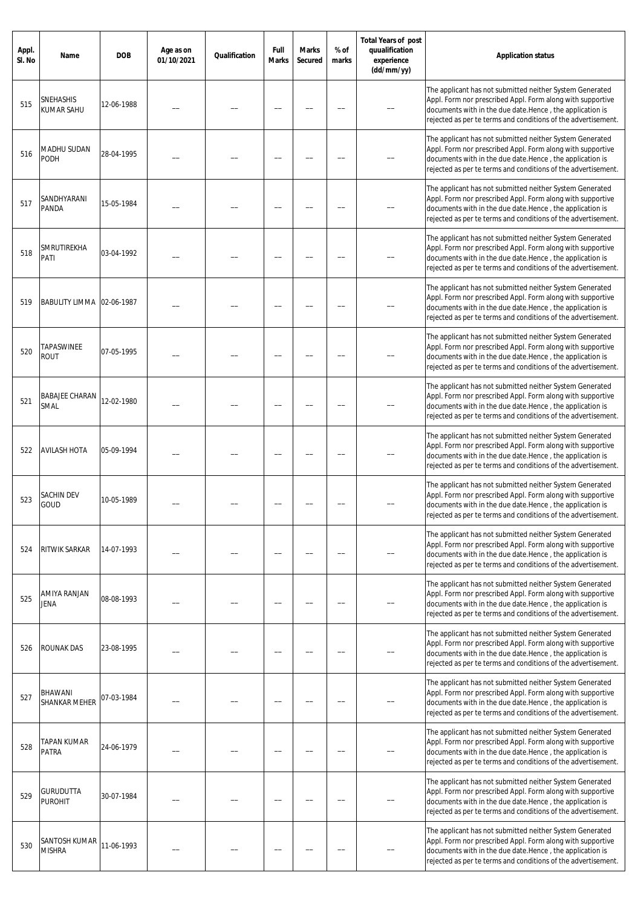| Appl.<br>SI. No | Name                               | <b>DOB</b> | Age as on<br>01/10/2021 | Qualification | Full<br>Marks | <b>Marks</b><br>Secured | % of<br>marks | <b>Total Years of post</b><br>quualification<br>experience<br>(dd/mm/yy) | <b>Application status</b>                                                                                                                                                                                                                           |
|-----------------|------------------------------------|------------|-------------------------|---------------|---------------|-------------------------|---------------|--------------------------------------------------------------------------|-----------------------------------------------------------------------------------------------------------------------------------------------------------------------------------------------------------------------------------------------------|
| 515             | <b>SNEHASHIS</b><br>KUMAR SAHU     | 12-06-1988 |                         |               |               |                         |               |                                                                          | The applicant has not submitted neither System Generated<br>Appl. Form nor prescribed Appl. Form along with supportive<br>documents with in the due date.Hence, the application is<br>rejected as per te terms and conditions of the advertisement. |
| 516             | MADHU SUDAN<br>PODH                | 28-04-1995 |                         |               |               |                         |               |                                                                          | The applicant has not submitted neither System Generated<br>Appl. Form nor prescribed Appl. Form along with supportive<br>documents with in the due date.Hence, the application is<br>rejected as per te terms and conditions of the advertisement. |
| 517             | SANDHYARANI<br>PANDA               | 15-05-1984 |                         |               |               |                         |               |                                                                          | The applicant has not submitted neither System Generated<br>Appl. Form nor prescribed Appl. Form along with supportive<br>documents with in the due date.Hence, the application is<br>rejected as per te terms and conditions of the advertisement. |
| 518             | SMRUTIREKHA<br>PATI                | 03-04-1992 |                         |               |               |                         |               |                                                                          | The applicant has not submitted neither System Generated<br>Appl. Form nor prescribed Appl. Form along with supportive<br>documents with in the due date.Hence, the application is<br>rejected as per te terms and conditions of the advertisement. |
| 519             | BABULITY LIMMA 02-06-1987          |            |                         |               |               |                         |               |                                                                          | The applicant has not submitted neither System Generated<br>Appl. Form nor prescribed Appl. Form along with supportive<br>documents with in the due date.Hence, the application is<br>rejected as per te terms and conditions of the advertisement. |
| 520             | TAPASWINEE<br><b>ROUT</b>          | 07-05-1995 |                         |               |               |                         |               |                                                                          | The applicant has not submitted neither System Generated<br>Appl. Form nor prescribed Appl. Form along with supportive<br>documents with in the due date.Hence, the application is<br>rejected as per te terms and conditions of the advertisement. |
| 521             | <b>BABAJEE CHARAN</b><br>SMAL      | 12-02-1980 |                         |               |               |                         |               |                                                                          | The applicant has not submitted neither System Generated<br>Appl. Form nor prescribed Appl. Form along with supportive<br>documents with in the due date.Hence, the application is<br>rejected as per te terms and conditions of the advertisement. |
| 522             | <b>AVILASH HOTA</b>                | 05-09-1994 |                         |               |               |                         |               |                                                                          | The applicant has not submitted neither System Generated<br>Appl. Form nor prescribed Appl. Form along with supportive<br>documents with in the due date.Hence, the application is<br>rejected as per te terms and conditions of the advertisement. |
| 523             | SACHIN DEV<br>GOUD                 | 10-05-1989 |                         |               |               |                         |               |                                                                          | The applicant has not submitted neither System Generated<br>Appl. Form nor prescribed Appl. Form along with supportive<br>documents with in the due date.Hence, the application is<br>rejected as per te terms and conditions of the advertisement. |
| 524             | RITWIK SARKAR                      | 14-07-1993 |                         |               |               |                         |               |                                                                          | The applicant has not submitted neither System Generated<br>Appl. Form nor prescribed Appl. Form along with supportive<br>documents with in the due date.Hence, the application is<br>rejected as per te terms and conditions of the advertisement. |
| 525             | AMIYA RANJAN<br>JENA               | 08-08-1993 |                         |               |               |                         |               |                                                                          | The applicant has not submitted neither System Generated<br>Appl. Form nor prescribed Appl. Form along with supportive<br>documents with in the due date.Hence, the application is<br>rejected as per te terms and conditions of the advertisement. |
| 526             | ROUNAK DAS                         | 23-08-1995 |                         |               |               |                         |               |                                                                          | The applicant has not submitted neither System Generated<br>Appl. Form nor prescribed Appl. Form along with supportive<br>documents with in the due date.Hence, the application is<br>rejected as per te terms and conditions of the advertisement. |
| 527             | BHAWANI<br><b>SHANKAR MEHER</b>    | 07-03-1984 |                         |               |               |                         |               |                                                                          | The applicant has not submitted neither System Generated<br>Appl. Form nor prescribed Appl. Form along with supportive<br>documents with in the due date.Hence, the application is<br>rejected as per te terms and conditions of the advertisement. |
| 528             | TAPAN KUMAR<br><b>PATRA</b>        | 24-06-1979 |                         |               |               |                         |               |                                                                          | The applicant has not submitted neither System Generated<br>Appl. Form nor prescribed Appl. Form along with supportive<br>documents with in the due date.Hence, the application is<br>rejected as per te terms and conditions of the advertisement. |
| 529             | <b>GURUDUTTA</b><br><b>PUROHIT</b> | 30-07-1984 |                         |               |               |                         |               |                                                                          | The applicant has not submitted neither System Generated<br>Appl. Form nor prescribed Appl. Form along with supportive<br>documents with in the due date.Hence, the application is<br>rejected as per te terms and conditions of the advertisement. |
| 530             | SANTOSH KUMAR<br><b>MISHRA</b>     | 11-06-1993 |                         |               |               |                         |               |                                                                          | The applicant has not submitted neither System Generated<br>Appl. Form nor prescribed Appl. Form along with supportive<br>documents with in the due date.Hence, the application is<br>rejected as per te terms and conditions of the advertisement. |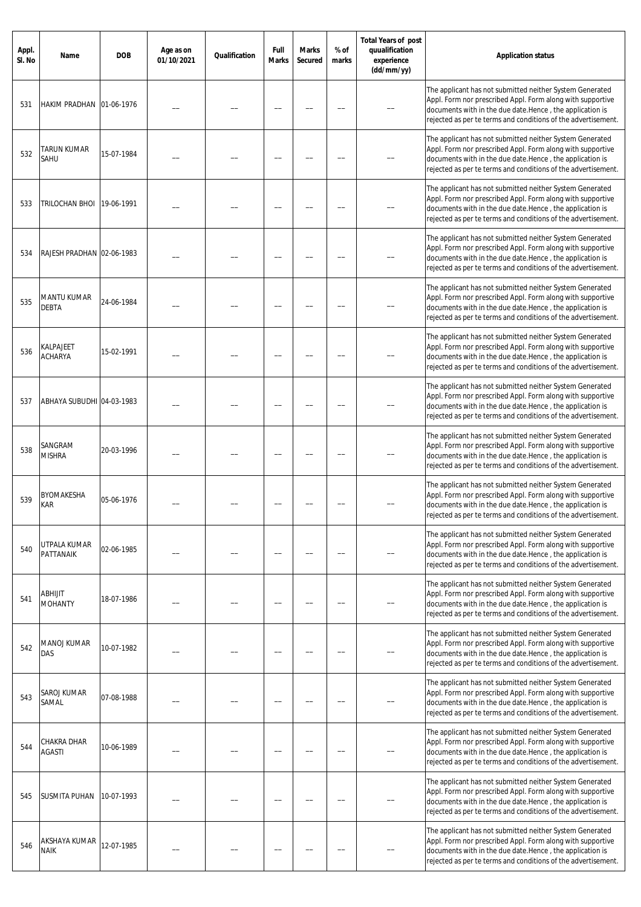| Appl.<br>SI. No | Name                             | <b>DOB</b> | Age as on<br>01/10/2021 | Qualification | Full<br>Marks | <b>Marks</b><br>Secured | % of<br>marks | <b>Total Years of post</b><br>quualification<br>experience<br>(dd/mm/yy) | <b>Application status</b>                                                                                                                                                                                                                           |
|-----------------|----------------------------------|------------|-------------------------|---------------|---------------|-------------------------|---------------|--------------------------------------------------------------------------|-----------------------------------------------------------------------------------------------------------------------------------------------------------------------------------------------------------------------------------------------------|
| 531             | HAKIM PRADHAN 01-06-1976         |            |                         |               |               |                         |               |                                                                          | The applicant has not submitted neither System Generated<br>Appl. Form nor prescribed Appl. Form along with supportive<br>documents with in the due date.Hence, the application is<br>rejected as per te terms and conditions of the advertisement. |
| 532             | TARUN KUMAR<br>SAHU              | 15-07-1984 |                         |               |               |                         |               |                                                                          | The applicant has not submitted neither System Generated<br>Appl. Form nor prescribed Appl. Form along with supportive<br>documents with in the due date.Hence, the application is<br>rejected as per te terms and conditions of the advertisement. |
| 533             | TRILOCHAN BHOI                   | 19-06-1991 |                         |               |               |                         |               |                                                                          | The applicant has not submitted neither System Generated<br>Appl. Form nor prescribed Appl. Form along with supportive<br>documents with in the due date.Hence, the application is<br>rejected as per te terms and conditions of the advertisement. |
| 534             | RAJESH PRADHAN 02-06-1983        |            |                         |               |               |                         |               |                                                                          | The applicant has not submitted neither System Generated<br>Appl. Form nor prescribed Appl. Form along with supportive<br>documents with in the due date.Hence, the application is<br>rejected as per te terms and conditions of the advertisement. |
| 535             | MANTU KUMAR<br>DEBTA             | 24-06-1984 |                         |               |               |                         |               |                                                                          | The applicant has not submitted neither System Generated<br>Appl. Form nor prescribed Appl. Form along with supportive<br>documents with in the due date.Hence, the application is<br>rejected as per te terms and conditions of the advertisement. |
| 536             | KALPAJEET<br><b>ACHARYA</b>      | 15-02-1991 |                         |               |               |                         |               |                                                                          | The applicant has not submitted neither System Generated<br>Appl. Form nor prescribed Appl. Form along with supportive<br>documents with in the due date.Hence, the application is<br>rejected as per te terms and conditions of the advertisement. |
| 537             | ABHAYA SUBUDHI 04-03-1983        |            |                         |               |               |                         |               |                                                                          | The applicant has not submitted neither System Generated<br>Appl. Form nor prescribed Appl. Form along with supportive<br>documents with in the due date.Hence, the application is<br>rejected as per te terms and conditions of the advertisement. |
| 538             | SANGRAM<br><b>MISHRA</b>         | 20-03-1996 |                         |               |               |                         |               |                                                                          | The applicant has not submitted neither System Generated<br>Appl. Form nor prescribed Appl. Form along with supportive<br>documents with in the due date.Hence, the application is<br>rejected as per te terms and conditions of the advertisement. |
| 539             | <b>BYOMAKESHA</b><br>Kar         | 05-06-1976 |                         |               |               |                         |               |                                                                          | The applicant has not submitted neither System Generated<br>Appl. Form nor prescribed Appl. Form along with supportive<br>documents with in the due date.Hence, the application is<br>rejected as per te terms and conditions of the advertisement. |
| 540             | UTPALA KUMAR<br><b>PATTANAIK</b> | 02-06-1985 |                         |               |               |                         |               |                                                                          | The applicant has not submitted neither System Generated<br>Appl. Form nor prescribed Appl. Form along with supportive<br>documents with in the due date.Hence, the application is<br>rejected as per te terms and conditions of the advertisement. |
| 541             | <b>ABHIJIT</b><br><b>MOHANTY</b> | 18-07-1986 |                         |               |               |                         |               |                                                                          | The applicant has not submitted neither System Generated<br>Appl. Form nor prescribed Appl. Form along with supportive<br>documents with in the due date.Hence, the application is<br>rejected as per te terms and conditions of the advertisement. |
| 542             | MANOJ KUMAR<br>DAS               | 10-07-1982 |                         |               |               |                         |               |                                                                          | The applicant has not submitted neither System Generated<br>Appl. Form nor prescribed Appl. Form along with supportive<br>documents with in the due date.Hence, the application is<br>rejected as per te terms and conditions of the advertisement. |
| 543             | SAROJ KUMAR<br>SAMAL             | 07-08-1988 |                         |               |               |                         |               |                                                                          | The applicant has not submitted neither System Generated<br>Appl. Form nor prescribed Appl. Form along with supportive<br>documents with in the due date.Hence, the application is<br>rejected as per te terms and conditions of the advertisement. |
| 544             | CHAKRA DHAR<br><b>AGASTI</b>     | 10-06-1989 |                         |               |               |                         |               |                                                                          | The applicant has not submitted neither System Generated<br>Appl. Form nor prescribed Appl. Form along with supportive<br>documents with in the due date.Hence, the application is<br>rejected as per te terms and conditions of the advertisement. |
| 545             | SUSMITA PUHAN                    | 10-07-1993 |                         |               |               |                         |               |                                                                          | The applicant has not submitted neither System Generated<br>Appl. Form nor prescribed Appl. Form along with supportive<br>documents with in the due date.Hence, the application is<br>rejected as per te terms and conditions of the advertisement. |
| 546             | AKSHAYA KUMAR<br><b>NAIK</b>     | 12-07-1985 |                         |               |               |                         |               |                                                                          | The applicant has not submitted neither System Generated<br>Appl. Form nor prescribed Appl. Form along with supportive<br>documents with in the due date.Hence, the application is<br>rejected as per te terms and conditions of the advertisement. |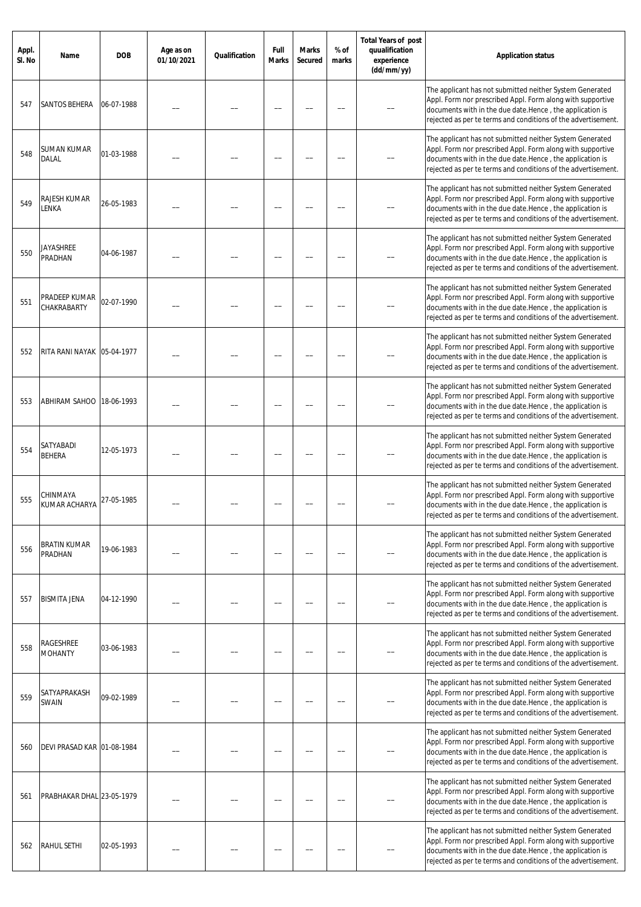| Appl.<br>SI. No | Name                           | <b>DOB</b> | Age as on<br>01/10/2021 | Qualification | Full<br><b>Marks</b> | <b>Marks</b><br>Secured | % of<br>marks | <b>Total Years of post</b><br>quualification<br>experience<br>(dd/mm/yy) | <b>Application status</b>                                                                                                                                                                                                                            |
|-----------------|--------------------------------|------------|-------------------------|---------------|----------------------|-------------------------|---------------|--------------------------------------------------------------------------|------------------------------------------------------------------------------------------------------------------------------------------------------------------------------------------------------------------------------------------------------|
| 547             | SANTOS BEHERA                  | 06-07-1988 |                         |               |                      |                         |               |                                                                          | The applicant has not submitted neither System Generated<br>Appl. Form nor prescribed Appl. Form along with supportive<br>documents with in the due date.Hence, the application is<br>rejected as per te terms and conditions of the advertisement.  |
| 548             | SUMAN KUMAR<br>DALAL           | 01-03-1988 |                         |               |                      |                         |               |                                                                          | The applicant has not submitted neither System Generated<br>Appl. Form nor prescribed Appl. Form along with supportive<br>documents with in the due date.Hence, the application is<br>rejected as per te terms and conditions of the advertisement.  |
| 549             | RAJESH KUMAR<br>LENKA          | 26-05-1983 |                         |               |                      |                         |               |                                                                          | The applicant has not submitted neither System Generated<br>Appl. Form nor prescribed Appl. Form along with supportive<br>documents with in the due date.Hence, the application is<br>rejected as per te terms and conditions of the advertisement.  |
| 550             | Jayashree<br>PRADHAN           | 04-06-1987 |                         |               |                      |                         |               |                                                                          | The applicant has not submitted neither System Generated<br>Appl. Form nor prescribed Appl. Form along with supportive<br>documents with in the due date. Hence, the application is<br>rejected as per te terms and conditions of the advertisement. |
| 551             | PRADEEP KUMAR<br>CHAKRABARTY   | 02-07-1990 |                         |               |                      |                         |               |                                                                          | The applicant has not submitted neither System Generated<br>Appl. Form nor prescribed Appl. Form along with supportive<br>documents with in the due date.Hence, the application is<br>rejected as per te terms and conditions of the advertisement.  |
| 552             | RITA RANI NAYAK 05-04-1977     |            |                         |               |                      |                         |               |                                                                          | The applicant has not submitted neither System Generated<br>Appl. Form nor prescribed Appl. Form along with supportive<br>documents with in the due date.Hence, the application is<br>rejected as per te terms and conditions of the advertisement.  |
| 553             | ABHIRAM SAHOO   18-06-1993     |            |                         |               |                      |                         |               |                                                                          | The applicant has not submitted neither System Generated<br>Appl. Form nor prescribed Appl. Form along with supportive<br>documents with in the due date.Hence, the application is<br>rejected as per te terms and conditions of the advertisement.  |
| 554             | SATYABADI<br><b>BEHERA</b>     | 12-05-1973 |                         |               |                      |                         |               |                                                                          | The applicant has not submitted neither System Generated<br>Appl. Form nor prescribed Appl. Form along with supportive<br>documents with in the due date.Hence, the application is<br>rejected as per te terms and conditions of the advertisement.  |
| 555             | CHINMAYA<br>KUMAR ACHARYA      | 27-05-1985 |                         |               |                      |                         |               |                                                                          | The applicant has not submitted neither System Generated<br>Appl. Form nor prescribed Appl. Form along with supportive<br>documents with in the due date. Hence, the application is<br>rejected as per te terms and conditions of the advertisement. |
| 556             | <b>BRATIN KUMAR</b><br>PRADHAN | 19-06-1983 |                         |               |                      |                         |               |                                                                          | The applicant has not submitted neither System Generated<br>Appl. Form nor prescribed Appl. Form along with supportive<br>documents with in the due date.Hence, the application is<br>rejected as per te terms and conditions of the advertisement.  |
| 557             | <b>BISMITA JENA</b>            | 04-12-1990 |                         |               |                      |                         |               |                                                                          | The applicant has not submitted neither System Generated<br>Appl. Form nor prescribed Appl. Form along with supportive<br>documents with in the due date.Hence, the application is<br>rejected as per te terms and conditions of the advertisement.  |
| 558             | RAGESHREE<br><b>MOHANTY</b>    | 03-06-1983 |                         |               |                      |                         |               |                                                                          | The applicant has not submitted neither System Generated<br>Appl. Form nor prescribed Appl. Form along with supportive<br>documents with in the due date.Hence, the application is<br>rejected as per te terms and conditions of the advertisement.  |
| 559             | SATYAPRAKASH<br>SWAIN          | 09-02-1989 |                         |               |                      |                         |               |                                                                          | The applicant has not submitted neither System Generated<br>Appl. Form nor prescribed Appl. Form along with supportive<br>documents with in the due date.Hence, the application is<br>rejected as per te terms and conditions of the advertisement.  |
| 560             | DEVI PRASAD KAR 01-08-1984     |            |                         |               |                      |                         |               |                                                                          | The applicant has not submitted neither System Generated<br>Appl. Form nor prescribed Appl. Form along with supportive<br>documents with in the due date.Hence, the application is<br>rejected as per te terms and conditions of the advertisement.  |
| 561             | PRABHAKAR DHAL 23-05-1979      |            |                         |               |                      |                         |               |                                                                          | The applicant has not submitted neither System Generated<br>Appl. Form nor prescribed Appl. Form along with supportive<br>documents with in the due date.Hence, the application is<br>rejected as per te terms and conditions of the advertisement.  |
| 562             | <b>RAHUL SETHI</b>             | 02-05-1993 |                         |               |                      |                         |               |                                                                          | The applicant has not submitted neither System Generated<br>Appl. Form nor prescribed Appl. Form along with supportive<br>documents with in the due date.Hence, the application is<br>rejected as per te terms and conditions of the advertisement.  |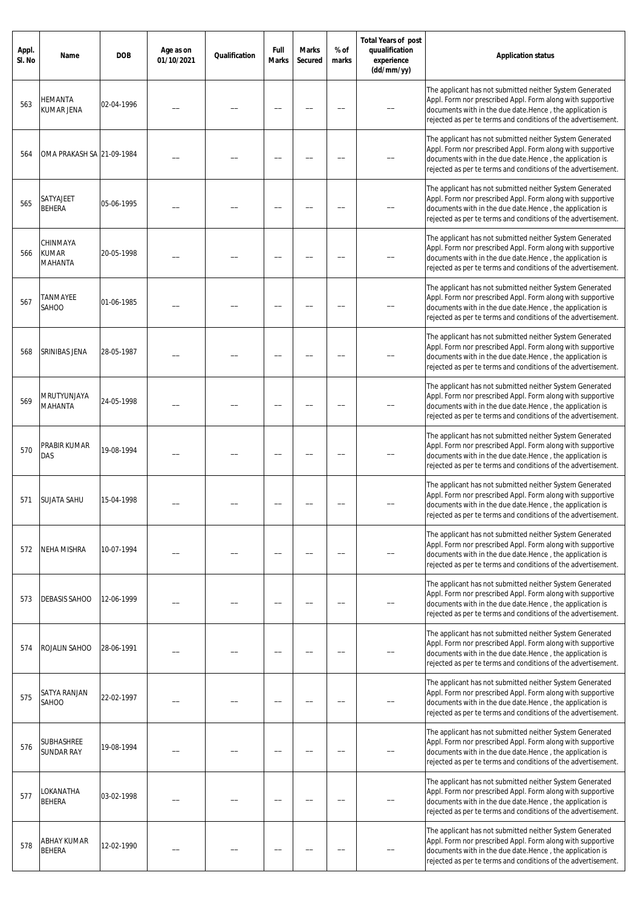| Appl.<br>SI. No | Name                                | <b>DOB</b> | Age as on<br>01/10/2021 | Qualification | Full<br><b>Marks</b> | <b>Marks</b><br>Secured | % of<br>marks | <b>Total Years of post</b><br>quualification<br>experience<br>(dd/mm/yy) | <b>Application status</b>                                                                                                                                                                                                                            |
|-----------------|-------------------------------------|------------|-------------------------|---------------|----------------------|-------------------------|---------------|--------------------------------------------------------------------------|------------------------------------------------------------------------------------------------------------------------------------------------------------------------------------------------------------------------------------------------------|
| 563             | HEMANTA<br>KUMAR JENA               | 02-04-1996 |                         |               |                      |                         |               |                                                                          | The applicant has not submitted neither System Generated<br>Appl. Form nor prescribed Appl. Form along with supportive<br>documents with in the due date.Hence, the application is<br>rejected as per te terms and conditions of the advertisement.  |
| 564             | OMA PRAKASH SA 21-09-1984           |            |                         |               |                      |                         |               |                                                                          | The applicant has not submitted neither System Generated<br>Appl. Form nor prescribed Appl. Form along with supportive<br>documents with in the due date.Hence, the application is<br>rejected as per te terms and conditions of the advertisement.  |
| 565             | SATYAJEET<br><b>BEHERA</b>          | 05-06-1995 |                         |               |                      |                         |               |                                                                          | The applicant has not submitted neither System Generated<br>Appl. Form nor prescribed Appl. Form along with supportive<br>documents with in the due date.Hence, the application is<br>rejected as per te terms and conditions of the advertisement.  |
| 566             | CHINMAYA<br><b>KUMAR</b><br>MAHANTA | 20-05-1998 |                         |               |                      |                         |               |                                                                          | The applicant has not submitted neither System Generated<br>Appl. Form nor prescribed Appl. Form along with supportive<br>documents with in the due date.Hence, the application is<br>rejected as per te terms and conditions of the advertisement.  |
| 567             | <b><i>TANMAYEE</i></b><br>SAHOO     | 01-06-1985 |                         |               |                      |                         |               |                                                                          | The applicant has not submitted neither System Generated<br>Appl. Form nor prescribed Appl. Form along with supportive<br>documents with in the due date.Hence, the application is<br>rejected as per te terms and conditions of the advertisement.  |
| 568             | SRINIBAS JENA                       | 28-05-1987 |                         |               |                      |                         |               |                                                                          | The applicant has not submitted neither System Generated<br>Appl. Form nor prescribed Appl. Form along with supportive<br>documents with in the due date.Hence, the application is<br>rejected as per te terms and conditions of the advertisement.  |
| 569             | MRUTYUNJAYA<br>MAHANTA              | 24-05-1998 |                         |               |                      |                         |               |                                                                          | The applicant has not submitted neither System Generated<br>Appl. Form nor prescribed Appl. Form along with supportive<br>documents with in the due date.Hence, the application is<br>rejected as per te terms and conditions of the advertisement.  |
| 570             | PRABIR KUMAR<br>DAS                 | 19-08-1994 |                         |               |                      |                         |               |                                                                          | The applicant has not submitted neither System Generated<br>Appl. Form nor prescribed Appl. Form along with supportive<br>documents with in the due date.Hence, the application is<br>rejected as per te terms and conditions of the advertisement.  |
| 571             | SUJATA SAHU                         | 15-04-1998 |                         |               |                      |                         |               |                                                                          | The applicant has not submitted neither System Generated<br>Appl. Form nor prescribed Appl. Form along with supportive<br>documents with in the due date. Hence, the application is<br>rejected as per te terms and conditions of the advertisement. |
| 572             | <b>NEHA MISHRA</b>                  | 10-07-1994 |                         |               |                      |                         |               |                                                                          | The applicant has not submitted neither System Generated<br>Appl. Form nor prescribed Appl. Form along with supportive<br>documents with in the due date.Hence, the application is<br>rejected as per te terms and conditions of the advertisement.  |
| 573             | <b>DEBASIS SAHOO</b>                | 12-06-1999 |                         |               |                      |                         |               |                                                                          | The applicant has not submitted neither System Generated<br>Appl. Form nor prescribed Appl. Form along with supportive<br>documents with in the due date.Hence, the application is<br>rejected as per te terms and conditions of the advertisement.  |
| 574             | ROJALIN SAHOO                       | 28-06-1991 |                         |               |                      |                         |               |                                                                          | The applicant has not submitted neither System Generated<br>Appl. Form nor prescribed Appl. Form along with supportive<br>documents with in the due date.Hence, the application is<br>rejected as per te terms and conditions of the advertisement.  |
| 575             | SATYA RANJAN<br>SAHOO               | 22-02-1997 |                         |               |                      |                         |               |                                                                          | The applicant has not submitted neither System Generated<br>Appl. Form nor prescribed Appl. Form along with supportive<br>documents with in the due date.Hence, the application is<br>rejected as per te terms and conditions of the advertisement.  |
| 576             | SUBHASHREE<br><b>SUNDAR RAY</b>     | 19-08-1994 |                         |               |                      |                         |               |                                                                          | The applicant has not submitted neither System Generated<br>Appl. Form nor prescribed Appl. Form along with supportive<br>documents with in the due date.Hence, the application is<br>rejected as per te terms and conditions of the advertisement.  |
| 577             | LOKANATHA<br><b>BEHERA</b>          | 03-02-1998 |                         |               |                      |                         |               |                                                                          | The applicant has not submitted neither System Generated<br>Appl. Form nor prescribed Appl. Form along with supportive<br>documents with in the due date.Hence, the application is<br>rejected as per te terms and conditions of the advertisement.  |
| 578             | ABHAY KUMAR<br><b>BEHERA</b>        | 12-02-1990 |                         |               |                      |                         |               |                                                                          | The applicant has not submitted neither System Generated<br>Appl. Form nor prescribed Appl. Form along with supportive<br>documents with in the due date.Hence, the application is<br>rejected as per te terms and conditions of the advertisement.  |